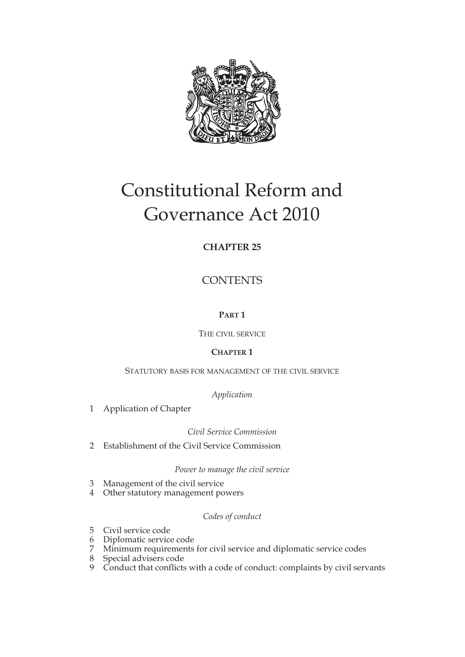

# Constitutional Reform and Governance Act 2010

# **CHAPTER 25**

**CONTENTS** 

## **PART 1**

THE CIVIL SERVICE

## **CHAPTER 1**

## STATUTORY BASIS FOR MANAGEMENT OF THE CIVIL SERVICE

*Application*

1 Application of Chapter

*Civil Service Commission*

2 Establishment of the Civil Service Commission

*Power to manage the civil service*

- 3 Management of the civil service
- 4 Other statutory management powers

## *Codes of conduct*

- 5 Civil service code
- 6 Diplomatic service code
- 7 Minimum requirements for civil service and diplomatic service codes
- 8 Special advisers code
- 9 Conduct that conflicts with a code of conduct: complaints by civil servants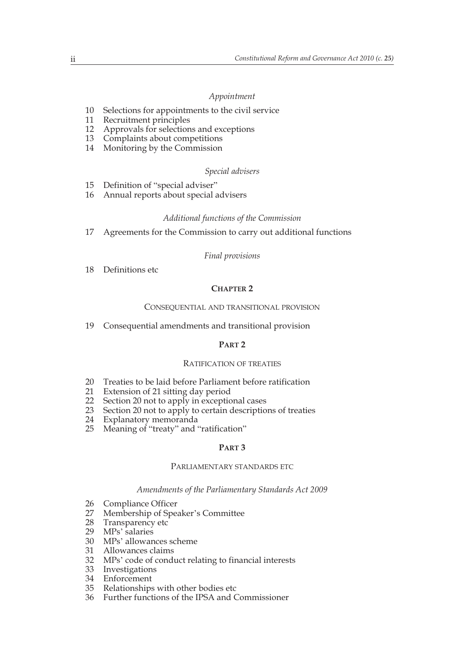#### *Appointment*

- 10 Selections for appointments to the civil service
- 11 Recruitment principles
- 12 Approvals for selections and exceptions
- 13 Complaints about competitions
- 14 Monitoring by the Commission

#### *Special advisers*

- 15 Definition of "special adviser"<br>16 Annual reports about special a
- 16 Annual reports about special advisers

## *Additional functions of the Commission*

17 Agreements for the Commission to carry out additional functions

#### *Final provisions*

18 Definitions etc

## **CHAPTER 2**

#### CONSEQUENTIAL AND TRANSITIONAL PROVISION

19 Consequential amendments and transitional provision

#### **PART 2**

#### RATIFICATION OF TREATIES

- 20 Treaties to be laid before Parliament before ratification
- 21 Extension of 21 sitting day period
- 22 Section 20 not to apply in exceptional cases
- 23 Section 20 not to apply to certain descriptions of treaties<br>24 Explanatory memoranda
- Explanatory memoranda
- 25 Meaning of "treaty" and "ratification"

#### **PART 3**

## PARLIAMENTARY STANDARDS ETC

#### *Amendments of the Parliamentary Standards Act 2009*

- 26 Compliance Officer<br>27 Membership of Spea
- 27 Membership of Speaker's Committee
- 28 Transparency etc
- 29 MPs' salaries
- 30 MPs' allowances scheme
- 31 Allowances claims
- 32 MPs' code of conduct relating to financial interests
- 33 Investigations
- 34 Enforcement
- 35 Relationships with other bodies etc
- 36 Further functions of the IPSA and Commissioner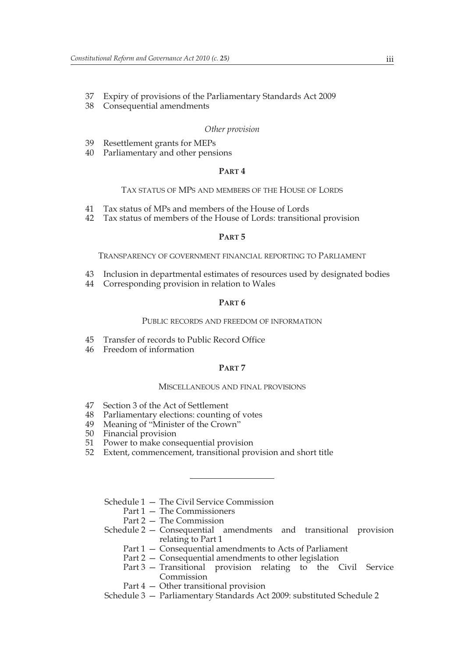- 37 Expiry of provisions of the Parliamentary Standards Act 2009
- 38 Consequential amendments

#### *Other provision*

- 39 Resettlement grants for MEPs
- 40 Parliamentary and other pensions

#### **PART 4**

#### TAX STATUS OF MPS AND MEMBERS OF THE HOUSE OF LORDS

- 41 Tax status of MPs and members of the House of Lords
- 42 Tax status of members of the House of Lords: transitional provision

#### **PART 5**

TRANSPARENCY OF GOVERNMENT FINANCIAL REPORTING TO PARLIAMENT

- 43 Inclusion in departmental estimates of resources used by designated bodies
- 44 Corresponding provision in relation to Wales

## **PART 6**

#### PUBLIC RECORDS AND FREEDOM OF INFORMATION

- 45 Transfer of records to Public Record Office
- 46 Freedom of information

#### **PART 7**

#### MISCELLANEOUS AND FINAL PROVISIONS

- 47 Section 3 of the Act of Settlement
- 48 Parliamentary elections: counting of votes
- 49 Meaning of "Minister of the Crown"
- 50 Financial provision
- 51 Power to make consequential provision
- 52 Extent, commencement, transitional provision and short title

Schedule 1 — The Civil Service Commission

- Part 1 The Commissioners
- Part 2 The Commission
- Schedule 2 Consequential amendments and transitional provision relating to Part 1
	- Part 1 Consequential amendments to Acts of Parliament
	- Part 2 Consequential amendments to other legislation
	- Part 3 Transitional provision relating to the Civil Service Commission
	- Part 4 Other transitional provision

Schedule 3 — Parliamentary Standards Act 2009: substituted Schedule 2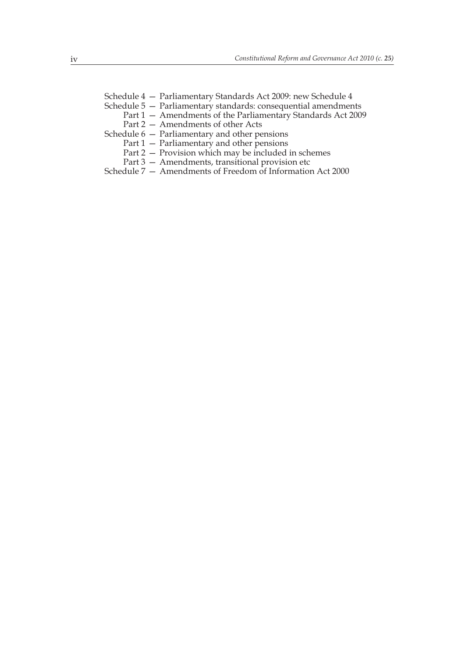Schedule 4 — Parliamentary Standards Act 2009: new Schedule 4

- Schedule 5 Parliamentary standards: consequential amendments
	- Part 1 Amendments of the Parliamentary Standards Act 2009
	- Part 2 Amendments of other Acts
- Schedule 6 Parliamentary and other pensions
	- Part 1 Parliamentary and other pensions
	- Part 2 Provision which may be included in schemes
	- Part 3 Amendments, transitional provision etc
- Schedule 7 Amendments of Freedom of Information Act 2000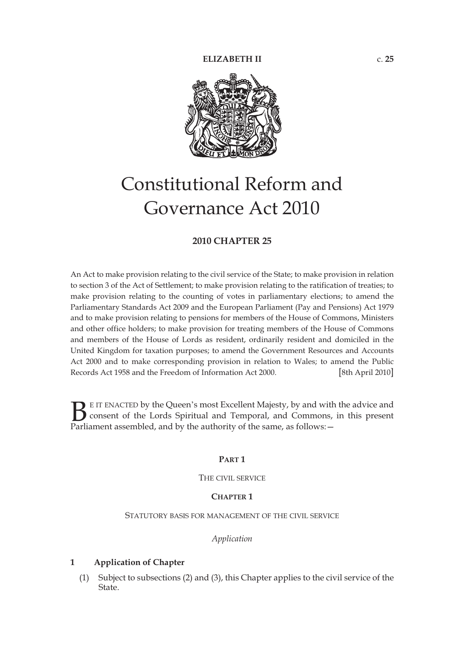

# Constitutional Reform and Governance Act 2010

## **2010 CHAPTER 25**

An Act to make provision relating to the civil service of the State; to make provision in relation to section 3 of the Act of Settlement; to make provision relating to the ratification of treaties; to make provision relating to the counting of votes in parliamentary elections; to amend the Parliamentary Standards Act 2009 and the European Parliament (Pay and Pensions) Act 1979 and to make provision relating to pensions for members of the House of Commons, Ministers and other office holders; to make provision for treating members of the House of Commons and members of the House of Lords as resident, ordinarily resident and domiciled in the United Kingdom for taxation purposes; to amend the Government Resources and Accounts Act 2000 and to make corresponding provision in relation to Wales; to amend the Public Records Act 1958 and the Freedom of Information Act 2000. [8th April 2010]

E IT ENACTED by the Queen's most Excellent Majesty, by and with the advice and consent of the Lords Spiritual and Temporal, and Commons, in this present **B** E IT ENACTED by the Queen's most Excellent Majesty, by and with consent of the Lords Spiritual and Temporal, and Commons, Parliament assembled, and by the authority of the same, as follows:  $-$ 

#### **PART 1**

THE CIVIL SERVICE

#### **CHAPTER 1**

STATUTORY BASIS FOR MANAGEMENT OF THE CIVIL SERVICE

*Application*

## **1 Application of Chapter**

(1) Subject to subsections (2) and (3), this Chapter applies to the civil service of the State.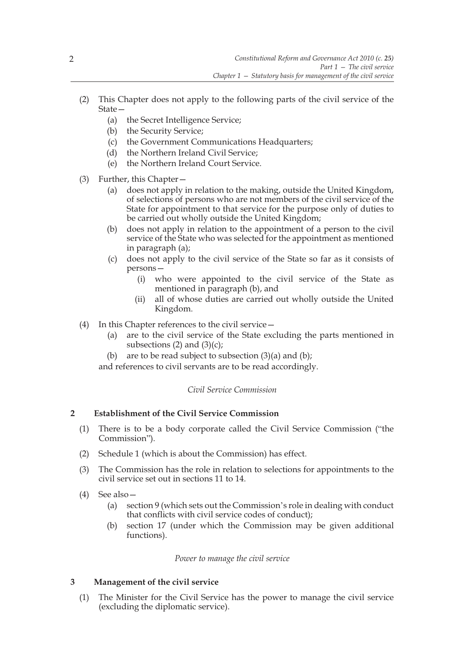- (2) This Chapter does not apply to the following parts of the civil service of the State—
	- (a) the Secret Intelligence Service;
	- (b) the Security Service;
	- (c) the Government Communications Headquarters;
	- (d) the Northern Ireland Civil Service;
	- (e) the Northern Ireland Court Service.
- (3) Further, this Chapter—
	- (a) does not apply in relation to the making, outside the United Kingdom, of selections of persons who are not members of the civil service of the State for appointment to that service for the purpose only of duties to be carried out wholly outside the United Kingdom;
	- (b) does not apply in relation to the appointment of a person to the civil service of the State who was selected for the appointment as mentioned in paragraph (a);
	- (c) does not apply to the civil service of the State so far as it consists of persons—
		- (i) who were appointed to the civil service of the State as mentioned in paragraph (b), and
		- (ii) all of whose duties are carried out wholly outside the United Kingdom.
- (4) In this Chapter references to the civil service—
	- (a) are to the civil service of the State excluding the parts mentioned in subsections  $(2)$  and  $(3)(c)$ ;
	- (b) are to be read subject to subsection  $(3)(a)$  and  $(b)$ ;

and references to civil servants are to be read accordingly.

## *Civil Service Commission*

## **2 Establishment of the Civil Service Commission**

- (1) There is to be a body corporate called the Civil Service Commission ("the Commission").
- (2) Schedule 1 (which is about the Commission) has effect.
- (3) The Commission has the role in relation to selections for appointments to the civil service set out in sections 11 to 14.
- (4) See also—
	- (a) section 9 (which sets out the Commission's role in dealing with conduct that conflicts with civil service codes of conduct);
	- (b) section 17 (under which the Commission may be given additional functions).

## *Power to manage the civil service*

## **3 Management of the civil service**

(1) The Minister for the Civil Service has the power to manage the civil service (excluding the diplomatic service).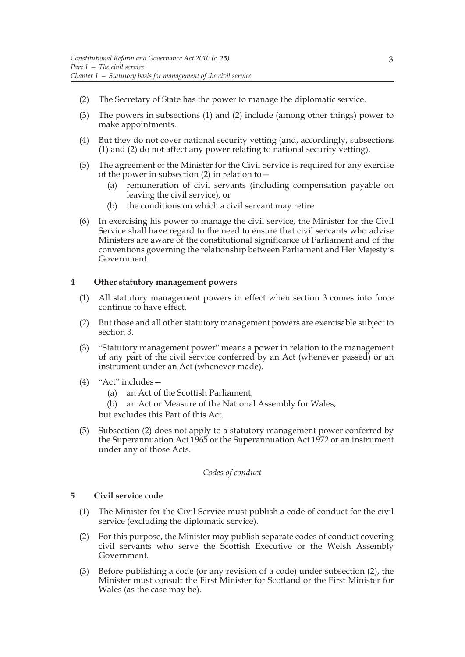- (2) The Secretary of State has the power to manage the diplomatic service.
- (3) The powers in subsections (1) and (2) include (among other things) power to make appointments.
- (4) But they do not cover national security vetting (and, accordingly, subsections (1) and (2) do not affect any power relating to national security vetting).
- (5) The agreement of the Minister for the Civil Service is required for any exercise of the power in subsection  $(2)$  in relation to  $-$ 
	- (a) remuneration of civil servants (including compensation payable on leaving the civil service), or
	- (b) the conditions on which a civil servant may retire.
- (6) In exercising his power to manage the civil service, the Minister for the Civil Service shall have regard to the need to ensure that civil servants who advise Ministers are aware of the constitutional significance of Parliament and of the conventions governing the relationship between Parliament and Her Majesty's Government.

#### **4 Other statutory management powers**

- (1) All statutory management powers in effect when section 3 comes into force continue to have effect.
- (2) But those and all other statutory management powers are exercisable subject to section 3.
- (3) "Statutory management power" means a power in relation to the management of any part of the civil service conferred by an Act (whenever passed) or an instrument under an Act (whenever made).
- (4) "Act" includes—
	- (a) an Act of the Scottish Parliament;
	- (b) an Act or Measure of the National Assembly for Wales;

but excludes this Part of this Act.

(5) Subsection (2) does not apply to a statutory management power conferred by the Superannuation Act 1965 or the Superannuation Act 1972 or an instrument under any of those Acts.

#### *Codes of conduct*

## **5 Civil service code**

- (1) The Minister for the Civil Service must publish a code of conduct for the civil service (excluding the diplomatic service).
- (2) For this purpose, the Minister may publish separate codes of conduct covering civil servants who serve the Scottish Executive or the Welsh Assembly Government.
- (3) Before publishing a code (or any revision of a code) under subsection (2), the Minister must consult the First Minister for Scotland or the First Minister for Wales (as the case may be).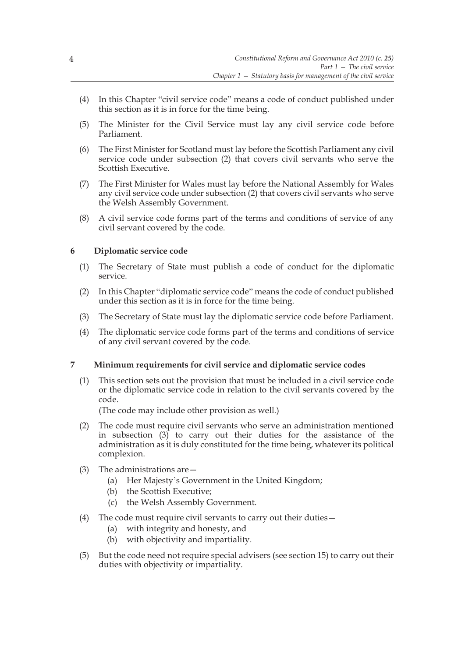- (4) In this Chapter "civil service code" means a code of conduct published under this section as it is in force for the time being.
- (5) The Minister for the Civil Service must lay any civil service code before Parliament.
- (6) The First Minister for Scotland must lay before the Scottish Parliament any civil service code under subsection (2) that covers civil servants who serve the Scottish Executive.
- (7) The First Minister for Wales must lay before the National Assembly for Wales any civil service code under subsection (2) that covers civil servants who serve the Welsh Assembly Government.
- (8) A civil service code forms part of the terms and conditions of service of any civil servant covered by the code.

## **6 Diplomatic service code**

- (1) The Secretary of State must publish a code of conduct for the diplomatic service.
- (2) In this Chapter "diplomatic service code" means the code of conduct published under this section as it is in force for the time being.
- (3) The Secretary of State must lay the diplomatic service code before Parliament.
- (4) The diplomatic service code forms part of the terms and conditions of service of any civil servant covered by the code.

#### **7 Minimum requirements for civil service and diplomatic service codes**

(1) This section sets out the provision that must be included in a civil service code or the diplomatic service code in relation to the civil servants covered by the code.

(The code may include other provision as well.)

- (2) The code must require civil servants who serve an administration mentioned in subsection (3) to carry out their duties for the assistance of the administration as it is duly constituted for the time being, whatever its political complexion.
- (3) The administrations are—
	- (a) Her Majesty's Government in the United Kingdom;
	- (b) the Scottish Executive;
	- (c) the Welsh Assembly Government.
- (4) The code must require civil servants to carry out their duties—
	- (a) with integrity and honesty, and
	- (b) with objectivity and impartiality.
- (5) But the code need not require special advisers (see section 15) to carry out their duties with objectivity or impartiality.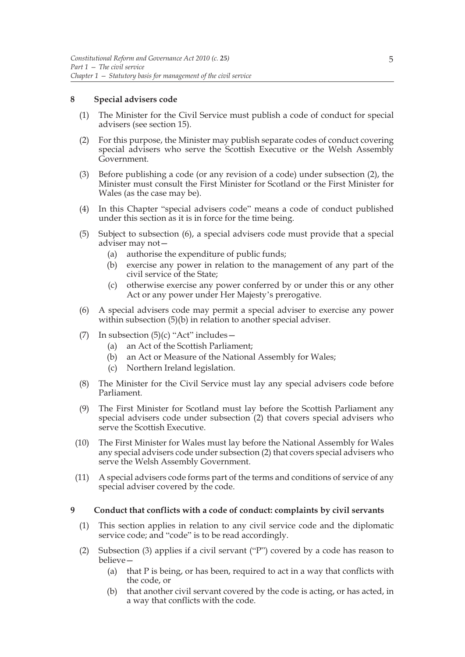### **8 Special advisers code**

- (1) The Minister for the Civil Service must publish a code of conduct for special advisers (see section 15).
- (2) For this purpose, the Minister may publish separate codes of conduct covering special advisers who serve the Scottish Executive or the Welsh Assembly Government.
- (3) Before publishing a code (or any revision of a code) under subsection (2), the Minister must consult the First Minister for Scotland or the First Minister for Wales (as the case may be).
- (4) In this Chapter "special advisers code" means a code of conduct published under this section as it is in force for the time being.
- (5) Subject to subsection (6), a special advisers code must provide that a special adviser may not—
	- (a) authorise the expenditure of public funds;
	- (b) exercise any power in relation to the management of any part of the civil service of the State;
	- (c) otherwise exercise any power conferred by or under this or any other Act or any power under Her Majesty's prerogative.
- (6) A special advisers code may permit a special adviser to exercise any power within subsection (5)(b) in relation to another special adviser.
- (7) In subsection  $(5)(c)$  "Act" includes -
	- (a) an Act of the Scottish Parliament;
	- (b) an Act or Measure of the National Assembly for Wales;
	- (c) Northern Ireland legislation.
- (8) The Minister for the Civil Service must lay any special advisers code before Parliament.
- (9) The First Minister for Scotland must lay before the Scottish Parliament any special advisers code under subsection (2) that covers special advisers who serve the Scottish Executive.
- (10) The First Minister for Wales must lay before the National Assembly for Wales any special advisers code under subsection (2) that covers special advisers who serve the Welsh Assembly Government.
- (11) A special advisers code forms part of the terms and conditions of service of any special adviser covered by the code.

#### **9 Conduct that conflicts with a code of conduct: complaints by civil servants**

- (1) This section applies in relation to any civil service code and the diplomatic service code; and "code" is to be read accordingly.
- (2) Subsection (3) applies if a civil servant ("P") covered by a code has reason to believe—
	- (a) that P is being, or has been, required to act in a way that conflicts with the code, or
	- (b) that another civil servant covered by the code is acting, or has acted, in a way that conflicts with the code.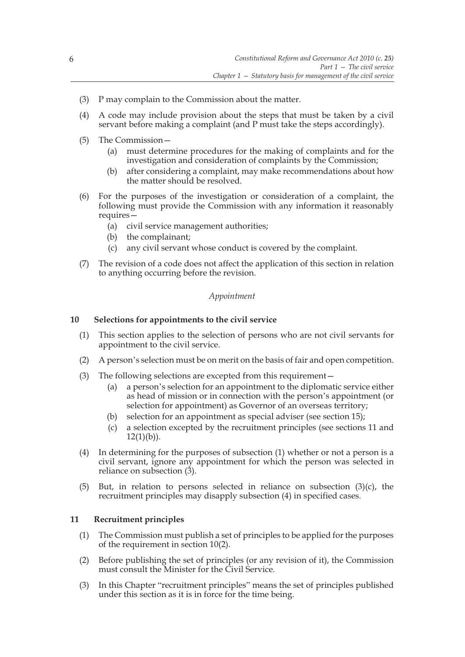- (3) P may complain to the Commission about the matter.
- (4) A code may include provision about the steps that must be taken by a civil servant before making a complaint (and P must take the steps accordingly).
- (5) The Commission—
	- (a) must determine procedures for the making of complaints and for the investigation and consideration of complaints by the Commission;
	- (b) after considering a complaint, may make recommendations about how the matter should be resolved.
- (6) For the purposes of the investigation or consideration of a complaint, the following must provide the Commission with any information it reasonably requires—
	- (a) civil service management authorities;
	- (b) the complainant;
	- (c) any civil servant whose conduct is covered by the complaint.
- (7) The revision of a code does not affect the application of this section in relation to anything occurring before the revision.

### *Appointment*

#### **10 Selections for appointments to the civil service**

- (1) This section applies to the selection of persons who are not civil servants for appointment to the civil service.
- (2) A person's selection must be on merit on the basis of fair and open competition.
- (3) The following selections are excepted from this requirement—
	- (a) a person's selection for an appointment to the diplomatic service either as head of mission or in connection with the person's appointment (or selection for appointment) as Governor of an overseas territory;
	- (b) selection for an appointment as special adviser (see section 15);
	- (c) a selection excepted by the recruitment principles (see sections 11 and  $12(1)(b)$ ).
- (4) In determining for the purposes of subsection (1) whether or not a person is a civil servant, ignore any appointment for which the person was selected in reliance on subsection (3).
- (5) But, in relation to persons selected in reliance on subsection  $(3)(c)$ , the recruitment principles may disapply subsection (4) in specified cases.

#### **11 Recruitment principles**

- (1) The Commission must publish a set of principles to be applied for the purposes of the requirement in section 10(2).
- (2) Before publishing the set of principles (or any revision of it), the Commission must consult the Minister for the Civil Service.
- (3) In this Chapter "recruitment principles" means the set of principles published under this section as it is in force for the time being.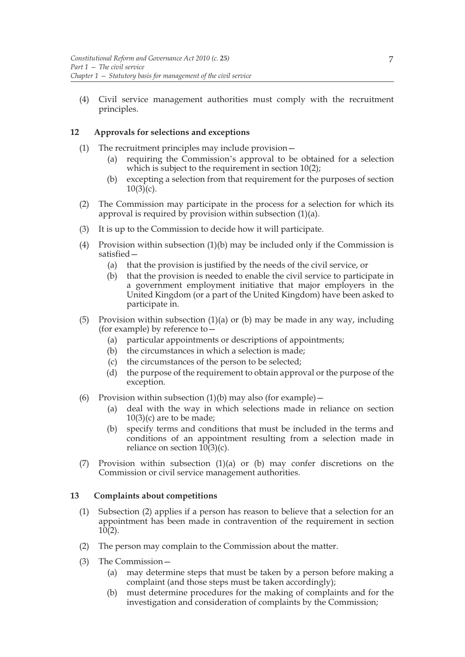(4) Civil service management authorities must comply with the recruitment principles.

## **12 Approvals for selections and exceptions**

- (1) The recruitment principles may include provision—
	- (a) requiring the Commission's approval to be obtained for a selection which is subject to the requirement in section 10(2);
	- (b) excepting a selection from that requirement for the purposes of section  $10(3)(c)$ .
- (2) The Commission may participate in the process for a selection for which its approval is required by provision within subsection (1)(a).
- (3) It is up to the Commission to decide how it will participate.
- (4) Provision within subsection  $(1)(b)$  may be included only if the Commission is satisfied—
	- (a) that the provision is justified by the needs of the civil service, or
	- (b) that the provision is needed to enable the civil service to participate in a government employment initiative that major employers in the United Kingdom (or a part of the United Kingdom) have been asked to participate in.
- (5) Provision within subsection (1)(a) or (b) may be made in any way, including (for example) by reference to—
	- (a) particular appointments or descriptions of appointments;
	- (b) the circumstances in which a selection is made;
	- (c) the circumstances of the person to be selected;
	- (d) the purpose of the requirement to obtain approval or the purpose of the exception.
- (6) Provision within subsection  $(1)(b)$  may also (for example)
	- (a) deal with the way in which selections made in reliance on section 10(3)(c) are to be made;
	- (b) specify terms and conditions that must be included in the terms and conditions of an appointment resulting from a selection made in reliance on section  $10(3)(c)$ .
- (7) Provision within subsection  $(1)(a)$  or (b) may confer discretions on the Commission or civil service management authorities.

## **13 Complaints about competitions**

- (1) Subsection (2) applies if a person has reason to believe that a selection for an appointment has been made in contravention of the requirement in section 10(2).
- (2) The person may complain to the Commission about the matter.
- (3) The Commission—
	- (a) may determine steps that must be taken by a person before making a complaint (and those steps must be taken accordingly);
	- (b) must determine procedures for the making of complaints and for the investigation and consideration of complaints by the Commission;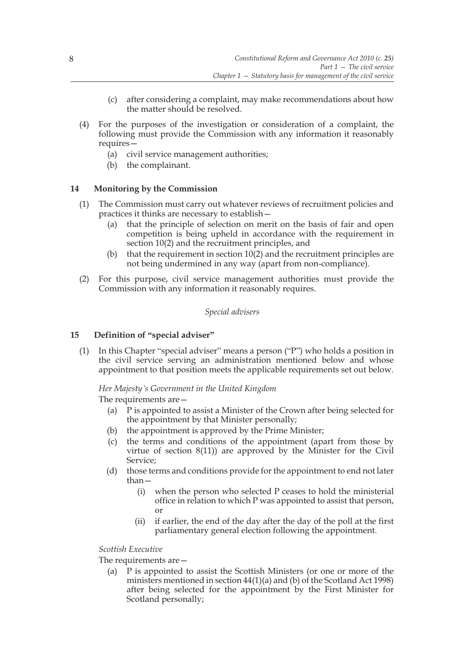- (c) after considering a complaint, may make recommendations about how the matter should be resolved.
- (4) For the purposes of the investigation or consideration of a complaint, the following must provide the Commission with any information it reasonably requires—
	- (a) civil service management authorities;
	- (b) the complainant.

## **14 Monitoring by the Commission**

- (1) The Commission must carry out whatever reviews of recruitment policies and practices it thinks are necessary to establish—
	- (a) that the principle of selection on merit on the basis of fair and open competition is being upheld in accordance with the requirement in section 10(2) and the recruitment principles, and
	- (b) that the requirement in section 10(2) and the recruitment principles are not being undermined in any way (apart from non-compliance).
- (2) For this purpose, civil service management authorities must provide the Commission with any information it reasonably requires.

## *Special advisers*

## **15 Definition of "special adviser"**

(1) In this Chapter "special adviser" means a person ("P") who holds a position in the civil service serving an administration mentioned below and whose appointment to that position meets the applicable requirements set out below.

## *Her Majesty's Government in the United Kingdom*

The requirements are—

- (a) P is appointed to assist a Minister of the Crown after being selected for the appointment by that Minister personally;
- (b) the appointment is approved by the Prime Minister;
- (c) the terms and conditions of the appointment (apart from those by virtue of section 8(11)) are approved by the Minister for the Civil Service;
- (d) those terms and conditions provide for the appointment to end not later than—
	- (i) when the person who selected P ceases to hold the ministerial office in relation to which P was appointed to assist that person, or
	- (ii) if earlier, the end of the day after the day of the poll at the first parliamentary general election following the appointment.

## *Scottish Executive*

The requirements are—

(a) P is appointed to assist the Scottish Ministers (or one or more of the ministers mentioned in section 44(1)(a) and (b) of the Scotland Act 1998) after being selected for the appointment by the First Minister for Scotland personally;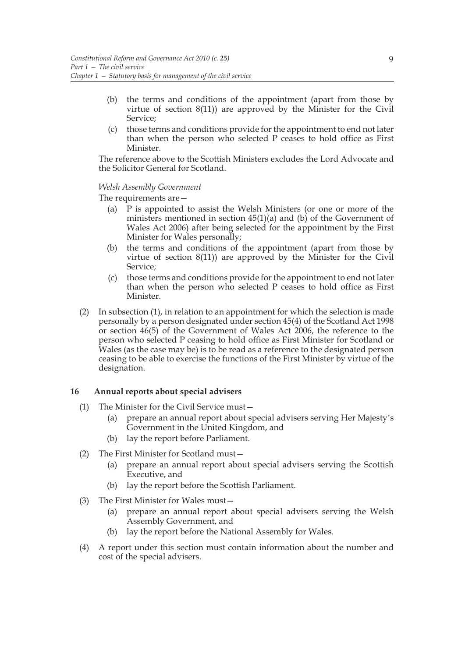- (b) the terms and conditions of the appointment (apart from those by virtue of section 8(11)) are approved by the Minister for the Civil Service;
- (c) those terms and conditions provide for the appointment to end not later than when the person who selected P ceases to hold office as First Minister.

The reference above to the Scottish Ministers excludes the Lord Advocate and the Solicitor General for Scotland.

### *Welsh Assembly Government*

The requirements are—

- (a) P is appointed to assist the Welsh Ministers (or one or more of the ministers mentioned in section 45(1)(a) and (b) of the Government of Wales Act 2006) after being selected for the appointment by the First Minister for Wales personally;
- (b) the terms and conditions of the appointment (apart from those by virtue of section 8(11)) are approved by the Minister for the Civil Service;
- (c) those terms and conditions provide for the appointment to end not later than when the person who selected P ceases to hold office as First **Minister**
- (2) In subsection (1), in relation to an appointment for which the selection is made personally by a person designated under section 45(4) of the Scotland Act 1998 or section 46(5) of the Government of Wales Act 2006, the reference to the person who selected P ceasing to hold office as First Minister for Scotland or Wales (as the case may be) is to be read as a reference to the designated person ceasing to be able to exercise the functions of the First Minister by virtue of the designation.

## **16 Annual reports about special advisers**

- (1) The Minister for the Civil Service must—
	- (a) prepare an annual report about special advisers serving Her Majesty's Government in the United Kingdom, and
	- (b) lay the report before Parliament.
- (2) The First Minister for Scotland must—
	- (a) prepare an annual report about special advisers serving the Scottish Executive, and
	- (b) lay the report before the Scottish Parliament.
- (3) The First Minister for Wales must—
	- (a) prepare an annual report about special advisers serving the Welsh Assembly Government, and
	- (b) lay the report before the National Assembly for Wales.
- (4) A report under this section must contain information about the number and cost of the special advisers.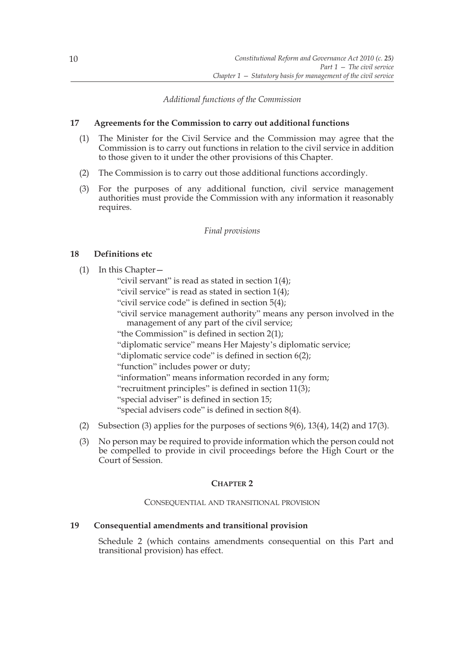*Additional functions of the Commission*

## **17 Agreements for the Commission to carry out additional functions**

- (1) The Minister for the Civil Service and the Commission may agree that the Commission is to carry out functions in relation to the civil service in addition to those given to it under the other provisions of this Chapter.
- (2) The Commission is to carry out those additional functions accordingly.
- (3) For the purposes of any additional function, civil service management authorities must provide the Commission with any information it reasonably requires.

*Final provisions*

## **18 Definitions etc**

(1) In this Chapter—

"civil servant" is read as stated in section 1(4); "civil service" is read as stated in section 1(4); "civil service code" is defined in section 5(4); "civil service management authority" means any person involved in the management of any part of the civil service; "the Commission" is defined in section 2(1); "diplomatic service" means Her Majesty's diplomatic service; "diplomatic service code" is defined in section 6(2); "function" includes power or duty; "information" means information recorded in any form; "recruitment principles" is defined in section 11(3); "special adviser" is defined in section 15; "special advisers code" is defined in section 8(4).

- (2) Subsection (3) applies for the purposes of sections 9(6), 13(4), 14(2) and 17(3).
- (3) No person may be required to provide information which the person could not be compelled to provide in civil proceedings before the High Court or the Court of Session.

## **CHAPTER 2**

## CONSEQUENTIAL AND TRANSITIONAL PROVISION

## **19 Consequential amendments and transitional provision**

Schedule 2 (which contains amendments consequential on this Part and transitional provision) has effect.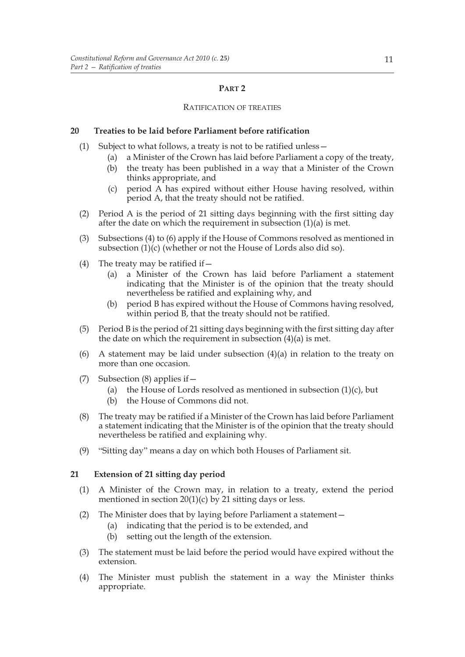## **PART 2**

### RATIFICATION OF TREATIES

## **20 Treaties to be laid before Parliament before ratification**

- (1) Subject to what follows, a treaty is not to be ratified unless—
	- (a) a Minister of the Crown has laid before Parliament a copy of the treaty,
	- (b) the treaty has been published in a way that a Minister of the Crown thinks appropriate, and
	- (c) period A has expired without either House having resolved, within period A, that the treaty should not be ratified.
- (2) Period A is the period of 21 sitting days beginning with the first sitting day after the date on which the requirement in subsection  $(1)(a)$  is met.
- (3) Subsections (4) to (6) apply if the House of Commons resolved as mentioned in subsection (1)(c) (whether or not the House of Lords also did so).
- (4) The treaty may be ratified if  $-$ 
	- (a) a Minister of the Crown has laid before Parliament a statement indicating that the Minister is of the opinion that the treaty should nevertheless be ratified and explaining why, and
	- (b) period B has expired without the House of Commons having resolved, within period B, that the treaty should not be ratified.
- (5) Period B is the period of 21 sitting days beginning with the first sitting day after the date on which the requirement in subsection (4)(a) is met.
- (6) A statement may be laid under subsection (4)(a) in relation to the treaty on more than one occasion.
- (7) Subsection (8) applies if—
	- (a) the House of Lords resolved as mentioned in subsection  $(1)(c)$ , but
	- (b) the House of Commons did not.
- (8) The treaty may be ratified if a Minister of the Crown has laid before Parliament a statement indicating that the Minister is of the opinion that the treaty should nevertheless be ratified and explaining why.
- (9) "Sitting day" means a day on which both Houses of Parliament sit.

## **21 Extension of 21 sitting day period**

- (1) A Minister of the Crown may, in relation to a treaty, extend the period mentioned in section  $20(1)(c)$  by 21 sitting days or less.
- (2) The Minister does that by laying before Parliament a statement—
	- (a) indicating that the period is to be extended, and
	- (b) setting out the length of the extension.
- (3) The statement must be laid before the period would have expired without the extension.
- (4) The Minister must publish the statement in a way the Minister thinks appropriate.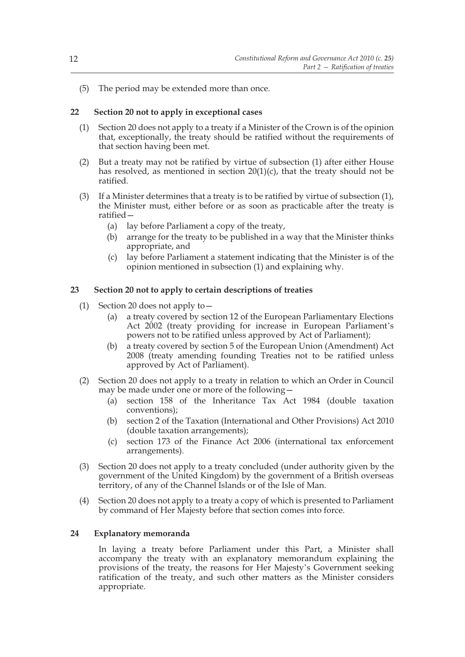(5) The period may be extended more than once.

## **22 Section 20 not to apply in exceptional cases**

- (1) Section 20 does not apply to a treaty if a Minister of the Crown is of the opinion that, exceptionally, the treaty should be ratified without the requirements of that section having been met.
- (2) But a treaty may not be ratified by virtue of subsection (1) after either House has resolved, as mentioned in section  $20(1)(c)$ , that the treaty should not be ratified.
- (3) If a Minister determines that a treaty is to be ratified by virtue of subsection (1), the Minister must, either before or as soon as practicable after the treaty is ratified—
	- (a) lay before Parliament a copy of the treaty,
	- (b) arrange for the treaty to be published in a way that the Minister thinks appropriate, and
	- (c) lay before Parliament a statement indicating that the Minister is of the opinion mentioned in subsection (1) and explaining why.

## **23 Section 20 not to apply to certain descriptions of treaties**

- (1) Section 20 does not apply to—
	- (a) a treaty covered by section 12 of the European Parliamentary Elections Act 2002 (treaty providing for increase in European Parliament's powers not to be ratified unless approved by Act of Parliament);
	- (b) a treaty covered by section 5 of the European Union (Amendment) Act 2008 (treaty amending founding Treaties not to be ratified unless approved by Act of Parliament).
- (2) Section 20 does not apply to a treaty in relation to which an Order in Council may be made under one or more of the following—
	- (a) section 158 of the Inheritance Tax Act 1984 (double taxation conventions);
	- (b) section 2 of the Taxation (International and Other Provisions) Act 2010 (double taxation arrangements);
	- (c) section 173 of the Finance Act 2006 (international tax enforcement arrangements).
- (3) Section 20 does not apply to a treaty concluded (under authority given by the government of the United Kingdom) by the government of a British overseas territory, of any of the Channel Islands or of the Isle of Man.
- (4) Section 20 does not apply to a treaty a copy of which is presented to Parliament by command of Her Majesty before that section comes into force.

## **24 Explanatory memoranda**

In laying a treaty before Parliament under this Part, a Minister shall accompany the treaty with an explanatory memorandum explaining the provisions of the treaty, the reasons for Her Majesty's Government seeking ratification of the treaty, and such other matters as the Minister considers appropriate.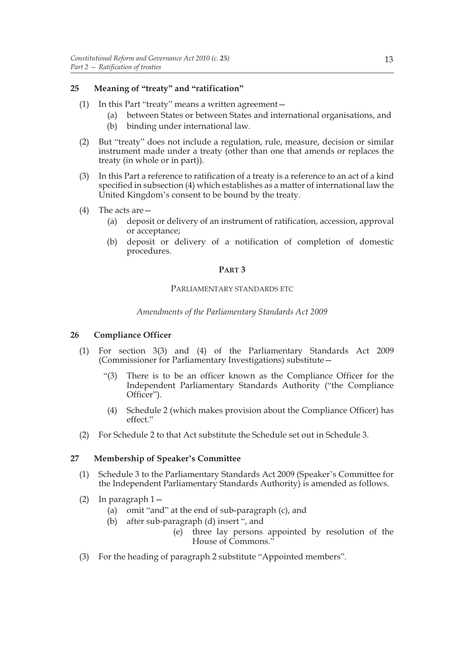## **25 Meaning of "treaty" and "ratification"**

- (1) In this Part "treaty" means a written agreement—
	- (a) between States or between States and international organisations, and
	- (b) binding under international law.
- (2) But "treaty" does not include a regulation, rule, measure, decision or similar instrument made under a treaty (other than one that amends or replaces the treaty (in whole or in part)).
- (3) In this Part a reference to ratification of a treaty is a reference to an act of a kind specified in subsection (4) which establishes as a matter of international law the United Kingdom's consent to be bound by the treaty.
- (4) The acts are—
	- (a) deposit or delivery of an instrument of ratification, accession, approval or acceptance;
	- (b) deposit or delivery of a notification of completion of domestic procedures.

#### **PART 3**

## PARLIAMENTARY STANDARDS ETC

## *Amendments of the Parliamentary Standards Act 2009*

## **26 Compliance Officer**

- (1) For section 3(3) and (4) of the Parliamentary Standards Act 2009 (Commissioner for Parliamentary Investigations) substitute—
	- "(3) There is to be an officer known as the Compliance Officer for the Independent Parliamentary Standards Authority ("the Compliance Officer").
	- (4) Schedule 2 (which makes provision about the Compliance Officer) has effect."
- (2) For Schedule 2 to that Act substitute the Schedule set out in Schedule 3.

## **27 Membership of Speaker's Committee**

- (1) Schedule 3 to the Parliamentary Standards Act 2009 (Speaker's Committee for the Independent Parliamentary Standards Authority) is amended as follows.
- (2) In paragraph 1—
	- (a) omit "and" at the end of sub-paragraph (c), and
	- (b) after sub-paragraph (d) insert ", and
		- (e) three lay persons appointed by resolution of the House of Commons."
- (3) For the heading of paragraph 2 substitute "Appointed members".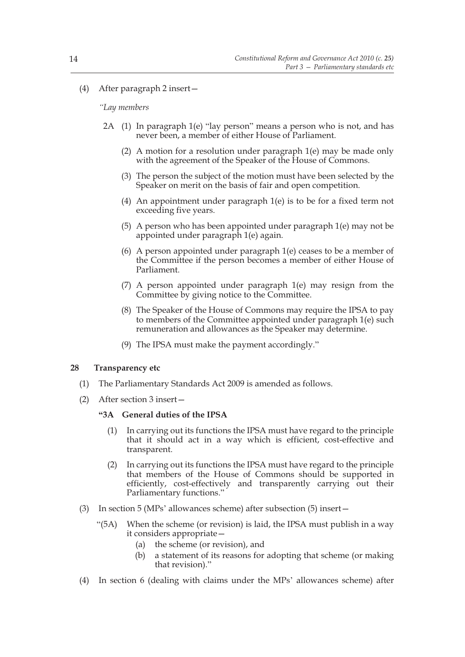## (4) After paragraph 2 insert—

#### *"Lay members*

- 2A (1) In paragraph 1(e) "lay person" means a person who is not, and has never been, a member of either House of Parliament.
	- (2) A motion for a resolution under paragraph 1(e) may be made only with the agreement of the Speaker of the House of Commons.
	- (3) The person the subject of the motion must have been selected by the Speaker on merit on the basis of fair and open competition.
	- (4) An appointment under paragraph 1(e) is to be for a fixed term not exceeding five years.
	- (5) A person who has been appointed under paragraph 1(e) may not be appointed under paragraph 1(e) again.
	- (6) A person appointed under paragraph 1(e) ceases to be a member of the Committee if the person becomes a member of either House of Parliament.
	- (7) A person appointed under paragraph 1(e) may resign from the Committee by giving notice to the Committee.
	- (8) The Speaker of the House of Commons may require the IPSA to pay to members of the Committee appointed under paragraph 1(e) such remuneration and allowances as the Speaker may determine.
	- (9) The IPSA must make the payment accordingly."

#### **28 Transparency etc**

- (1) The Parliamentary Standards Act 2009 is amended as follows.
- (2) After section 3 insert—

#### **"3A General duties of the IPSA**

- (1) In carrying out its functions the IPSA must have regard to the principle that it should act in a way which is efficient, cost-effective and transparent.
- (2) In carrying out its functions the IPSA must have regard to the principle that members of the House of Commons should be supported in efficiently, cost-effectively and transparently carrying out their Parliamentary functions."
- (3) In section 5 (MPs' allowances scheme) after subsection (5) insert—
	- "(5A) When the scheme (or revision) is laid, the IPSA must publish in a way it considers appropriate—
		- (a) the scheme (or revision), and
		- (b) a statement of its reasons for adopting that scheme (or making that revision)."
- (4) In section 6 (dealing with claims under the MPs' allowances scheme) after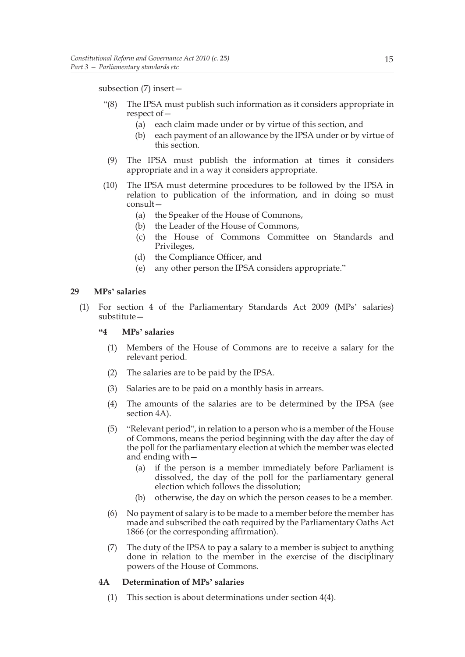subsection (7) insert—

- "(8) The IPSA must publish such information as it considers appropriate in respect of—
	- (a) each claim made under or by virtue of this section, and
	- (b) each payment of an allowance by the IPSA under or by virtue of this section.
- (9) The IPSA must publish the information at times it considers appropriate and in a way it considers appropriate.
- (10) The IPSA must determine procedures to be followed by the IPSA in relation to publication of the information, and in doing so must consult—
	- (a) the Speaker of the House of Commons,
	- (b) the Leader of the House of Commons,
	- (c) the House of Commons Committee on Standards and Privileges,
	- (d) the Compliance Officer, and
	- (e) any other person the IPSA considers appropriate."

#### **29 MPs' salaries**

(1) For section 4 of the Parliamentary Standards Act 2009 (MPs' salaries) substitute—

## **"4 MPs' salaries**

- (1) Members of the House of Commons are to receive a salary for the relevant period.
- (2) The salaries are to be paid by the IPSA.
- (3) Salaries are to be paid on a monthly basis in arrears.
- (4) The amounts of the salaries are to be determined by the IPSA (see section 4A).
- (5) "Relevant period", in relation to a person who is a member of the House of Commons, means the period beginning with the day after the day of the poll for the parliamentary election at which the member was elected and ending with—
	- (a) if the person is a member immediately before Parliament is dissolved, the day of the poll for the parliamentary general election which follows the dissolution;
	- (b) otherwise, the day on which the person ceases to be a member.
- (6) No payment of salary is to be made to a member before the member has made and subscribed the oath required by the Parliamentary Oaths Act 1866 (or the corresponding affirmation).
- (7) The duty of the IPSA to pay a salary to a member is subject to anything done in relation to the member in the exercise of the disciplinary powers of the House of Commons.

#### **4A Determination of MPs' salaries**

(1) This section is about determinations under section 4(4).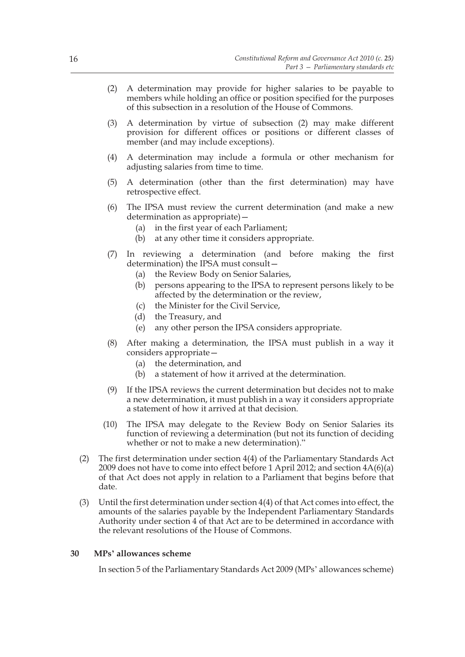- (2) A determination may provide for higher salaries to be payable to members while holding an office or position specified for the purposes of this subsection in a resolution of the House of Commons.
- (3) A determination by virtue of subsection (2) may make different provision for different offices or positions or different classes of member (and may include exceptions).
- (4) A determination may include a formula or other mechanism for adjusting salaries from time to time.
- (5) A determination (other than the first determination) may have retrospective effect.
- (6) The IPSA must review the current determination (and make a new determination as appropriate)—
	- (a) in the first year of each Parliament;
	- (b) at any other time it considers appropriate.
- (7) In reviewing a determination (and before making the first determination) the IPSA must consult—
	- (a) the Review Body on Senior Salaries,
	- (b) persons appearing to the IPSA to represent persons likely to be affected by the determination or the review,
	- (c) the Minister for the Civil Service,
	- (d) the Treasury, and
	- (e) any other person the IPSA considers appropriate.
- (8) After making a determination, the IPSA must publish in a way it considers appropriate—
	- (a) the determination, and
	- (b) a statement of how it arrived at the determination.
- (9) If the IPSA reviews the current determination but decides not to make a new determination, it must publish in a way it considers appropriate a statement of how it arrived at that decision.
- (10) The IPSA may delegate to the Review Body on Senior Salaries its function of reviewing a determination (but not its function of deciding whether or not to make a new determination)."
- (2) The first determination under section 4(4) of the Parliamentary Standards Act 2009 does not have to come into effect before 1 April 2012; and section 4A(6)(a) of that Act does not apply in relation to a Parliament that begins before that date.
- (3) Until the first determination under section 4(4) of that Act comes into effect, the amounts of the salaries payable by the Independent Parliamentary Standards Authority under section 4 of that Act are to be determined in accordance with the relevant resolutions of the House of Commons.

#### **30 MPs' allowances scheme**

In section 5 of the Parliamentary Standards Act 2009 (MPs' allowances scheme)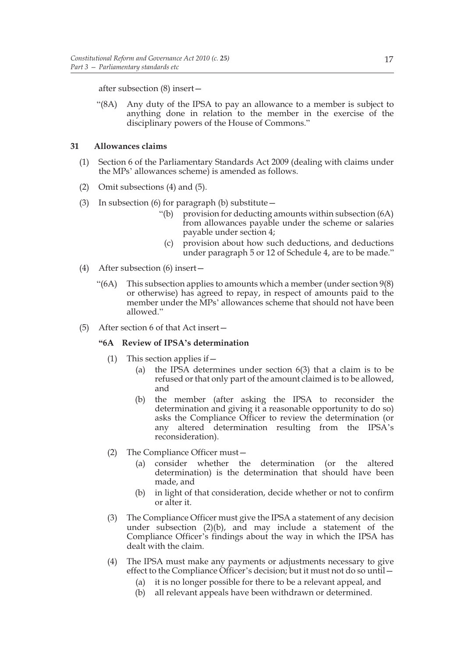after subsection (8) insert—

"(8A) Any duty of the IPSA to pay an allowance to a member is subject to anything done in relation to the member in the exercise of the disciplinary powers of the House of Commons."

## **31 Allowances claims**

- (1) Section 6 of the Parliamentary Standards Act 2009 (dealing with claims under the MPs' allowances scheme) is amended as follows.
- (2) Omit subsections (4) and (5).
- (3) In subsection (6) for paragraph (b) substitute  $-$ 
	- "(b) provision for deducting amounts within subsection (6A) from allowances payable under the scheme or salaries payable under section 4;
	- (c) provision about how such deductions, and deductions under paragraph 5 or 12 of Schedule 4, are to be made."
- (4) After subsection (6) insert—
	- "(6A) This subsection applies to amounts which a member (under section  $9(8)$ ) or otherwise) has agreed to repay, in respect of amounts paid to the member under the MPs' allowances scheme that should not have been allowed."
- (5) After section 6 of that Act insert—

#### **"6A Review of IPSA's determination**

- (1) This section applies if—
	- (a) the IPSA determines under section 6(3) that a claim is to be refused or that only part of the amount claimed is to be allowed, and
	- (b) the member (after asking the IPSA to reconsider the determination and giving it a reasonable opportunity to do so) asks the Compliance Officer to review the determination (or any altered determination resulting from the IPSA's reconsideration).
- (2) The Compliance Officer must—
	- (a) consider whether the determination (or the altered determination) is the determination that should have been made, and
	- (b) in light of that consideration, decide whether or not to confirm or alter it.
- (3) The Compliance Officer must give the IPSA a statement of any decision under subsection (2)(b), and may include a statement of the Compliance Officer's findings about the way in which the IPSA has dealt with the claim.
- (4) The IPSA must make any payments or adjustments necessary to give effect to the Compliance Officer's decision; but it must not do so until—
	- (a) it is no longer possible for there to be a relevant appeal, and
	- (b) all relevant appeals have been withdrawn or determined.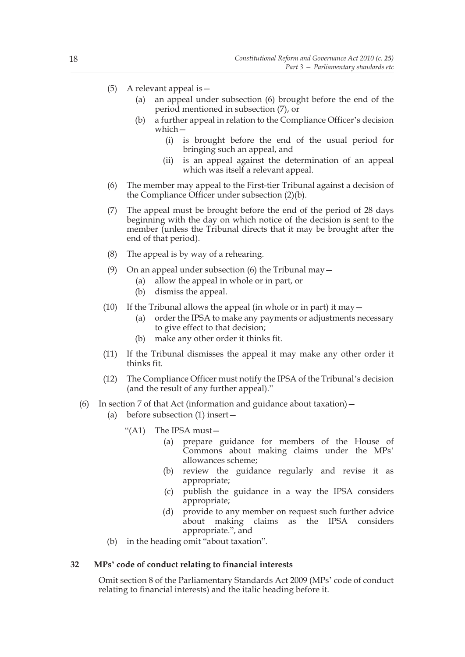- (5) A relevant appeal is—
	- (a) an appeal under subsection (6) brought before the end of the period mentioned in subsection (7), or
	- (b) a further appeal in relation to the Compliance Officer's decision which—
		- (i) is brought before the end of the usual period for bringing such an appeal, and
		- (ii) is an appeal against the determination of an appeal which was itself a relevant appeal.
- (6) The member may appeal to the First-tier Tribunal against a decision of the Compliance Officer under subsection (2)(b).
- (7) The appeal must be brought before the end of the period of 28 days beginning with the day on which notice of the decision is sent to the member (unless the Tribunal directs that it may be brought after the end of that period).
- (8) The appeal is by way of a rehearing.
- (9) On an appeal under subsection (6) the Tribunal may  $-$ 
	- (a) allow the appeal in whole or in part, or
	- (b) dismiss the appeal.
- (10) If the Tribunal allows the appeal (in whole or in part) it may  $-$ 
	- (a) order the IPSA to make any payments or adjustments necessary to give effect to that decision;
	- (b) make any other order it thinks fit.
- (11) If the Tribunal dismisses the appeal it may make any other order it thinks fit.
- (12) The Compliance Officer must notify the IPSA of the Tribunal's decision (and the result of any further appeal)."
- (6) In section 7 of that Act (information and guidance about taxation)  $-$ 
	- (a) before subsection (1) insert—
		- "(A1) The IPSA must—
			- (a) prepare guidance for members of the House of Commons about making claims under the MPs' allowances scheme;
			- (b) review the guidance regularly and revise it as appropriate;
			- (c) publish the guidance in a way the IPSA considers appropriate;
			- (d) provide to any member on request such further advice about making claims as the IPSA considers appropriate.", and
	- (b) in the heading omit "about taxation".

#### **32 MPs' code of conduct relating to financial interests**

Omit section 8 of the Parliamentary Standards Act 2009 (MPs' code of conduct relating to financial interests) and the italic heading before it.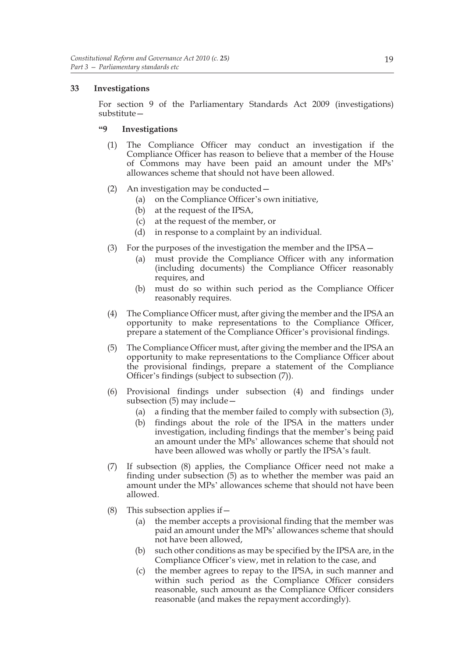## **33 Investigations**

For section 9 of the Parliamentary Standards Act 2009 (investigations) substitute—

## **"9 Investigations**

- (1) The Compliance Officer may conduct an investigation if the Compliance Officer has reason to believe that a member of the House of Commons may have been paid an amount under the MPs' allowances scheme that should not have been allowed.
- (2) An investigation may be conducted—
	- (a) on the Compliance Officer's own initiative,
	- (b) at the request of the IPSA,
	- (c) at the request of the member, or
	- (d) in response to a complaint by an individual.
- (3) For the purposes of the investigation the member and the IPSA—
	- (a) must provide the Compliance Officer with any information (including documents) the Compliance Officer reasonably requires, and
	- (b) must do so within such period as the Compliance Officer reasonably requires.
- (4) The Compliance Officer must, after giving the member and the IPSA an opportunity to make representations to the Compliance Officer, prepare a statement of the Compliance Officer's provisional findings.
- (5) The Compliance Officer must, after giving the member and the IPSA an opportunity to make representations to the Compliance Officer about the provisional findings, prepare a statement of the Compliance Officer's findings (subject to subsection (7)).
- (6) Provisional findings under subsection (4) and findings under subsection (5) may include—
	- (a) a finding that the member failed to comply with subsection (3),
	- (b) findings about the role of the IPSA in the matters under investigation, including findings that the member's being paid an amount under the MPs' allowances scheme that should not have been allowed was wholly or partly the IPSA's fault.
- (7) If subsection (8) applies, the Compliance Officer need not make a finding under subsection (5) as to whether the member was paid an amount under the MPs' allowances scheme that should not have been allowed.
- (8) This subsection applies if  $-$ 
	- (a) the member accepts a provisional finding that the member was paid an amount under the MPs' allowances scheme that should not have been allowed,
	- (b) such other conditions as may be specified by the IPSA are, in the Compliance Officer's view, met in relation to the case, and
	- (c) the member agrees to repay to the IPSA, in such manner and within such period as the Compliance Officer considers reasonable, such amount as the Compliance Officer considers reasonable (and makes the repayment accordingly).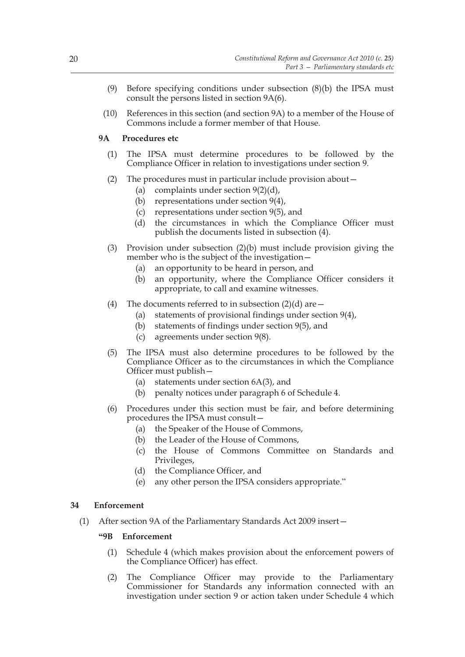- (9) Before specifying conditions under subsection (8)(b) the IPSA must consult the persons listed in section 9A(6).
- (10) References in this section (and section 9A) to a member of the House of Commons include a former member of that House.

## **9A Procedures etc**

- (1) The IPSA must determine procedures to be followed by the Compliance Officer in relation to investigations under section 9.
- (2) The procedures must in particular include provision about—
	- (a) complaints under section  $9(2)(d)$ ,
	- (b) representations under section 9(4),
	- (c) representations under section 9(5), and
	- (d) the circumstances in which the Compliance Officer must publish the documents listed in subsection (4).
- (3) Provision under subsection (2)(b) must include provision giving the member who is the subject of the investigation—
	- (a) an opportunity to be heard in person, and
	- (b) an opportunity, where the Compliance Officer considers it appropriate, to call and examine witnesses.
- (4) The documents referred to in subsection  $(2)(d)$  are  $-$ 
	- (a) statements of provisional findings under section 9(4),
	- (b) statements of findings under section 9(5), and
	- (c) agreements under section 9(8).
- (5) The IPSA must also determine procedures to be followed by the Compliance Officer as to the circumstances in which the Compliance Officer must publish—
	- (a) statements under section 6A(3), and
	- (b) penalty notices under paragraph 6 of Schedule 4.
- (6) Procedures under this section must be fair, and before determining procedures the IPSA must consult—
	- (a) the Speaker of the House of Commons,
	- (b) the Leader of the House of Commons,
	- (c) the House of Commons Committee on Standards and Privileges,
	- (d) the Compliance Officer, and
	- (e) any other person the IPSA considers appropriate."

## **34 Enforcement**

(1) After section 9A of the Parliamentary Standards Act 2009 insert—

## **"9B Enforcement**

- (1) Schedule 4 (which makes provision about the enforcement powers of the Compliance Officer) has effect.
- (2) The Compliance Officer may provide to the Parliamentary Commissioner for Standards any information connected with an investigation under section 9 or action taken under Schedule 4 which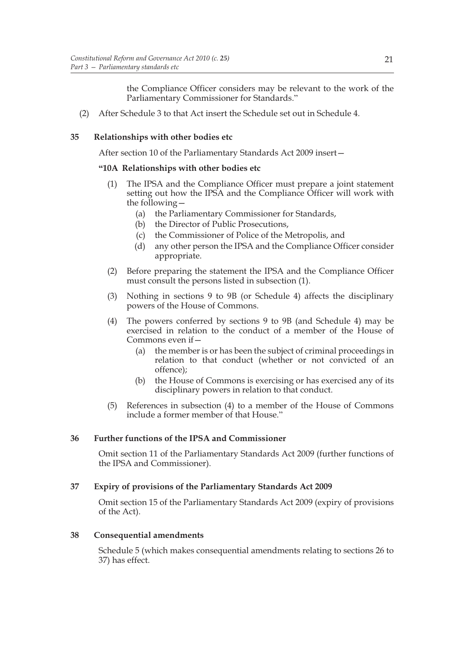the Compliance Officer considers may be relevant to the work of the Parliamentary Commissioner for Standards."

(2) After Schedule 3 to that Act insert the Schedule set out in Schedule 4.

## **35 Relationships with other bodies etc**

After section 10 of the Parliamentary Standards Act 2009 insert—

## **"10A Relationships with other bodies etc**

- (1) The IPSA and the Compliance Officer must prepare a joint statement setting out how the IPSA and the Compliance Officer will work with the following—
	- (a) the Parliamentary Commissioner for Standards,
	- (b) the Director of Public Prosecutions,
	- (c) the Commissioner of Police of the Metropolis, and
	- (d) any other person the IPSA and the Compliance Officer consider appropriate.
- (2) Before preparing the statement the IPSA and the Compliance Officer must consult the persons listed in subsection (1).
- (3) Nothing in sections 9 to 9B (or Schedule 4) affects the disciplinary powers of the House of Commons.
- (4) The powers conferred by sections 9 to 9B (and Schedule 4) may be exercised in relation to the conduct of a member of the House of Commons even if-
	- (a) the member is or has been the subject of criminal proceedings in relation to that conduct (whether or not convicted of an offence);
	- (b) the House of Commons is exercising or has exercised any of its disciplinary powers in relation to that conduct.
- (5) References in subsection (4) to a member of the House of Commons include a former member of that House."

## **36 Further functions of the IPSA and Commissioner**

Omit section 11 of the Parliamentary Standards Act 2009 (further functions of the IPSA and Commissioner).

## **37 Expiry of provisions of the Parliamentary Standards Act 2009**

Omit section 15 of the Parliamentary Standards Act 2009 (expiry of provisions of the Act).

## **38 Consequential amendments**

Schedule 5 (which makes consequential amendments relating to sections 26 to 37) has effect.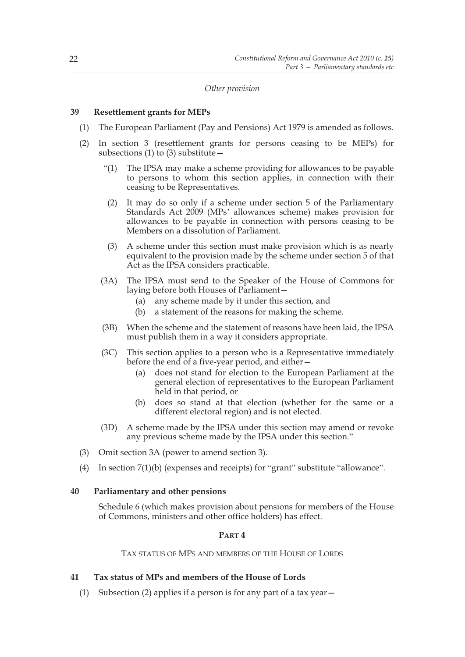*Other provision*

#### **39 Resettlement grants for MEPs**

- (1) The European Parliament (Pay and Pensions) Act 1979 is amended as follows.
- (2) In section 3 (resettlement grants for persons ceasing to be MEPs) for subsections (1) to (3) substitute  $-$ 
	- "(1) The IPSA may make a scheme providing for allowances to be payable to persons to whom this section applies, in connection with their ceasing to be Representatives.
	- (2) It may do so only if a scheme under section 5 of the Parliamentary Standards Act 2009 (MPs' allowances scheme) makes provision for allowances to be payable in connection with persons ceasing to be Members on a dissolution of Parliament.
	- (3) A scheme under this section must make provision which is as nearly equivalent to the provision made by the scheme under section 5 of that Act as the IPSA considers practicable.
	- (3A) The IPSA must send to the Speaker of the House of Commons for laying before both Houses of Parliament—
		- (a) any scheme made by it under this section, and
		- (b) a statement of the reasons for making the scheme.
	- (3B) When the scheme and the statement of reasons have been laid, the IPSA must publish them in a way it considers appropriate.
	- (3C) This section applies to a person who is a Representative immediately before the end of a five-year period, and either—
		- (a) does not stand for election to the European Parliament at the general election of representatives to the European Parliament held in that period, or
		- (b) does so stand at that election (whether for the same or a different electoral region) and is not elected.
	- (3D) A scheme made by the IPSA under this section may amend or revoke any previous scheme made by the IPSA under this section."
- (3) Omit section 3A (power to amend section 3).
- (4) In section 7(1)(b) (expenses and receipts) for "grant" substitute "allowance".

#### **40 Parliamentary and other pensions**

Schedule 6 (which makes provision about pensions for members of the House of Commons, ministers and other office holders) has effect.

## **PART 4**

TAX STATUS OF MPS AND MEMBERS OF THE HOUSE OF LORDS

## **41 Tax status of MPs and members of the House of Lords**

(1) Subsection (2) applies if a person is for any part of a tax year  $-$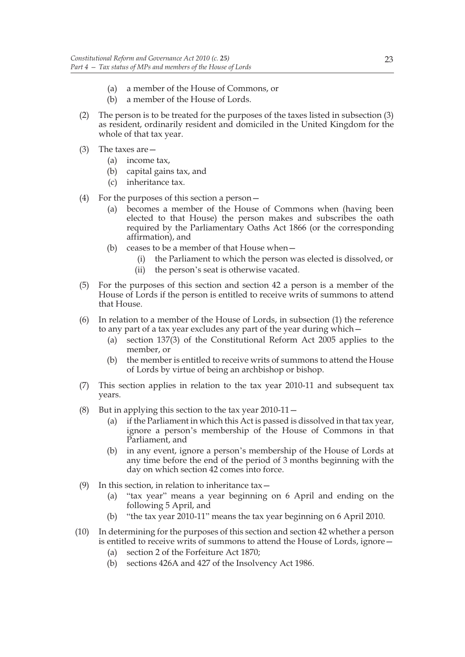- (a) a member of the House of Commons, or
- (b) a member of the House of Lords.
- (2) The person is to be treated for the purposes of the taxes listed in subsection (3) as resident, ordinarily resident and domiciled in the United Kingdom for the whole of that tax year.
- (3) The taxes are—
	- (a) income tax,
	- (b) capital gains tax, and
	- (c) inheritance tax.
- (4) For the purposes of this section a person—
	- (a) becomes a member of the House of Commons when (having been elected to that House) the person makes and subscribes the oath required by the Parliamentary Oaths Act 1866 (or the corresponding affirmation), and
	- (b) ceases to be a member of that House when—
		- (i) the Parliament to which the person was elected is dissolved, or
		- (ii) the person's seat is otherwise vacated.
- (5) For the purposes of this section and section 42 a person is a member of the House of Lords if the person is entitled to receive writs of summons to attend that House.
- (6) In relation to a member of the House of Lords, in subsection (1) the reference to any part of a tax year excludes any part of the year during which—
	- (a) section 137(3) of the Constitutional Reform Act 2005 applies to the member, or
	- (b) the member is entitled to receive writs of summons to attend the House of Lords by virtue of being an archbishop or bishop.
- (7) This section applies in relation to the tax year 2010-11 and subsequent tax years.
- (8) But in applying this section to the tax year  $2010-11-$ 
	- (a) if the Parliament in which this Act is passed is dissolved in that tax year, ignore a person's membership of the House of Commons in that Parliament, and
	- (b) in any event, ignore a person's membership of the House of Lords at any time before the end of the period of 3 months beginning with the day on which section 42 comes into force.
- (9) In this section, in relation to inheritance tax  $-$ 
	- (a) "tax year" means a year beginning on 6 April and ending on the following 5 April, and
	- (b) "the tax year 2010-11" means the tax year beginning on 6 April 2010.
- (10) In determining for the purposes of this section and section 42 whether a person is entitled to receive writs of summons to attend the House of Lords, ignore—
	- (a) section 2 of the Forfeiture Act 1870;
	- (b) sections 426A and 427 of the Insolvency Act 1986.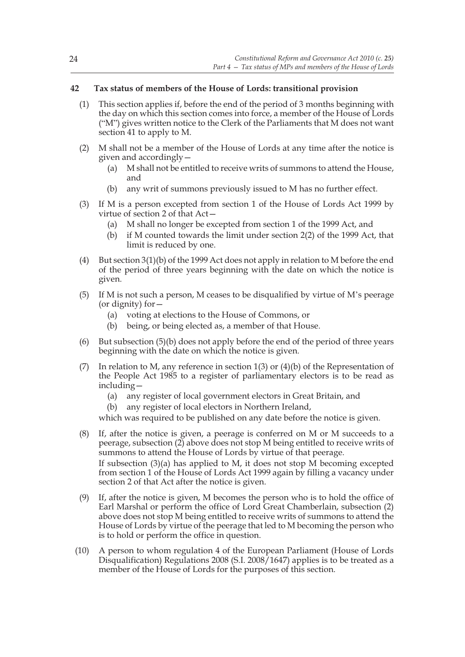## **42 Tax status of members of the House of Lords: transitional provision**

- (1) This section applies if, before the end of the period of 3 months beginning with the day on which this section comes into force, a member of the House of Lords ("M") gives written notice to the Clerk of the Parliaments that M does not want section 41 to apply to M.
- (2) M shall not be a member of the House of Lords at any time after the notice is given and accordingly—
	- (a) M shall not be entitled to receive writs of summons to attend the House, and
	- (b) any writ of summons previously issued to M has no further effect.
- (3) If M is a person excepted from section 1 of the House of Lords Act 1999 by virtue of section 2 of that Act—
	- (a) M shall no longer be excepted from section 1 of the 1999 Act, and
	- (b) if M counted towards the limit under section 2(2) of the 1999 Act, that limit is reduced by one.
- (4) But section 3(1)(b) of the 1999 Act does not apply in relation to M before the end of the period of three years beginning with the date on which the notice is given.
- (5) If M is not such a person, M ceases to be disqualified by virtue of M's peerage (or dignity) for—
	- (a) voting at elections to the House of Commons, or
	- (b) being, or being elected as, a member of that House.
- (6) But subsection (5)(b) does not apply before the end of the period of three years beginning with the date on which the notice is given.
- (7) In relation to M, any reference in section  $1(3)$  or  $(4)(b)$  of the Representation of the People Act 1985 to a register of parliamentary electors is to be read as including—
	- (a) any register of local government electors in Great Britain, and
	- (b) any register of local electors in Northern Ireland,

which was required to be published on any date before the notice is given.

(8) If, after the notice is given, a peerage is conferred on M or M succeeds to a peerage, subsection (2) above does not stop M being entitled to receive writs of summons to attend the House of Lords by virtue of that peerage.

If subsection (3)(a) has applied to M, it does not stop M becoming excepted from section 1 of the House of Lords Act 1999 again by filling a vacancy under section 2 of that Act after the notice is given.

- (9) If, after the notice is given, M becomes the person who is to hold the office of Earl Marshal or perform the office of Lord Great Chamberlain, subsection (2) above does not stop M being entitled to receive writs of summons to attend the House of Lords by virtue of the peerage that led to M becoming the person who is to hold or perform the office in question.
- (10) A person to whom regulation 4 of the European Parliament (House of Lords Disqualification) Regulations 2008 (S.I. 2008/1647) applies is to be treated as a member of the House of Lords for the purposes of this section.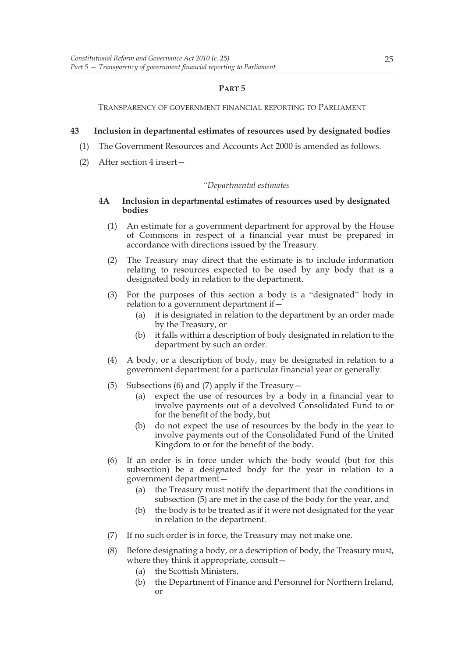## **PART 5**

TRANSPARENCY OF GOVERNMENT FINANCIAL REPORTING TO PARLIAMENT

## **43 Inclusion in departmental estimates of resources used by designated bodies**

- (1) The Government Resources and Accounts Act 2000 is amended as follows.
- (2) After section 4 insert—

#### *"Departmental estimates*

## **4A Inclusion in departmental estimates of resources used by designated bodies**

- (1) An estimate for a government department for approval by the House of Commons in respect of a financial year must be prepared in accordance with directions issued by the Treasury.
- (2) The Treasury may direct that the estimate is to include information relating to resources expected to be used by any body that is a designated body in relation to the department.
- (3) For the purposes of this section a body is a "designated" body in relation to a government department if—
	- (a) it is designated in relation to the department by an order made by the Treasury, or
	- (b) it falls within a description of body designated in relation to the department by such an order.
- (4) A body, or a description of body, may be designated in relation to a government department for a particular financial year or generally.
- (5) Subsections (6) and (7) apply if the Treasury—
	- (a) expect the use of resources by a body in a financial year to involve payments out of a devolved Consolidated Fund to or for the benefit of the body, but
	- (b) do not expect the use of resources by the body in the year to involve payments out of the Consolidated Fund of the United Kingdom to or for the benefit of the body.
- (6) If an order is in force under which the body would (but for this subsection) be a designated body for the year in relation to a government department—
	- (a) the Treasury must notify the department that the conditions in subsection (5) are met in the case of the body for the year, and
	- (b) the body is to be treated as if it were not designated for the year in relation to the department.
- (7) If no such order is in force, the Treasury may not make one.
- (8) Before designating a body, or a description of body, the Treasury must, where they think it appropriate, consult—
	- (a) the Scottish Ministers,
	- (b) the Department of Finance and Personnel for Northern Ireland, or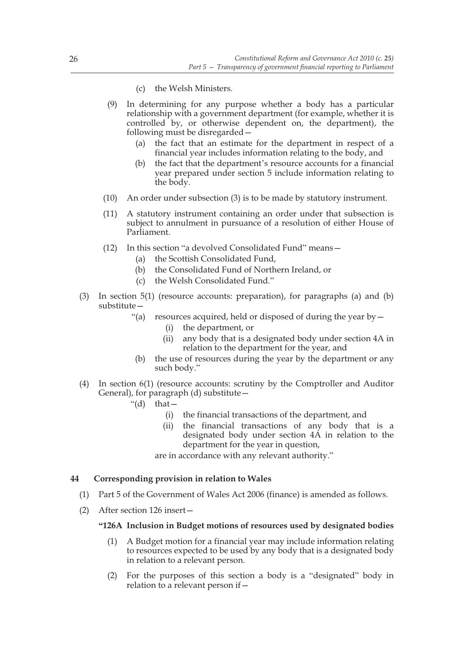- (c) the Welsh Ministers.
- (9) In determining for any purpose whether a body has a particular relationship with a government department (for example, whether it is controlled by, or otherwise dependent on, the department), the following must be disregarded—
	- (a) the fact that an estimate for the department in respect of a financial year includes information relating to the body, and
	- the fact that the department's resource accounts for a financial year prepared under section 5 include information relating to the body.
- (10) An order under subsection (3) is to be made by statutory instrument.
- (11) A statutory instrument containing an order under that subsection is subject to annulment in pursuance of a resolution of either House of Parliament.
- (12) In this section "a devolved Consolidated Fund" means—
	- (a) the Scottish Consolidated Fund,
	- (b) the Consolidated Fund of Northern Ireland, or
	- (c) the Welsh Consolidated Fund."
- (3) In section 5(1) (resource accounts: preparation), for paragraphs (a) and (b) substitute—
	- "(a) resources acquired, held or disposed of during the year by  $-$ 
		- (i) the department, or
		- (ii) any body that is a designated body under section 4A in relation to the department for the year, and
	- (b) the use of resources during the year by the department or any such body."
- (4) In section 6(1) (resource accounts: scrutiny by the Comptroller and Auditor General), for paragraph (d) substitute—
	- "(d) that  $-$ 
		- (i) the financial transactions of the department, and
		- (ii) the financial transactions of any body that is a designated body under section 4A in relation to the department for the year in question,

are in accordance with any relevant authority."

#### **44 Corresponding provision in relation to Wales**

- (1) Part 5 of the Government of Wales Act 2006 (finance) is amended as follows.
- (2) After section 126 insert—

#### **"126A Inclusion in Budget motions of resources used by designated bodies**

- (1) A Budget motion for a financial year may include information relating to resources expected to be used by any body that is a designated body in relation to a relevant person.
- (2) For the purposes of this section a body is a "designated" body in relation to a relevant person if—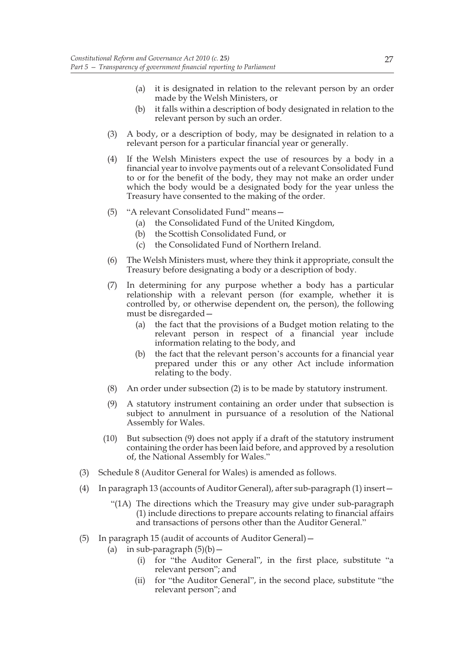- (a) it is designated in relation to the relevant person by an order made by the Welsh Ministers, or
- (b) it falls within a description of body designated in relation to the relevant person by such an order.
- (3) A body, or a description of body, may be designated in relation to a relevant person for a particular financial year or generally.
- (4) If the Welsh Ministers expect the use of resources by a body in a financial year to involve payments out of a relevant Consolidated Fund to or for the benefit of the body, they may not make an order under which the body would be a designated body for the year unless the Treasury have consented to the making of the order.
- (5) "A relevant Consolidated Fund" means—
	- (a) the Consolidated Fund of the United Kingdom,
	- (b) the Scottish Consolidated Fund, or
	- (c) the Consolidated Fund of Northern Ireland.
- (6) The Welsh Ministers must, where they think it appropriate, consult the Treasury before designating a body or a description of body.
- (7) In determining for any purpose whether a body has a particular relationship with a relevant person (for example, whether it is controlled by, or otherwise dependent on, the person), the following must be disregarded—
	- (a) the fact that the provisions of a Budget motion relating to the relevant person in respect of a financial year include information relating to the body, and
	- (b) the fact that the relevant person's accounts for a financial year prepared under this or any other Act include information relating to the body.
- (8) An order under subsection (2) is to be made by statutory instrument.
- (9) A statutory instrument containing an order under that subsection is subject to annulment in pursuance of a resolution of the National Assembly for Wales.
- (10) But subsection (9) does not apply if a draft of the statutory instrument containing the order has been laid before, and approved by a resolution of, the National Assembly for Wales."
- (3) Schedule 8 (Auditor General for Wales) is amended as follows.
- (4) In paragraph 13 (accounts of Auditor General), after sub-paragraph (1) insert—
	- "(1A) The directions which the Treasury may give under sub-paragraph (1) include directions to prepare accounts relating to financial affairs and transactions of persons other than the Auditor General."
- (5) In paragraph 15 (audit of accounts of Auditor General)—
	- (a) in sub-paragraph  $(5)(b)$  -
		- (i) for "the Auditor General", in the first place, substitute "a relevant person"; and
		- (ii) for "the Auditor General", in the second place, substitute "the relevant person"; and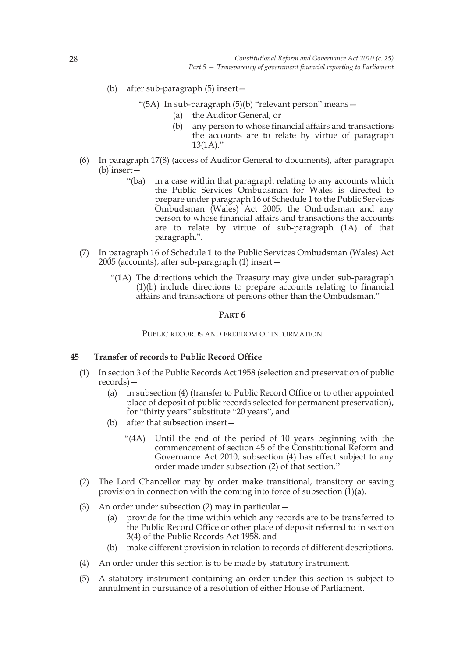(b) after sub-paragraph (5) insert—

"(5A) In sub-paragraph (5)(b) "relevant person" means—

- (a) the Auditor General, or
- (b) any person to whose financial affairs and transactions the accounts are to relate by virtue of paragraph  $13(1A)$ ."
- (6) In paragraph 17(8) (access of Auditor General to documents), after paragraph (b) insert—
	- "(ba) in a case within that paragraph relating to any accounts which the Public Services Ombudsman for Wales is directed to prepare under paragraph 16 of Schedule 1 to the Public Services Ombudsman (Wales) Act 2005, the Ombudsman and any person to whose financial affairs and transactions the accounts are to relate by virtue of sub-paragraph (1A) of that paragraph,".
- (7) In paragraph 16 of Schedule 1 to the Public Services Ombudsman (Wales) Act 2005 (accounts), after sub-paragraph (1) insert—
	- "(1A) The directions which the Treasury may give under sub-paragraph (1)(b) include directions to prepare accounts relating to financial affairs and transactions of persons other than the Ombudsman."

#### **PART 6**

PUBLIC RECORDS AND FREEDOM OF INFORMATION

## **45 Transfer of records to Public Record Office**

- (1) In section 3 of the Public Records Act 1958 (selection and preservation of public records)—
	- (a) in subsection (4) (transfer to Public Record Office or to other appointed place of deposit of public records selected for permanent preservation), for "thirty years" substitute "20 years", and
	- (b) after that subsection insert—
		- "(4A) Until the end of the period of 10 years beginning with the commencement of section 45 of the Constitutional Reform and Governance Act 2010, subsection (4) has effect subject to any order made under subsection (2) of that section."
- (2) The Lord Chancellor may by order make transitional, transitory or saving provision in connection with the coming into force of subsection  $(1)(a)$ .
- (3) An order under subsection (2) may in particular—
	- (a) provide for the time within which any records are to be transferred to the Public Record Office or other place of deposit referred to in section 3(4) of the Public Records Act 1958, and
	- (b) make different provision in relation to records of different descriptions.
- (4) An order under this section is to be made by statutory instrument.
- (5) A statutory instrument containing an order under this section is subject to annulment in pursuance of a resolution of either House of Parliament.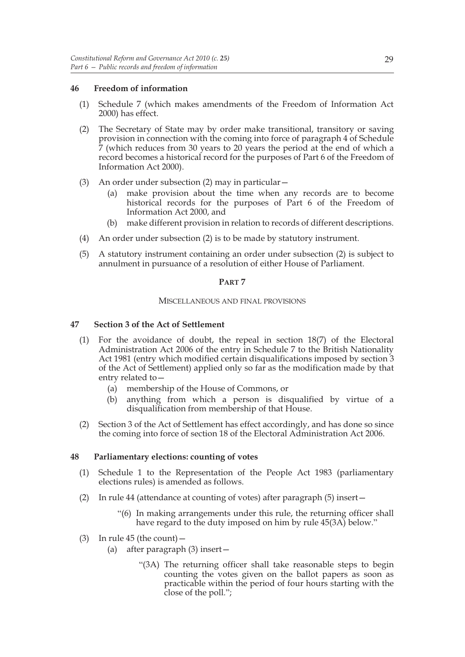## **46 Freedom of information**

- (1) Schedule 7 (which makes amendments of the Freedom of Information Act 2000) has effect.
- (2) The Secretary of State may by order make transitional, transitory or saving provision in connection with the coming into force of paragraph 4 of Schedule 7 (which reduces from 30 years to 20 years the period at the end of which a record becomes a historical record for the purposes of Part 6 of the Freedom of Information Act 2000).
- (3) An order under subsection (2) may in particular—
	- (a) make provision about the time when any records are to become historical records for the purposes of Part 6 of the Freedom of Information Act 2000, and
	- (b) make different provision in relation to records of different descriptions.
- (4) An order under subsection (2) is to be made by statutory instrument.
- (5) A statutory instrument containing an order under subsection (2) is subject to annulment in pursuance of a resolution of either House of Parliament.

## **PART 7**

### MISCELLANEOUS AND FINAL PROVISIONS

## **47 Section 3 of the Act of Settlement**

- (1) For the avoidance of doubt, the repeal in section 18(7) of the Electoral Administration Act 2006 of the entry in Schedule 7 to the British Nationality Act 1981 (entry which modified certain disqualifications imposed by section 3 of the Act of Settlement) applied only so far as the modification made by that entry related to—
	- (a) membership of the House of Commons, or
	- (b) anything from which a person is disqualified by virtue of a disqualification from membership of that House.
- (2) Section 3 of the Act of Settlement has effect accordingly, and has done so since the coming into force of section 18 of the Electoral Administration Act 2006.

## **48 Parliamentary elections: counting of votes**

- (1) Schedule 1 to the Representation of the People Act 1983 (parliamentary elections rules) is amended as follows.
- (2) In rule 44 (attendance at counting of votes) after paragraph (5) insert—
	- "(6) In making arrangements under this rule, the returning officer shall have regard to the duty imposed on him by rule 45(3A) below."
- (3) In rule 45 (the count)  $-$ 
	- (a) after paragraph (3) insert—
		- "(3A) The returning officer shall take reasonable steps to begin counting the votes given on the ballot papers as soon as practicable within the period of four hours starting with the close of the poll.";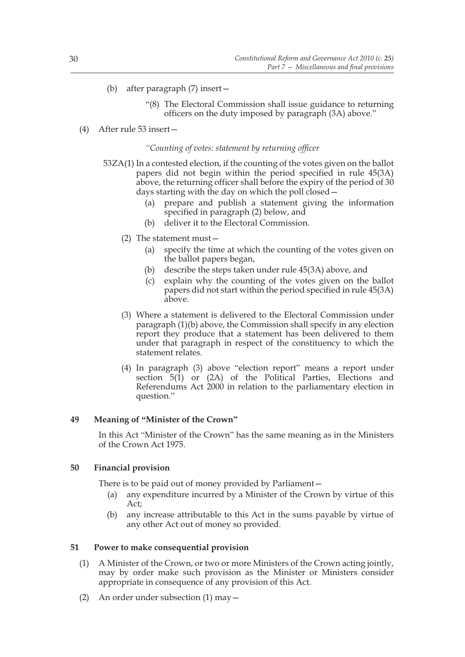- (b) after paragraph (7) insert—
	- "(8) The Electoral Commission shall issue guidance to returning officers on the duty imposed by paragraph (3A) above."

## (4) After rule 53 insert—

#### *"Counting of votes: statement by returning officer*

- 53ZA(1) In a contested election, if the counting of the votes given on the ballot papers did not begin within the period specified in rule 45(3A) above, the returning officer shall before the expiry of the period of 30 days starting with the day on which the poll closed -
	- (a) prepare and publish a statement giving the information specified in paragraph (2) below, and
	- (b) deliver it to the Electoral Commission.
	- (2) The statement must—
		- (a) specify the time at which the counting of the votes given on the ballot papers began,
		- (b) describe the steps taken under rule 45(3A) above, and
		- (c) explain why the counting of the votes given on the ballot papers did not start within the period specified in rule 45(3A) above.
	- (3) Where a statement is delivered to the Electoral Commission under paragraph (1)(b) above, the Commission shall specify in any election report they produce that a statement has been delivered to them under that paragraph in respect of the constituency to which the statement relates.
	- (4) In paragraph (3) above "election report" means a report under section 5(1) or (2A) of the Political Parties, Elections and Referendums Act 2000 in relation to the parliamentary election in question."

## **49 Meaning of "Minister of the Crown"**

In this Act "Minister of the Crown" has the same meaning as in the Ministers of the Crown Act 1975.

#### **50 Financial provision**

There is to be paid out of money provided by Parliament—

- (a) any expenditure incurred by a Minister of the Crown by virtue of this Act;
- (b) any increase attributable to this Act in the sums payable by virtue of any other Act out of money so provided.

#### **51 Power to make consequential provision**

- (1) A Minister of the Crown, or two or more Ministers of the Crown acting jointly, may by order make such provision as the Minister or Ministers consider appropriate in consequence of any provision of this Act.
- (2) An order under subsection (1) may—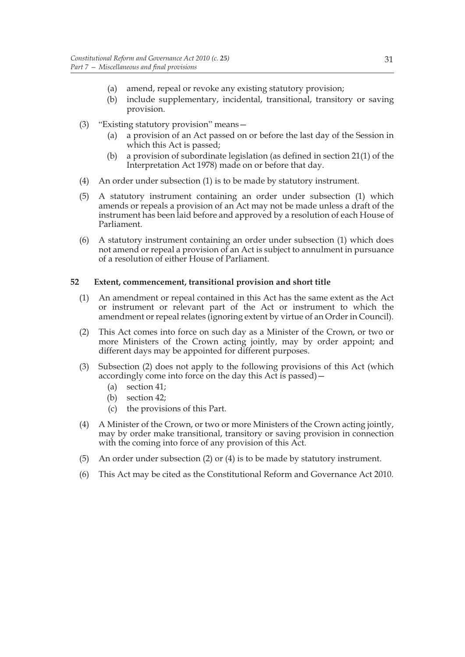- (a) amend, repeal or revoke any existing statutory provision;
- (b) include supplementary, incidental, transitional, transitory or saving provision.
- (3) "Existing statutory provision" means—
	- (a) a provision of an Act passed on or before the last day of the Session in which this Act is passed;
	- (b) a provision of subordinate legislation (as defined in section 21(1) of the Interpretation Act 1978) made on or before that day.
- (4) An order under subsection (1) is to be made by statutory instrument.
- (5) A statutory instrument containing an order under subsection (1) which amends or repeals a provision of an Act may not be made unless a draft of the instrument has been laid before and approved by a resolution of each House of Parliament.
- (6) A statutory instrument containing an order under subsection (1) which does not amend or repeal a provision of an Act is subject to annulment in pursuance of a resolution of either House of Parliament.

## **52 Extent, commencement, transitional provision and short title**

- (1) An amendment or repeal contained in this Act has the same extent as the Act or instrument or relevant part of the Act or instrument to which the amendment or repeal relates (ignoring extent by virtue of an Order in Council).
- (2) This Act comes into force on such day as a Minister of the Crown, or two or more Ministers of the Crown acting jointly, may by order appoint; and different days may be appointed for different purposes.
- (3) Subsection (2) does not apply to the following provisions of this Act (which accordingly come into force on the day this Act is passed)—
	- (a) section 41;
	- (b) section 42;
	- (c) the provisions of this Part.
- (4) A Minister of the Crown, or two or more Ministers of the Crown acting jointly, may by order make transitional, transitory or saving provision in connection with the coming into force of any provision of this Act.
- (5) An order under subsection (2) or (4) is to be made by statutory instrument.
- (6) This Act may be cited as the Constitutional Reform and Governance Act 2010.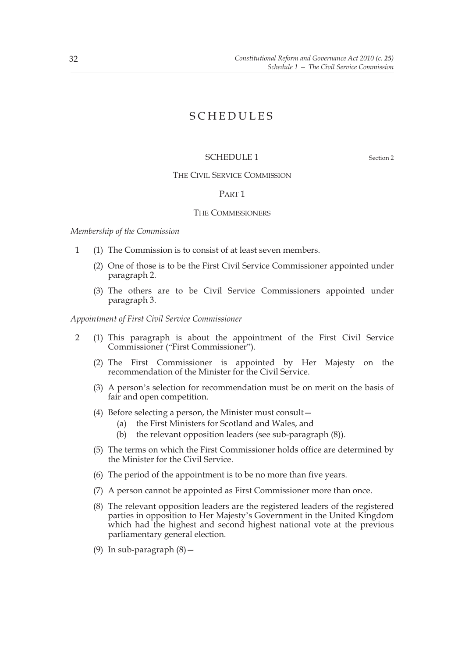## SCHEDULES

## SCHEDULE 1 Section 2

#### THE CIVIL SERVICE COMMISSION

## PART 1

#### THE COMMISSIONERS

*Membership of the Commission*

- 1 (1) The Commission is to consist of at least seven members.
	- (2) One of those is to be the First Civil Service Commissioner appointed under paragraph 2.
	- (3) The others are to be Civil Service Commissioners appointed under paragraph 3.

*Appointment of First Civil Service Commissioner*

- 2 (1) This paragraph is about the appointment of the First Civil Service Commissioner ("First Commissioner").
	- (2) The First Commissioner is appointed by Her Majesty on the recommendation of the Minister for the Civil Service.
	- (3) A person's selection for recommendation must be on merit on the basis of fair and open competition.
	- (4) Before selecting a person, the Minister must consult—
		- (a) the First Ministers for Scotland and Wales, and
		- (b) the relevant opposition leaders (see sub-paragraph (8)).
	- (5) The terms on which the First Commissioner holds office are determined by the Minister for the Civil Service.
	- (6) The period of the appointment is to be no more than five years.
	- (7) A person cannot be appointed as First Commissioner more than once.
	- (8) The relevant opposition leaders are the registered leaders of the registered parties in opposition to Her Majesty's Government in the United Kingdom which had the highest and second highest national vote at the previous parliamentary general election.
	- (9) In sub-paragraph (8)—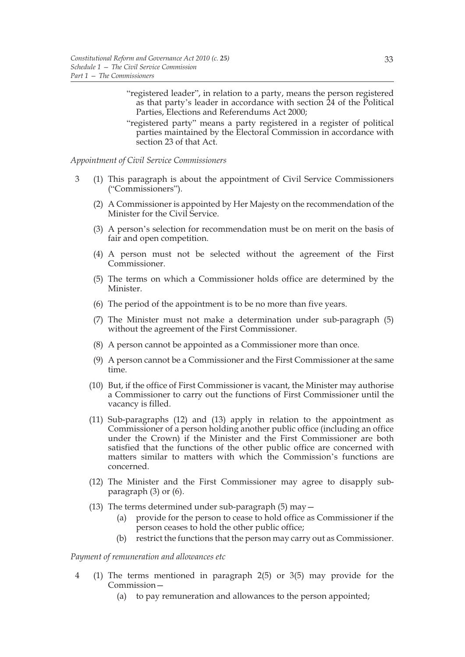- "registered leader", in relation to a party, means the person registered as that party's leader in accordance with section 24 of the Political Parties, Elections and Referendums Act 2000;
- "registered party" means a party registered in a register of political parties maintained by the Electoral Commission in accordance with section 23 of that Act.

*Appointment of Civil Service Commissioners*

- 3 (1) This paragraph is about the appointment of Civil Service Commissioners ("Commissioners").
	- (2) A Commissioner is appointed by Her Majesty on the recommendation of the Minister for the Civil Service.
	- (3) A person's selection for recommendation must be on merit on the basis of fair and open competition.
	- (4) A person must not be selected without the agreement of the First Commissioner.
	- (5) The terms on which a Commissioner holds office are determined by the Minister.
	- (6) The period of the appointment is to be no more than five years.
	- (7) The Minister must not make a determination under sub-paragraph (5) without the agreement of the First Commissioner.
	- (8) A person cannot be appointed as a Commissioner more than once.
	- (9) A person cannot be a Commissioner and the First Commissioner at the same time.
	- (10) But, if the office of First Commissioner is vacant, the Minister may authorise a Commissioner to carry out the functions of First Commissioner until the vacancy is filled.
	- (11) Sub-paragraphs (12) and (13) apply in relation to the appointment as Commissioner of a person holding another public office (including an office under the Crown) if the Minister and the First Commissioner are both satisfied that the functions of the other public office are concerned with matters similar to matters with which the Commission's functions are concerned.
	- (12) The Minister and the First Commissioner may agree to disapply subparagraph (3) or (6).
	- (13) The terms determined under sub-paragraph (5) may—
		- (a) provide for the person to cease to hold office as Commissioner if the person ceases to hold the other public office;
		- (b) restrict the functions that the person may carry out as Commissioner.

### *Payment of remuneration and allowances etc*

- 4 (1) The terms mentioned in paragraph 2(5) or 3(5) may provide for the Commission—
	- (a) to pay remuneration and allowances to the person appointed;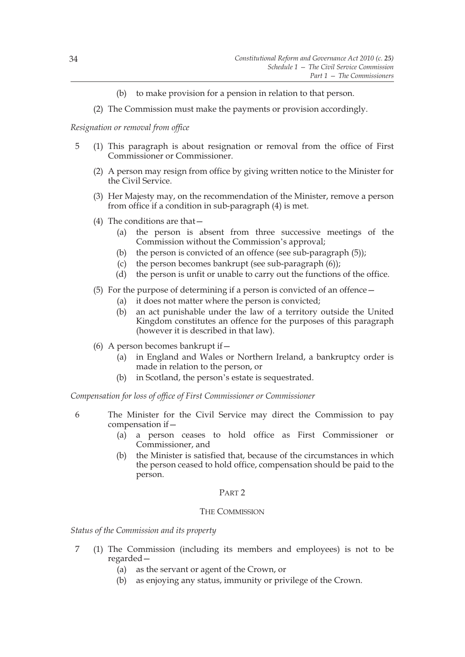- (b) to make provision for a pension in relation to that person.
- (2) The Commission must make the payments or provision accordingly.

*Resignation or removal from office*

- 5 (1) This paragraph is about resignation or removal from the office of First Commissioner or Commissioner.
	- (2) A person may resign from office by giving written notice to the Minister for the Civil Service.
	- (3) Her Majesty may, on the recommendation of the Minister, remove a person from office if a condition in sub-paragraph (4) is met.
	- (4) The conditions are that—
		- (a) the person is absent from three successive meetings of the Commission without the Commission's approval;
		- (b) the person is convicted of an offence (see sub-paragraph (5));
		- (c) the person becomes bankrupt (see sub-paragraph (6));
		- (d) the person is unfit or unable to carry out the functions of the office.
	- (5) For the purpose of determining if a person is convicted of an offence—
		- (a) it does not matter where the person is convicted;
		- (b) an act punishable under the law of a territory outside the United Kingdom constitutes an offence for the purposes of this paragraph (however it is described in that law).
	- (6) A person becomes bankrupt if—
		- (a) in England and Wales or Northern Ireland, a bankruptcy order is made in relation to the person, or
		- (b) in Scotland, the person's estate is sequestrated.

*Compensation for loss of office of First Commissioner or Commissioner*

- 6 The Minister for the Civil Service may direct the Commission to pay compensation if—
	- (a) a person ceases to hold office as First Commissioner or Commissioner, and
	- (b) the Minister is satisfied that, because of the circumstances in which the person ceased to hold office, compensation should be paid to the person.

### PART 2

## THE COMMISSION

*Status of the Commission and its property*

- 7 (1) The Commission (including its members and employees) is not to be regarded—
	- (a) as the servant or agent of the Crown, or
	- (b) as enjoying any status, immunity or privilege of the Crown.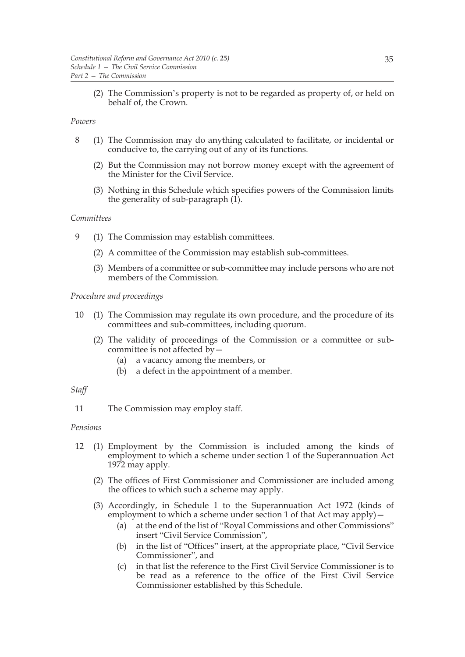(2) The Commission's property is not to be regarded as property of, or held on behalf of, the Crown.

### *Powers*

- 8 (1) The Commission may do anything calculated to facilitate, or incidental or conducive to, the carrying out of any of its functions.
	- (2) But the Commission may not borrow money except with the agreement of the Minister for the Civil Service.
	- (3) Nothing in this Schedule which specifies powers of the Commission limits the generality of sub-paragraph (1).

## *Committees*

- 9 (1) The Commission may establish committees.
	- (2) A committee of the Commission may establish sub-committees.
	- (3) Members of a committee or sub-committee may include persons who are not members of the Commission.

# *Procedure and proceedings*

- 10 (1) The Commission may regulate its own procedure, and the procedure of its committees and sub-committees, including quorum.
	- (2) The validity of proceedings of the Commission or a committee or subcommittee is not affected by—
		- (a) a vacancy among the members, or
		- (b) a defect in the appointment of a member.

### *Staff*

11 The Commission may employ staff.

### *Pensions*

- 12 (1) Employment by the Commission is included among the kinds of employment to which a scheme under section 1 of the Superannuation Act 1972 may apply.
	- (2) The offices of First Commissioner and Commissioner are included among the offices to which such a scheme may apply.
	- (3) Accordingly, in Schedule 1 to the Superannuation Act 1972 (kinds of employment to which a scheme under section 1 of that Act may apply) -
		- (a) at the end of the list of "Royal Commissions and other Commissions" insert "Civil Service Commission",
		- (b) in the list of "Offices" insert, at the appropriate place, "Civil Service Commissioner", and
		- (c) in that list the reference to the First Civil Service Commissioner is to be read as a reference to the office of the First Civil Service Commissioner established by this Schedule.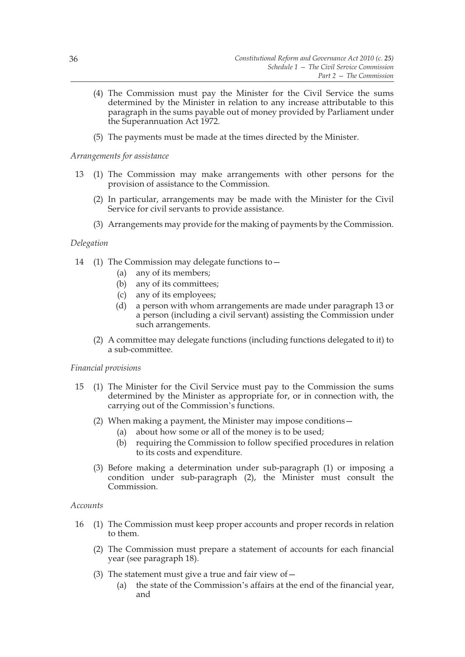- (4) The Commission must pay the Minister for the Civil Service the sums determined by the Minister in relation to any increase attributable to this paragraph in the sums payable out of money provided by Parliament under the Superannuation Act 1972.
- (5) The payments must be made at the times directed by the Minister.

*Arrangements for assistance*

- 13 (1) The Commission may make arrangements with other persons for the provision of assistance to the Commission.
	- (2) In particular, arrangements may be made with the Minister for the Civil Service for civil servants to provide assistance.
	- (3) Arrangements may provide for the making of payments by the Commission.

# *Delegation*

- 14 (1) The Commission may delegate functions to—
	- (a) any of its members;
	- (b) any of its committees;
	- (c) any of its employees;
	- (d) a person with whom arrangements are made under paragraph 13 or a person (including a civil servant) assisting the Commission under such arrangements.
	- (2) A committee may delegate functions (including functions delegated to it) to a sub-committee.

# *Financial provisions*

- 15 (1) The Minister for the Civil Service must pay to the Commission the sums determined by the Minister as appropriate for, or in connection with, the carrying out of the Commission's functions.
	- (2) When making a payment, the Minister may impose conditions—
		- (a) about how some or all of the money is to be used;
		- (b) requiring the Commission to follow specified procedures in relation to its costs and expenditure.
	- (3) Before making a determination under sub-paragraph (1) or imposing a condition under sub-paragraph (2), the Minister must consult the Commission.

# *Accounts*

- 16 (1) The Commission must keep proper accounts and proper records in relation to them.
	- (2) The Commission must prepare a statement of accounts for each financial year (see paragraph 18).
	- (3) The statement must give a true and fair view of  $-$ 
		- (a) the state of the Commission's affairs at the end of the financial year, and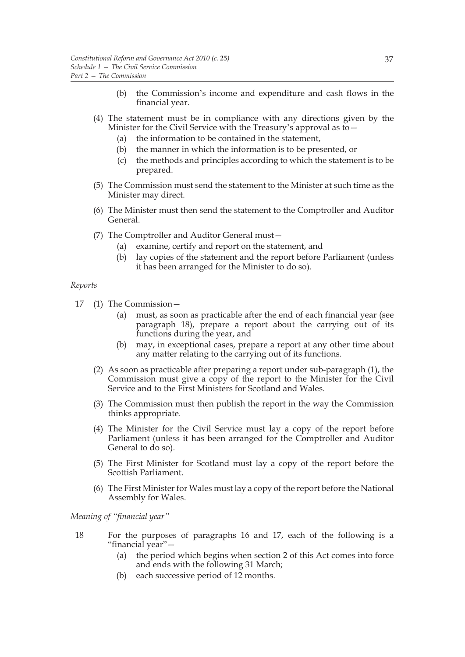- (b) the Commission's income and expenditure and cash flows in the financial year.
- (4) The statement must be in compliance with any directions given by the Minister for the Civil Service with the Treasury's approval as to -
	- (a) the information to be contained in the statement,
	- (b) the manner in which the information is to be presented, or
	- (c) the methods and principles according to which the statement is to be prepared.
- (5) The Commission must send the statement to the Minister at such time as the Minister may direct.
- (6) The Minister must then send the statement to the Comptroller and Auditor General.
- (7) The Comptroller and Auditor General must—
	- (a) examine, certify and report on the statement, and
	- (b) lay copies of the statement and the report before Parliament (unless it has been arranged for the Minister to do so).

#### *Reports*

- 17 (1) The Commission—
	- (a) must, as soon as practicable after the end of each financial year (see paragraph 18), prepare a report about the carrying out of its functions during the year, and
	- (b) may, in exceptional cases, prepare a report at any other time about any matter relating to the carrying out of its functions.
	- (2) As soon as practicable after preparing a report under sub-paragraph (1), the Commission must give a copy of the report to the Minister for the Civil Service and to the First Ministers for Scotland and Wales.
	- (3) The Commission must then publish the report in the way the Commission thinks appropriate.
	- (4) The Minister for the Civil Service must lay a copy of the report before Parliament (unless it has been arranged for the Comptroller and Auditor General to do so).
	- (5) The First Minister for Scotland must lay a copy of the report before the Scottish Parliament.
	- (6) The First Minister for Wales must lay a copy of the report before the National Assembly for Wales.

*Meaning of "financial year"*

- 18 For the purposes of paragraphs 16 and 17, each of the following is a "financial year"—
	- (a) the period which begins when section 2 of this Act comes into force and ends with the following 31 March;
	- (b) each successive period of 12 months.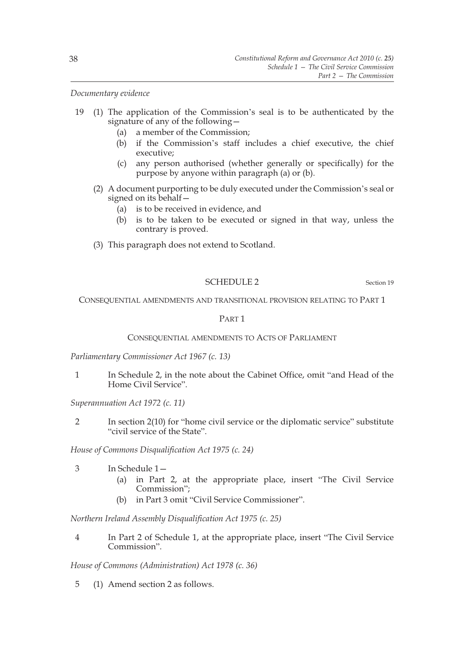*Documentary evidence*

- 19 (1) The application of the Commission's seal is to be authenticated by the signature of any of the following—
	- (a) a member of the Commission;
	- (b) if the Commission's staff includes a chief executive, the chief executive;
	- (c) any person authorised (whether generally or specifically) for the purpose by anyone within paragraph (a) or (b).
	- (2) A document purporting to be duly executed under the Commission's seal or signed on its behalf—
		- (a) is to be received in evidence, and
		- (b) is to be taken to be executed or signed in that way, unless the contrary is proved.
	- (3) This paragraph does not extend to Scotland.

## SCHEDULE 2 Section 19

CONSEQUENTIAL AMENDMENTS AND TRANSITIONAL PROVISION RELATING TO PART 1

### PART 1

## CONSEQUENTIAL AMENDMENTS TO ACTS OF PARLIAMENT

*Parliamentary Commissioner Act 1967 (c. 13)*

1 In Schedule 2, in the note about the Cabinet Office, omit "and Head of the Home Civil Service".

*Superannuation Act 1972 (c. 11)*

2 In section 2(10) for "home civil service or the diplomatic service" substitute "civil service of the State".

*House of Commons Disqualification Act 1975 (c. 24)*

- 3 In Schedule 1—
	- (a) in Part 2, at the appropriate place, insert "The Civil Service Commission";
	- (b) in Part 3 omit "Civil Service Commissioner".

*Northern Ireland Assembly Disqualification Act 1975 (c. 25)*

4 In Part 2 of Schedule 1, at the appropriate place, insert "The Civil Service Commission".

*House of Commons (Administration) Act 1978 (c. 36)*

5 (1) Amend section 2 as follows.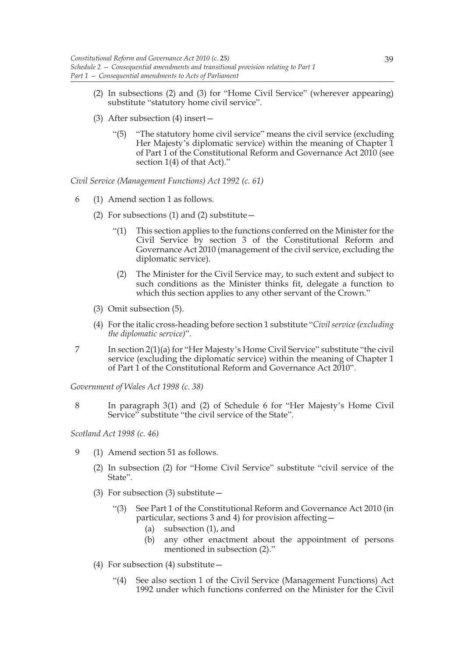- (2) In subsections (2) and (3) for "Home Civil Service" (wherever appearing) substitute "statutory home civil service".
- (3) After subsection (4) insert—
	- "(5) "The statutory home civil service" means the civil service (excluding Her Majesty's diplomatic service) within the meaning of Chapter 1 of Part 1 of the Constitutional Reform and Governance Act 2010 (see section 1(4) of that Act)."

*Civil Service (Management Functions) Act 1992 (c. 61)*

- 6 (1) Amend section 1 as follows.
	- (2) For subsections (1) and (2) substitute  $-$ 
		- "(1) This section applies to the functions conferred on the Minister for the Civil Service by section 3 of the Constitutional Reform and Governance Act 2010 (management of the civil service, excluding the diplomatic service).
		- (2) The Minister for the Civil Service may, to such extent and subject to such conditions as the Minister thinks fit, delegate a function to which this section applies to any other servant of the Crown."
	- (3) Omit subsection (5).
	- (4) For the italic cross-heading before section 1 substitute "*Civil service (excluding the diplomatic service)*".
- 7 In section 2(1)(a) for "Her Majesty's Home Civil Service" substitute "the civil service (excluding the diplomatic service) within the meaning of Chapter 1 of Part 1 of the Constitutional Reform and Governance Act 2010".

*Government of Wales Act 1998 (c. 38)*

8 In paragraph 3(1) and (2) of Schedule 6 for "Her Majesty's Home Civil Service" substitute "the civil service of the State".

*Scotland Act 1998 (c. 46)*

- 9 (1) Amend section 51 as follows.
	- (2) In subsection (2) for "Home Civil Service" substitute "civil service of the State".
	- (3) For subsection (3) substitute—
		- "(3) See Part 1 of the Constitutional Reform and Governance Act 2010 (in particular, sections 3 and 4) for provision affecting—
			- (a) subsection (1), and
			- (b) any other enactment about the appointment of persons mentioned in subsection (2)."
	- (4) For subsection (4) substitute—
		- "(4) See also section 1 of the Civil Service (Management Functions) Act 1992 under which functions conferred on the Minister for the Civil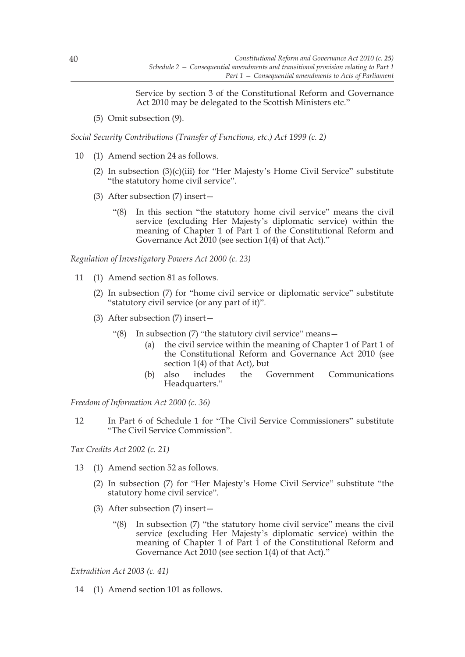Service by section 3 of the Constitutional Reform and Governance Act 2010 may be delegated to the Scottish Ministers etc."

(5) Omit subsection (9).

*Social Security Contributions (Transfer of Functions, etc.) Act 1999 (c. 2)*

- 10 (1) Amend section 24 as follows.
	- (2) In subsection  $(3)(c)(iii)$  for "Her Majesty's Home Civil Service" substitute "the statutory home civil service".
	- (3) After subsection (7) insert—
		- "(8) In this section "the statutory home civil service" means the civil service (excluding Her Majesty's diplomatic service) within the meaning of Chapter 1 of Part 1 of the Constitutional Reform and Governance Act 2010 (see section 1(4) of that Act)."

*Regulation of Investigatory Powers Act 2000 (c. 23)*

- 11 (1) Amend section 81 as follows.
	- (2) In subsection (7) for "home civil service or diplomatic service" substitute "statutory civil service (or any part of it)".
	- (3) After subsection (7) insert—
		- "(8) In subsection (7) "the statutory civil service" means—
			- (a) the civil service within the meaning of Chapter 1 of Part 1 of the Constitutional Reform and Governance Act 2010 (see section 1(4) of that Act), but
			- (b) also includes the Government Communications Headquarters."

*Freedom of Information Act 2000 (c. 36)*

12 In Part 6 of Schedule 1 for "The Civil Service Commissioners" substitute "The Civil Service Commission".

*Tax Credits Act 2002 (c. 21)*

- 13 (1) Amend section 52 as follows.
	- (2) In subsection (7) for "Her Majesty's Home Civil Service" substitute "the statutory home civil service".
	- (3) After subsection (7) insert—
		- "(8) In subsection (7) "the statutory home civil service" means the civil service (excluding Her Majesty's diplomatic service) within the meaning of Chapter 1 of Part 1 of the Constitutional Reform and Governance Act 2010 (see section 1(4) of that Act)."

*Extradition Act 2003 (c. 41)*

14 (1) Amend section 101 as follows.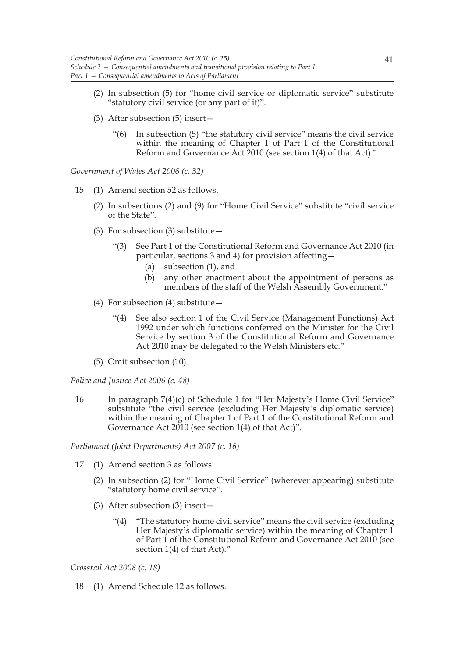- (2) In subsection (5) for "home civil service or diplomatic service" substitute "statutory civil service (or any part of it)".
- (3) After subsection (5) insert—
	- "(6) In subsection (5) "the statutory civil service" means the civil service within the meaning of Chapter 1 of Part 1 of the Constitutional Reform and Governance Act 2010 (see section 1(4) of that Act)."

*Government of Wales Act 2006 (c. 32)*

- 15 (1) Amend section 52 as follows.
	- (2) In subsections (2) and (9) for "Home Civil Service" substitute "civil service of the State".
	- (3) For subsection (3) substitute  $-$ 
		- "(3) See Part 1 of the Constitutional Reform and Governance Act 2010 (in particular, sections 3 and 4) for provision affecting—
			- (a) subsection (1), and
			- (b) any other enactment about the appointment of persons as members of the staff of the Welsh Assembly Government."
	- (4) For subsection (4) substitute—
		- "(4) See also section 1 of the Civil Service (Management Functions) Act 1992 under which functions conferred on the Minister for the Civil Service by section 3 of the Constitutional Reform and Governance Act 2010 may be delegated to the Welsh Ministers etc."
	- (5) Omit subsection (10).

*Police and Justice Act 2006 (c. 48)*

16 In paragraph 7(4)(c) of Schedule 1 for "Her Majesty's Home Civil Service" substitute "the civil service (excluding Her Majesty's diplomatic service) within the meaning of Chapter 1 of Part 1 of the Constitutional Reform and Governance Act 2010 (see section 1(4) of that Act)".

*Parliament (Joint Departments) Act 2007 (c. 16)*

- 17 (1) Amend section 3 as follows.
	- (2) In subsection (2) for "Home Civil Service" (wherever appearing) substitute "statutory home civil service".
	- (3) After subsection (3) insert—
		- "(4) "The statutory home civil service" means the civil service (excluding Her Majesty's diplomatic service) within the meaning of Chapter 1 of Part 1 of the Constitutional Reform and Governance Act 2010 (see section 1(4) of that Act)."

*Crossrail Act 2008 (c. 18)*

18 (1) Amend Schedule 12 as follows.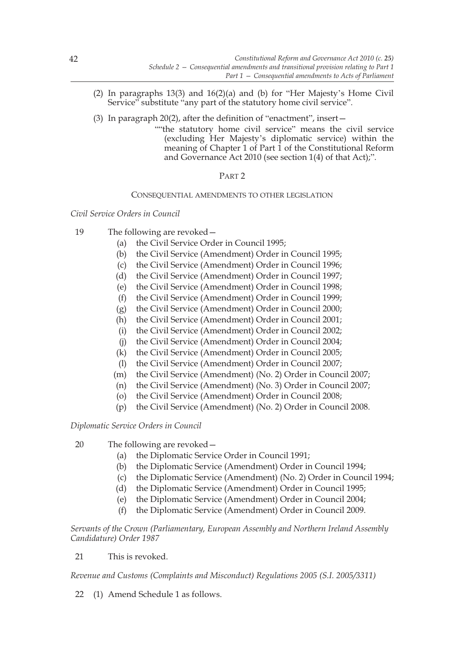- (2) In paragraphs 13(3) and 16(2)(a) and (b) for "Her Majesty's Home Civil Service" substitute "any part of the statutory home civil service".
- (3) In paragraph 20(2), after the definition of "enactment", insert—
	- ""the statutory home civil service" means the civil service (excluding Her Majesty's diplomatic service) within the meaning of Chapter 1 of Part 1 of the Constitutional Reform and Governance Act 2010 (see section 1(4) of that Act);".

# PART 2

# CONSEQUENTIAL AMENDMENTS TO OTHER LEGISLATION

*Civil Service Orders in Council*

- 19 The following are revoked—
	- (a) the Civil Service Order in Council 1995;
	- (b) the Civil Service (Amendment) Order in Council 1995;
	- (c) the Civil Service (Amendment) Order in Council 1996;
	- (d) the Civil Service (Amendment) Order in Council 1997;
	- (e) the Civil Service (Amendment) Order in Council 1998;
	- (f) the Civil Service (Amendment) Order in Council 1999;
	- (g) the Civil Service (Amendment) Order in Council 2000;
	- (h) the Civil Service (Amendment) Order in Council 2001;
	- (i) the Civil Service (Amendment) Order in Council 2002;
	- (j) the Civil Service (Amendment) Order in Council 2004;
	- (k) the Civil Service (Amendment) Order in Council 2005;
	- (l) the Civil Service (Amendment) Order in Council 2007;
	- (m) the Civil Service (Amendment) (No. 2) Order in Council 2007;
	- (n) the Civil Service (Amendment) (No. 3) Order in Council 2007;
	- (o) the Civil Service (Amendment) Order in Council 2008;
	- (p) the Civil Service (Amendment) (No. 2) Order in Council 2008.

# *Diplomatic Service Orders in Council*

- 20 The following are revoked—
	- (a) the Diplomatic Service Order in Council 1991;
	- (b) the Diplomatic Service (Amendment) Order in Council 1994;
	- (c) the Diplomatic Service (Amendment) (No. 2) Order in Council 1994;
	- (d) the Diplomatic Service (Amendment) Order in Council 1995;
	- (e) the Diplomatic Service (Amendment) Order in Council 2004;
	- (f) the Diplomatic Service (Amendment) Order in Council 2009.

*Servants of the Crown (Parliamentary, European Assembly and Northern Ireland Assembly Candidature) Order 1987*

21 This is revoked.

*Revenue and Customs (Complaints and Misconduct) Regulations 2005 (S.I. 2005/3311)*

22 (1) Amend Schedule 1 as follows.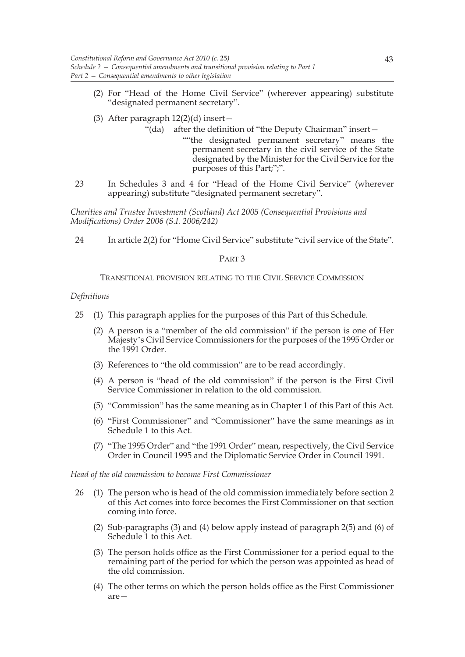- (2) For "Head of the Home Civil Service" (wherever appearing) substitute "designated permanent secretary".
- (3) After paragraph  $12(2)(d)$  insert
	- "(da) after the definition of "the Deputy Chairman" insert—
		- ""the designated permanent secretary" means the permanent secretary in the civil service of the State designated by the Minister for the Civil Service for the purposes of this Part;";".
- 23 In Schedules 3 and 4 for "Head of the Home Civil Service" (wherever appearing) substitute "designated permanent secretary".

*Charities and Trustee Investment (Scotland) Act 2005 (Consequential Provisions and Modifications) Order 2006 (S.I. 2006/242)*

24 In article 2(2) for "Home Civil Service" substitute "civil service of the State".

### PART 3

## TRANSITIONAL PROVISION RELATING TO THE CIVIL SERVICE COMMISSION

### *Definitions*

- 25 (1) This paragraph applies for the purposes of this Part of this Schedule.
	- (2) A person is a "member of the old commission" if the person is one of Her Majesty's Civil Service Commissioners for the purposes of the 1995 Order or the 1991 Order.
	- (3) References to "the old commission" are to be read accordingly.
	- (4) A person is "head of the old commission" if the person is the First Civil Service Commissioner in relation to the old commission.
	- (5) "Commission" has the same meaning as in Chapter 1 of this Part of this Act.
	- (6) "First Commissioner" and "Commissioner" have the same meanings as in Schedule 1 to this Act.
	- (7) "The 1995 Order" and "the 1991 Order" mean, respectively, the Civil Service Order in Council 1995 and the Diplomatic Service Order in Council 1991.

### *Head of the old commission to become First Commissioner*

- 26 (1) The person who is head of the old commission immediately before section 2 of this Act comes into force becomes the First Commissioner on that section coming into force.
	- (2) Sub-paragraphs (3) and (4) below apply instead of paragraph 2(5) and (6) of Schedule 1 to this Act.
	- (3) The person holds office as the First Commissioner for a period equal to the remaining part of the period for which the person was appointed as head of the old commission.
	- (4) The other terms on which the person holds office as the First Commissioner are—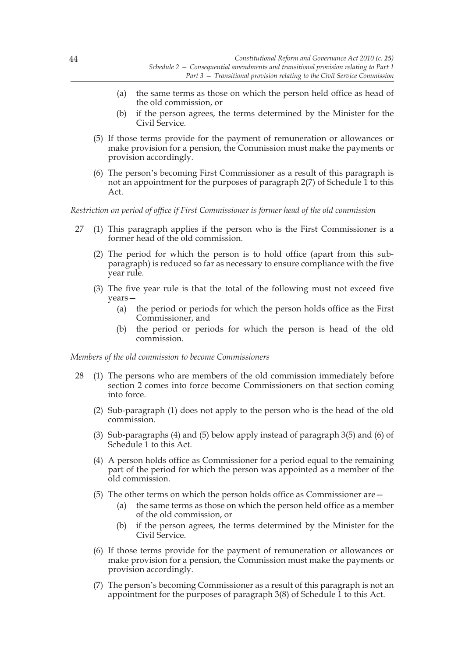- (a) the same terms as those on which the person held office as head of the old commission, or
- (b) if the person agrees, the terms determined by the Minister for the Civil Service.
- (5) If those terms provide for the payment of remuneration or allowances or make provision for a pension, the Commission must make the payments or provision accordingly.
- (6) The person's becoming First Commissioner as a result of this paragraph is not an appointment for the purposes of paragraph 2(7) of Schedule 1 to this Act.

*Restriction on period of office if First Commissioner is former head of the old commission*

- 27 (1) This paragraph applies if the person who is the First Commissioner is a former head of the old commission.
	- (2) The period for which the person is to hold office (apart from this subparagraph) is reduced so far as necessary to ensure compliance with the five year rule.
	- (3) The five year rule is that the total of the following must not exceed five years—
		- (a) the period or periods for which the person holds office as the First Commissioner, and
		- (b) the period or periods for which the person is head of the old commission.

*Members of the old commission to become Commissioners*

- 28 (1) The persons who are members of the old commission immediately before section 2 comes into force become Commissioners on that section coming into force.
	- (2) Sub-paragraph (1) does not apply to the person who is the head of the old commission.
	- (3) Sub-paragraphs (4) and (5) below apply instead of paragraph 3(5) and (6) of Schedule 1 to this Act.
	- (4) A person holds office as Commissioner for a period equal to the remaining part of the period for which the person was appointed as a member of the old commission.
	- (5) The other terms on which the person holds office as Commissioner are—
		- (a) the same terms as those on which the person held office as a member of the old commission, or
		- (b) if the person agrees, the terms determined by the Minister for the Civil Service.
	- (6) If those terms provide for the payment of remuneration or allowances or make provision for a pension, the Commission must make the payments or provision accordingly.
	- (7) The person's becoming Commissioner as a result of this paragraph is not an appointment for the purposes of paragraph  $3(8)$  of Schedule  $\tilde{1}$  to this Act.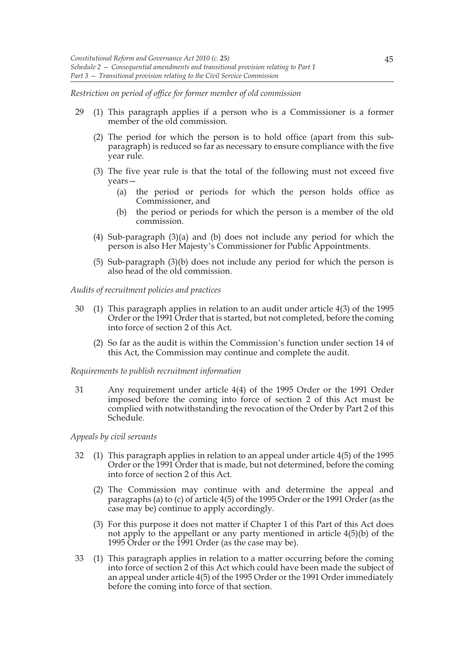*Restriction on period of office for former member of old commission*

- 29 (1) This paragraph applies if a person who is a Commissioner is a former member of the old commission.
	- (2) The period for which the person is to hold office (apart from this subparagraph) is reduced so far as necessary to ensure compliance with the five year rule.
	- (3) The five year rule is that the total of the following must not exceed five years—
		- (a) the period or periods for which the person holds office as Commissioner, and
		- (b) the period or periods for which the person is a member of the old commission.
	- (4) Sub-paragraph (3)(a) and (b) does not include any period for which the person is also Her Majesty's Commissioner for Public Appointments.
	- (5) Sub-paragraph (3)(b) does not include any period for which the person is also head of the old commission.

*Audits of recruitment policies and practices*

- 30 (1) This paragraph applies in relation to an audit under article 4(3) of the 1995 Order or the 1991 Order that is started, but not completed, before the coming into force of section 2 of this Act.
	- (2) So far as the audit is within the Commission's function under section 14 of this Act, the Commission may continue and complete the audit.

*Requirements to publish recruitment information*

31 Any requirement under article 4(4) of the 1995 Order or the 1991 Order imposed before the coming into force of section 2 of this Act must be complied with notwithstanding the revocation of the Order by Part 2 of this Schedule.

*Appeals by civil servants*

- 32 (1) This paragraph applies in relation to an appeal under article 4(5) of the 1995 Order or the 1991 Order that is made, but not determined, before the coming into force of section 2 of this Act.
	- (2) The Commission may continue with and determine the appeal and paragraphs (a) to (c) of article 4(5) of the 1995 Order or the 1991 Order (as the case may be) continue to apply accordingly.
	- (3) For this purpose it does not matter if Chapter 1 of this Part of this Act does not apply to the appellant or any party mentioned in article 4(5)(b) of the 1995 Order or the 1991 Order (as the case may be).
- 33 (1) This paragraph applies in relation to a matter occurring before the coming into force of section 2 of this Act which could have been made the subject of an appeal under article 4(5) of the 1995 Order or the 1991 Order immediately before the coming into force of that section.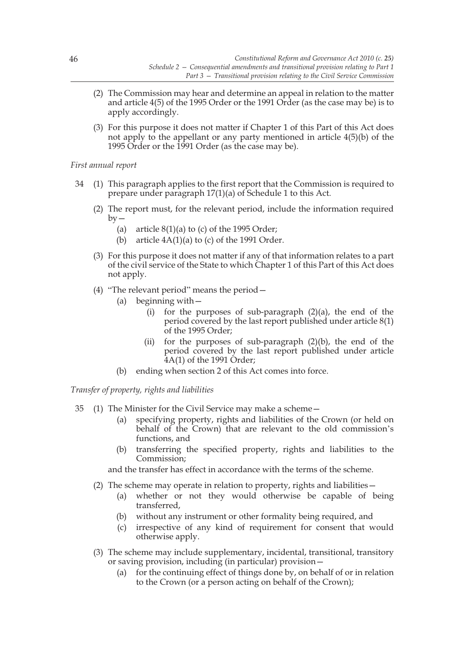- (2) The Commission may hear and determine an appeal in relation to the matter and article 4(5) of the 1995 Order or the 1991 Order (as the case may be) is to apply accordingly.
- (3) For this purpose it does not matter if Chapter 1 of this Part of this Act does not apply to the appellant or any party mentioned in article 4(5)(b) of the 1995 Order or the 1991 Order (as the case may be).

# *First annual report*

- 34 (1) This paragraph applies to the first report that the Commission is required to prepare under paragraph 17(1)(a) of Schedule 1 to this Act.
	- (2) The report must, for the relevant period, include the information required  $bv -$ 
		- (a) article  $8(1)(a)$  to (c) of the 1995 Order;
		- (b) article  $4A(1)(a)$  to (c) of the 1991 Order.
	- (3) For this purpose it does not matter if any of that information relates to a part of the civil service of the State to which Chapter 1 of this Part of this Act does not apply.
	- (4) "The relevant period" means the period—
		- (a) beginning with—
			- (i) for the purposes of sub-paragraph  $(2)(a)$ , the end of the period covered by the last report published under article 8(1) of the 1995 Order;
			- (ii) for the purposes of sub-paragraph  $(2)(b)$ , the end of the period covered by the last report published under article 4A(1) of the 1991 Order;
		- (b) ending when section 2 of this Act comes into force.

*Transfer of property, rights and liabilities*

- 35 (1) The Minister for the Civil Service may make a scheme—
	- (a) specifying property, rights and liabilities of the Crown (or held on behalf of the Crown) that are relevant to the old commission's functions, and
	- (b) transferring the specified property, rights and liabilities to the Commission;

and the transfer has effect in accordance with the terms of the scheme.

- (2) The scheme may operate in relation to property, rights and liabilities—
	- (a) whether or not they would otherwise be capable of being transferred,
	- (b) without any instrument or other formality being required, and
	- (c) irrespective of any kind of requirement for consent that would otherwise apply.
- (3) The scheme may include supplementary, incidental, transitional, transitory or saving provision, including (in particular) provision—
	- (a) for the continuing effect of things done by, on behalf of or in relation to the Crown (or a person acting on behalf of the Crown);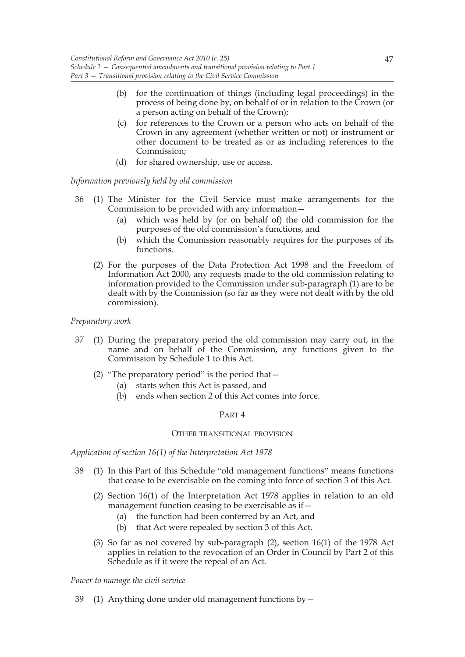- (b) for the continuation of things (including legal proceedings) in the process of being done by, on behalf of or in relation to the Crown (or a person acting on behalf of the Crown);
- (c) for references to the Crown or a person who acts on behalf of the Crown in any agreement (whether written or not) or instrument or other document to be treated as or as including references to the Commission;
- (d) for shared ownership, use or access.

*Information previously held by old commission*

- 36 (1) The Minister for the Civil Service must make arrangements for the Commission to be provided with any information—
	- (a) which was held by (or on behalf of) the old commission for the purposes of the old commission's functions, and
	- (b) which the Commission reasonably requires for the purposes of its functions.
	- (2) For the purposes of the Data Protection Act 1998 and the Freedom of Information Act 2000, any requests made to the old commission relating to information provided to the Commission under sub-paragraph (1) are to be dealt with by the Commission (so far as they were not dealt with by the old commission).

# *Preparatory work*

- 37 (1) During the preparatory period the old commission may carry out, in the name and on behalf of the Commission, any functions given to the Commission by Schedule 1 to this Act.
	- (2) "The preparatory period" is the period that—
		- (a) starts when this Act is passed, and
		- (b) ends when section 2 of this Act comes into force.

### PART 4

### OTHER TRANSITIONAL PROVISION

*Application of section 16(1) of the Interpretation Act 1978*

- 38 (1) In this Part of this Schedule "old management functions" means functions that cease to be exercisable on the coming into force of section 3 of this Act.
	- (2) Section 16(1) of the Interpretation Act 1978 applies in relation to an old management function ceasing to be exercisable as if—
		- (a) the function had been conferred by an Act, and
		- (b) that Act were repealed by section 3 of this Act.
	- (3) So far as not covered by sub-paragraph (2), section 16(1) of the 1978 Act applies in relation to the revocation of an Order in Council by Part 2 of this Schedule as if it were the repeal of an Act.

*Power to manage the civil service*

39 (1) Anything done under old management functions by—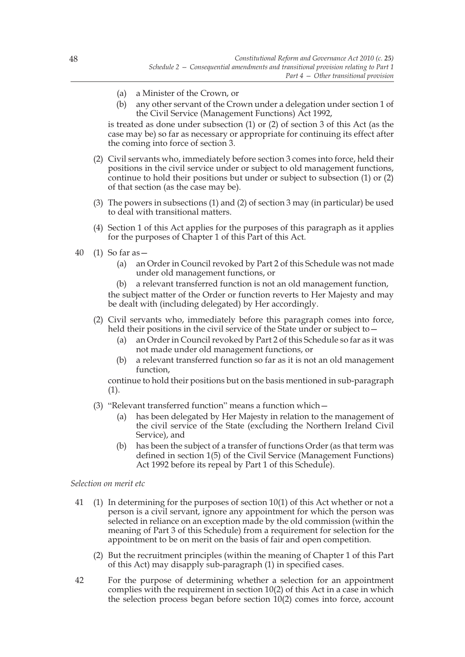- (a) a Minister of the Crown, or
- (b) any other servant of the Crown under a delegation under section 1 of the Civil Service (Management Functions) Act 1992,

is treated as done under subsection (1) or (2) of section 3 of this Act (as the case may be) so far as necessary or appropriate for continuing its effect after the coming into force of section 3.

- (2) Civil servants who, immediately before section 3 comes into force, held their positions in the civil service under or subject to old management functions, continue to hold their positions but under or subject to subsection (1) or (2) of that section (as the case may be).
- (3) The powers in subsections (1) and (2) of section 3 may (in particular) be used to deal with transitional matters.
- (4) Section 1 of this Act applies for the purposes of this paragraph as it applies for the purposes of Chapter 1 of this Part of this Act.
- 40 (1) So far as—
	- (a) an Order in Council revoked by Part 2 of this Schedule was not made under old management functions, or

(b) a relevant transferred function is not an old management function, the subject matter of the Order or function reverts to Her Majesty and may be dealt with (including delegated) by Her accordingly.

- (2) Civil servants who, immediately before this paragraph comes into force, held their positions in the civil service of the State under or subject to -
	- (a) an Order in Council revoked by Part 2 of this Schedule so far as it was not made under old management functions, or
	- (b) a relevant transferred function so far as it is not an old management function,

continue to hold their positions but on the basis mentioned in sub-paragraph (1).

- (3) "Relevant transferred function" means a function which—
	- (a) has been delegated by Her Majesty in relation to the management of the civil service of the State (excluding the Northern Ireland Civil Service), and
	- (b) has been the subject of a transfer of functions Order (as that term was defined in section 1(5) of the Civil Service (Management Functions) Act 1992 before its repeal by Part 1 of this Schedule).

### *Selection on merit etc*

- 41 (1) In determining for the purposes of section 10(1) of this Act whether or not a person is a civil servant, ignore any appointment for which the person was selected in reliance on an exception made by the old commission (within the meaning of Part 3 of this Schedule) from a requirement for selection for the appointment to be on merit on the basis of fair and open competition.
	- (2) But the recruitment principles (within the meaning of Chapter 1 of this Part of this Act) may disapply sub-paragraph (1) in specified cases.
- 42 For the purpose of determining whether a selection for an appointment complies with the requirement in section 10(2) of this Act in a case in which the selection process began before section 10(2) comes into force, account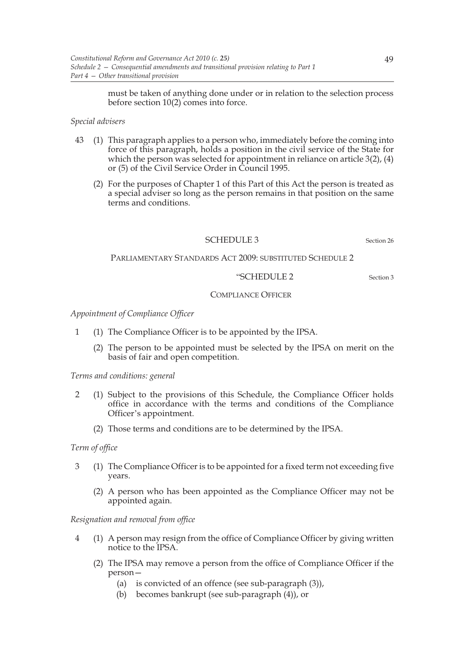must be taken of anything done under or in relation to the selection process before section 10(2) comes into force.

# *Special advisers*

- 43 (1) This paragraph applies to a person who, immediately before the coming into force of this paragraph, holds a position in the civil service of the State for which the person was selected for appointment in reliance on article 3(2), (4) or (5) of the Civil Service Order in Council 1995.
	- (2) For the purposes of Chapter 1 of this Part of this Act the person is treated as a special adviser so long as the person remains in that position on the same terms and conditions.

# SCHEDULE 3 Section 26

PARLIAMENTARY STANDARDS ACT 2009: SUBSTITUTED SCHEDULE 2

# "SCHEDULE 2 Section 3

# COMPLIANCE OFFICER

*Appointment of Compliance Officer*

- 1 (1) The Compliance Officer is to be appointed by the IPSA.
	- (2) The person to be appointed must be selected by the IPSA on merit on the basis of fair and open competition.

*Terms and conditions: general*

- 2 (1) Subject to the provisions of this Schedule, the Compliance Officer holds office in accordance with the terms and conditions of the Compliance Officer's appointment.
	- (2) Those terms and conditions are to be determined by the IPSA.

# *Term of office*

- 3 (1) The Compliance Officer is to be appointed for a fixed term not exceeding five years.
	- (2) A person who has been appointed as the Compliance Officer may not be appointed again.

# *Resignation and removal from office*

- 4 (1) A person may resign from the office of Compliance Officer by giving written notice to the IPSA.
	- (2) The IPSA may remove a person from the office of Compliance Officer if the person—
		- (a) is convicted of an offence (see sub-paragraph (3)),
		- (b) becomes bankrupt (see sub-paragraph (4)), or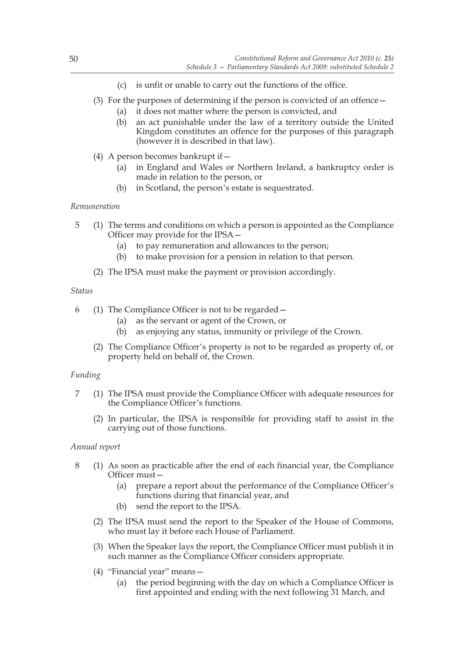- (c) is unfit or unable to carry out the functions of the office.
- (3) For the purposes of determining if the person is convicted of an offence—
	- (a) it does not matter where the person is convicted, and
	- (b) an act punishable under the law of a territory outside the United Kingdom constitutes an offence for the purposes of this paragraph (however it is described in that law).
- (4) A person becomes bankrupt if—
	- (a) in England and Wales or Northern Ireland, a bankruptcy order is made in relation to the person, or
	- (b) in Scotland, the person's estate is sequestrated.

# *Remuneration*

- 5 (1) The terms and conditions on which a person is appointed as the Compliance Officer may provide for the IPSA—
	- (a) to pay remuneration and allowances to the person;
	- (b) to make provision for a pension in relation to that person.
	- (2) The IPSA must make the payment or provision accordingly.

# *Status*

- 6 (1) The Compliance Officer is not to be regarded—
	- (a) as the servant or agent of the Crown, or
	- (b) as enjoying any status, immunity or privilege of the Crown.
	- (2) The Compliance Officer's property is not to be regarded as property of, or property held on behalf of, the Crown.

# *Funding*

- 7 (1) The IPSA must provide the Compliance Officer with adequate resources for the Compliance Officer's functions.
	- (2) In particular, the IPSA is responsible for providing staff to assist in the carrying out of those functions.

# *Annual report*

- 8 (1) As soon as practicable after the end of each financial year, the Compliance Officer must—
	- (a) prepare a report about the performance of the Compliance Officer's functions during that financial year, and
	- (b) send the report to the IPSA.
	- (2) The IPSA must send the report to the Speaker of the House of Commons, who must lay it before each House of Parliament.
	- (3) When the Speaker lays the report, the Compliance Officer must publish it in such manner as the Compliance Officer considers appropriate.
	- (4) "Financial year" means—
		- (a) the period beginning with the day on which a Compliance Officer is first appointed and ending with the next following 31 March, and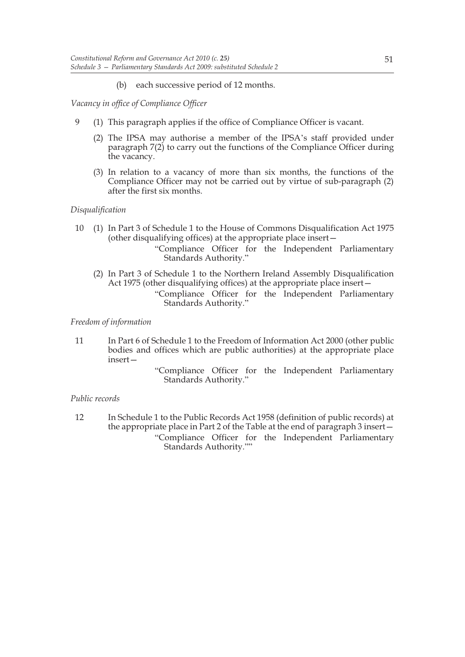(b) each successive period of 12 months.

*Vacancy in office of Compliance Officer*

- 9 (1) This paragraph applies if the office of Compliance Officer is vacant.
	- (2) The IPSA may authorise a member of the IPSA's staff provided under paragraph 7(2) to carry out the functions of the Compliance Officer during the vacancy.
	- (3) In relation to a vacancy of more than six months, the functions of the Compliance Officer may not be carried out by virtue of sub-paragraph (2) after the first six months.

# *Disqualification*

- 10 (1) In Part 3 of Schedule 1 to the House of Commons Disqualification Act 1975 (other disqualifying offices) at the appropriate place insert—
	- "Compliance Officer for the Independent Parliamentary Standards Authority."
	- (2) In Part 3 of Schedule 1 to the Northern Ireland Assembly Disqualification Act 1975 (other disqualifying offices) at the appropriate place insert— "Compliance Officer for the Independent Parliamentary

Standards Authority."

# *Freedom of information*

- 11 In Part 6 of Schedule 1 to the Freedom of Information Act 2000 (other public bodies and offices which are public authorities) at the appropriate place insert—
	- "Compliance Officer for the Independent Parliamentary Standards Authority."

# *Public records*

12 In Schedule 1 to the Public Records Act 1958 (definition of public records) at the appropriate place in Part 2 of the Table at the end of paragraph 3 insert— "Compliance Officer for the Independent Parliamentary Standards Authority.""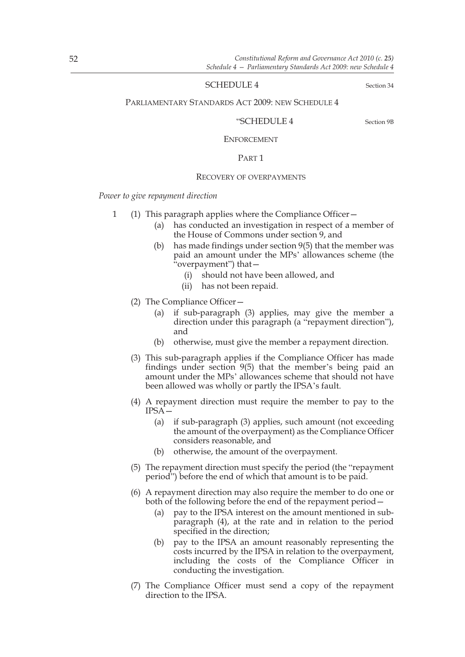### SCHEDULE 4 Section 34

### PARLIAMENTARY STANDARDS ACT 2009: NEW SCHEDULE 4

### "SCHEDULE 4 Section 9B

#### ENFORCEMENT

### PART 1

#### RECOVERY OF OVERPAYMENTS

*Power to give repayment direction*

- 1 (1) This paragraph applies where the Compliance Officer—
	- (a) has conducted an investigation in respect of a member of the House of Commons under section 9, and
	- (b) has made findings under section 9(5) that the member was paid an amount under the MPs' allowances scheme (the "overpayment") that—
		- (i) should not have been allowed, and
		- (ii) has not been repaid.
	- (2) The Compliance Officer—
		- (a) if sub-paragraph (3) applies, may give the member a direction under this paragraph (a "repayment direction"), and
		- (b) otherwise, must give the member a repayment direction.
	- (3) This sub-paragraph applies if the Compliance Officer has made findings under section 9(5) that the member's being paid an amount under the MPs' allowances scheme that should not have been allowed was wholly or partly the IPSA's fault.
	- (4) A repayment direction must require the member to pay to the IPSA—
		- (a) if sub-paragraph (3) applies, such amount (not exceeding the amount of the overpayment) as the Compliance Officer considers reasonable, and
		- (b) otherwise, the amount of the overpayment.
	- (5) The repayment direction must specify the period (the "repayment period") before the end of which that amount is to be paid.
	- (6) A repayment direction may also require the member to do one or both of the following before the end of the repayment period—
		- (a) pay to the IPSA interest on the amount mentioned in subparagraph (4), at the rate and in relation to the period specified in the direction;
		- (b) pay to the IPSA an amount reasonably representing the costs incurred by the IPSA in relation to the overpayment, including the costs of the Compliance Officer in conducting the investigation.
	- (7) The Compliance Officer must send a copy of the repayment direction to the IPSA.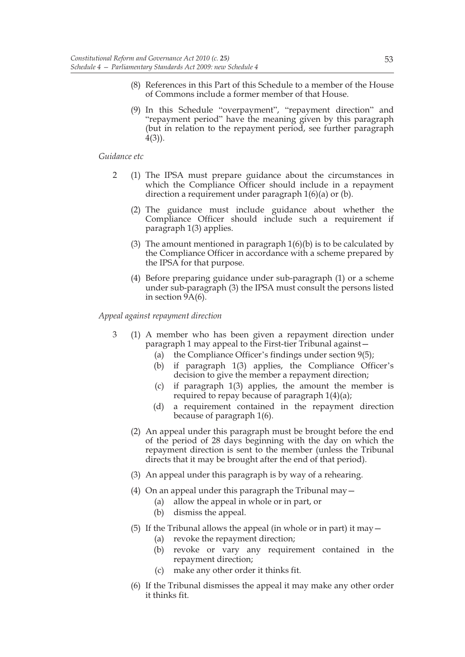- (8) References in this Part of this Schedule to a member of the House of Commons include a former member of that House.
- (9) In this Schedule "overpayment", "repayment direction" and "repayment period" have the meaning given by this paragraph (but in relation to the repayment period, see further paragraph 4(3)).

### *Guidance etc*

- 2 (1) The IPSA must prepare guidance about the circumstances in which the Compliance Officer should include in a repayment direction a requirement under paragraph 1(6)(a) or (b).
	- (2) The guidance must include guidance about whether the Compliance Officer should include such a requirement if paragraph 1(3) applies.
	- (3) The amount mentioned in paragraph  $1(6)(b)$  is to be calculated by the Compliance Officer in accordance with a scheme prepared by the IPSA for that purpose.
	- (4) Before preparing guidance under sub-paragraph (1) or a scheme under sub-paragraph (3) the IPSA must consult the persons listed in section 9A(6).

### *Appeal against repayment direction*

- 3 (1) A member who has been given a repayment direction under paragraph 1 may appeal to the First-tier Tribunal against—
	- (a) the Compliance Officer's findings under section 9(5);
	- (b) if paragraph 1(3) applies, the Compliance Officer's decision to give the member a repayment direction;
	- (c) if paragraph 1(3) applies, the amount the member is required to repay because of paragraph 1(4)(a);
	- (d) a requirement contained in the repayment direction because of paragraph 1(6).
	- (2) An appeal under this paragraph must be brought before the end of the period of 28 days beginning with the day on which the repayment direction is sent to the member (unless the Tribunal directs that it may be brought after the end of that period).
	- (3) An appeal under this paragraph is by way of a rehearing.
	- (4) On an appeal under this paragraph the Tribunal may  $-$ 
		- (a) allow the appeal in whole or in part, or
		- (b) dismiss the appeal.
	- (5) If the Tribunal allows the appeal (in whole or in part) it may  $-$ 
		- (a) revoke the repayment direction;
		- (b) revoke or vary any requirement contained in the repayment direction;
		- (c) make any other order it thinks fit.
	- (6) If the Tribunal dismisses the appeal it may make any other order it thinks fit.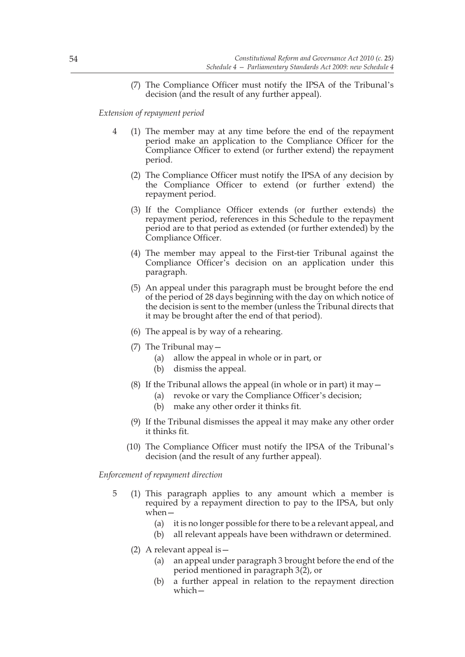(7) The Compliance Officer must notify the IPSA of the Tribunal's decision (and the result of any further appeal).

*Extension of repayment period*

- 4 (1) The member may at any time before the end of the repayment period make an application to the Compliance Officer for the Compliance Officer to extend (or further extend) the repayment period.
	- (2) The Compliance Officer must notify the IPSA of any decision by the Compliance Officer to extend (or further extend) the repayment period.
	- (3) If the Compliance Officer extends (or further extends) the repayment period, references in this Schedule to the repayment period are to that period as extended (or further extended) by the Compliance Officer.
	- (4) The member may appeal to the First-tier Tribunal against the Compliance Officer's decision on an application under this paragraph.
	- (5) An appeal under this paragraph must be brought before the end of the period of 28 days beginning with the day on which notice of the decision is sent to the member (unless the Tribunal directs that it may be brought after the end of that period).
	- (6) The appeal is by way of a rehearing.
	- (7) The Tribunal may—
		- (a) allow the appeal in whole or in part, or
		- (b) dismiss the appeal.
	- (8) If the Tribunal allows the appeal (in whole or in part) it may  $-$ 
		- (a) revoke or vary the Compliance Officer's decision;
		- (b) make any other order it thinks fit.
	- (9) If the Tribunal dismisses the appeal it may make any other order it thinks fit.
	- (10) The Compliance Officer must notify the IPSA of the Tribunal's decision (and the result of any further appeal).

*Enforcement of repayment direction*

- 5 (1) This paragraph applies to any amount which a member is required by a repayment direction to pay to the IPSA, but only when—
	- (a) it is no longer possible for there to be a relevant appeal, and
	- (b) all relevant appeals have been withdrawn or determined.
	- (2) A relevant appeal is—
		- (a) an appeal under paragraph 3 brought before the end of the period mentioned in paragraph 3(2), or
		- (b) a further appeal in relation to the repayment direction which—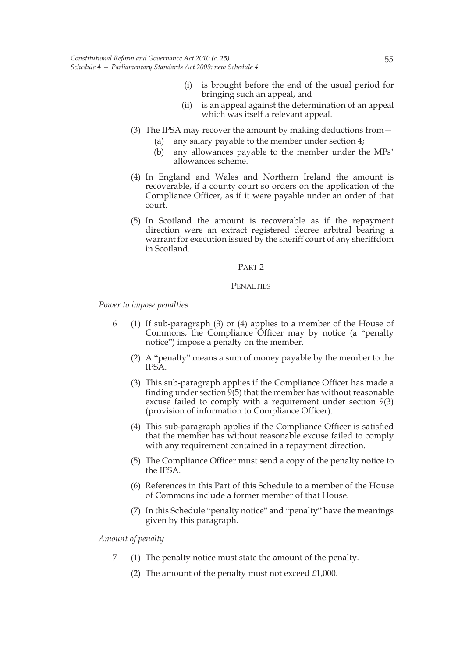- (i) is brought before the end of the usual period for bringing such an appeal, and
- (ii) is an appeal against the determination of an appeal which was itself a relevant appeal.
- (3) The IPSA may recover the amount by making deductions from—
	- (a) any salary payable to the member under section 4;
	- (b) any allowances payable to the member under the MPs' allowances scheme.
- (4) In England and Wales and Northern Ireland the amount is recoverable, if a county court so orders on the application of the Compliance Officer, as if it were payable under an order of that court.
- (5) In Scotland the amount is recoverable as if the repayment direction were an extract registered decree arbitral bearing a warrant for execution issued by the sheriff court of any sheriffdom in Scotland.

### PART 2

### **PENALTIES**

*Power to impose penalties*

- 6 (1) If sub-paragraph (3) or (4) applies to a member of the House of Commons, the Compliance Officer may by notice (a "penalty notice") impose a penalty on the member.
	- (2) A "penalty" means a sum of money payable by the member to the IPSA.
	- (3) This sub-paragraph applies if the Compliance Officer has made a finding under section  $9(5)$  that the member has without reasonable excuse failed to comply with a requirement under section 9(3) (provision of information to Compliance Officer).
	- (4) This sub-paragraph applies if the Compliance Officer is satisfied that the member has without reasonable excuse failed to comply with any requirement contained in a repayment direction.
	- (5) The Compliance Officer must send a copy of the penalty notice to the IPSA.
	- (6) References in this Part of this Schedule to a member of the House of Commons include a former member of that House.
	- (7) In this Schedule "penalty notice" and "penalty" have the meanings given by this paragraph.

*Amount of penalty*

- 7 (1) The penalty notice must state the amount of the penalty.
	- (2) The amount of the penalty must not exceed  $£1,000$ .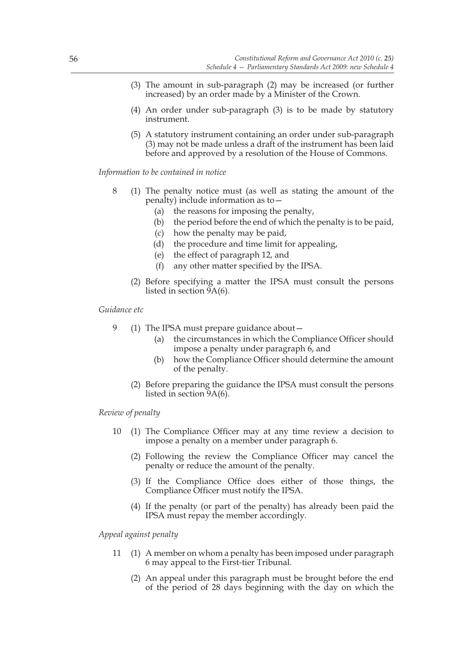- (3) The amount in sub-paragraph (2) may be increased (or further increased) by an order made by a Minister of the Crown.
- (4) An order under sub-paragraph (3) is to be made by statutory instrument.
- (5) A statutory instrument containing an order under sub-paragraph (3) may not be made unless a draft of the instrument has been laid before and approved by a resolution of the House of Commons.

### *Information to be contained in notice*

- 8 (1) The penalty notice must (as well as stating the amount of the penalty) include information as to—
	- (a) the reasons for imposing the penalty,
	- (b) the period before the end of which the penalty is to be paid,
	- (c) how the penalty may be paid,
	- (d) the procedure and time limit for appealing,
	- (e) the effect of paragraph 12, and
	- (f) any other matter specified by the IPSA.
	- (2) Before specifying a matter the IPSA must consult the persons listed in section 9A(6).

### *Guidance etc*

- 9 (1) The IPSA must prepare guidance about -
	- (a) the circumstances in which the Compliance Officer should impose a penalty under paragraph  $6$ , and
	- (b) how the Compliance Officer should determine the amount of the penalty.
	- (2) Before preparing the guidance the IPSA must consult the persons listed in section 9A(6).

## *Review of penalty*

- 10 (1) The Compliance Officer may at any time review a decision to impose a penalty on a member under paragraph 6.
	- (2) Following the review the Compliance Officer may cancel the penalty or reduce the amount of the penalty.
	- (3) If the Compliance Office does either of those things, the Compliance Officer must notify the IPSA.
	- (4) If the penalty (or part of the penalty) has already been paid the IPSA must repay the member accordingly.

### *Appeal against penalty*

- 11 (1) A member on whom a penalty has been imposed under paragraph 6 may appeal to the First-tier Tribunal.
	- (2) An appeal under this paragraph must be brought before the end of the period of 28 days beginning with the day on which the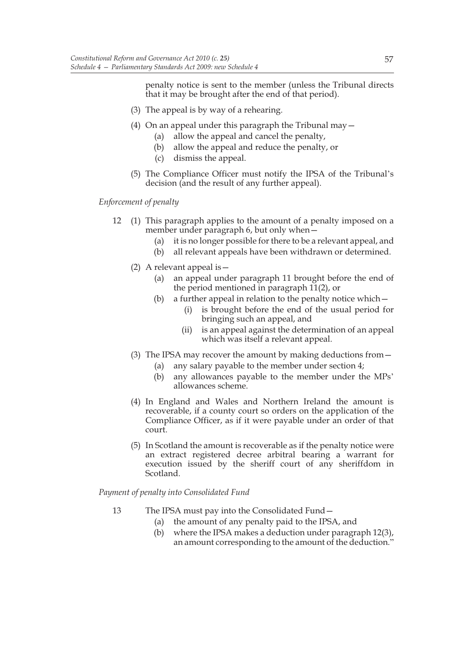penalty notice is sent to the member (unless the Tribunal directs that it may be brought after the end of that period).

- (3) The appeal is by way of a rehearing.
- (4) On an appeal under this paragraph the Tribunal may—
	- (a) allow the appeal and cancel the penalty,
	- (b) allow the appeal and reduce the penalty, or
	- (c) dismiss the appeal.
- (5) The Compliance Officer must notify the IPSA of the Tribunal's decision (and the result of any further appeal).

# *Enforcement of penalty*

- 12 (1) This paragraph applies to the amount of a penalty imposed on a member under paragraph 6, but only when—
	- (a) it is no longer possible for there to be a relevant appeal, and
	- (b) all relevant appeals have been withdrawn or determined.
	- (2) A relevant appeal is—
		- (a) an appeal under paragraph 11 brought before the end of the period mentioned in paragraph 11(2), or
		- (b) a further appeal in relation to the penalty notice which  $-$ 
			- (i) is brought before the end of the usual period for bringing such an appeal, and
			- (ii) is an appeal against the determination of an appeal which was itself a relevant appeal.
	- (3) The IPSA may recover the amount by making deductions from—
		- (a) any salary payable to the member under section 4;
		- (b) any allowances payable to the member under the MPs' allowances scheme.
	- (4) In England and Wales and Northern Ireland the amount is recoverable, if a county court so orders on the application of the Compliance Officer, as if it were payable under an order of that court.
	- (5) In Scotland the amount is recoverable as if the penalty notice were an extract registered decree arbitral bearing a warrant for execution issued by the sheriff court of any sheriffdom in Scotland.

# *Payment of penalty into Consolidated Fund*

- 13 The IPSA must pay into the Consolidated Fund—
	- (a) the amount of any penalty paid to the IPSA, and
	- (b) where the IPSA makes a deduction under paragraph 12(3), an amount corresponding to the amount of the deduction."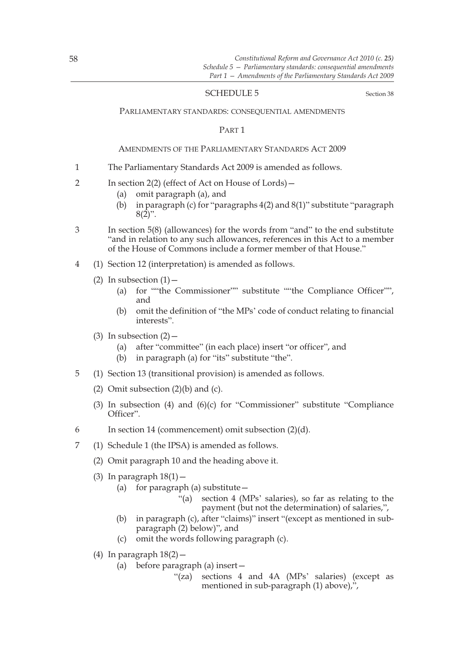## SCHEDULE 5 Section 38

#### PARLIAMENTARY STANDARDS: CONSEQUENTIAL AMENDMENTS

### PART 1

### AMENDMENTS OF THE PARLIAMENTARY STANDARDS ACT 2009

- 1 The Parliamentary Standards Act 2009 is amended as follows.
- 2 In section 2(2) (effect of Act on House of Lords)—
	- (a) omit paragraph (a), and
	- (b) in paragraph (c) for "paragraphs 4(2) and 8(1)" substitute "paragraph  $8(2)$ ".
- 3 In section 5(8) (allowances) for the words from "and" to the end substitute "and in relation to any such allowances, references in this Act to a member of the House of Commons include a former member of that House."
- 4 (1) Section 12 (interpretation) is amended as follows.
	- (2) In subsection  $(1)$  -
		- (a) for ""the Commissioner"" substitute ""the Compliance Officer"", and
		- (b) omit the definition of "the MPs' code of conduct relating to financial interests".
	- (3) In subsection  $(2)$ 
		- (a) after "committee" (in each place) insert "or officer", and
		- (b) in paragraph (a) for "its" substitute "the".
- 5 (1) Section 13 (transitional provision) is amended as follows.
	- (2) Omit subsection  $(2)(b)$  and  $(c)$ .
	- (3) In subsection (4) and (6)(c) for "Commissioner" substitute "Compliance Officer".
- 6 In section 14 (commencement) omit subsection (2)(d).
- 7 (1) Schedule 1 (the IPSA) is amended as follows.
	- (2) Omit paragraph 10 and the heading above it.
	- (3) In paragraph  $18(1)$  -
		- (a) for paragraph (a) substitute  $-$ 
			- "(a) section 4 (MPs' salaries), so far as relating to the payment (but not the determination) of salaries,",
		- (b) in paragraph (c), after "claims)" insert "(except as mentioned in subparagraph (2) below)", and
		- (c) omit the words following paragraph (c).
	- (4) In paragraph  $18(2)$  -
		- (a) before paragraph (a) insert—
			- "(za) sections 4 and 4A (MPs' salaries) (except as mentioned in sub-paragraph (1) above),",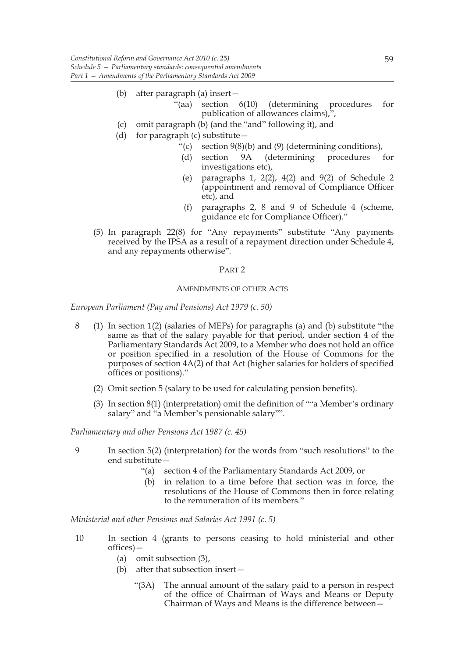- (b) after paragraph (a) insert—
	- "(aa) section 6(10) (determining procedures for publication of allowances claims),",
- (c) omit paragraph (b) (and the "and" following it), and
- (d) for paragraph  $(c)$  substitute  $-$ 
	- "(c) section  $9(8)(b)$  and  $(9)$  (determining conditions),
	- (d) section 9A (determining procedures for investigations etc),
	- (e) paragraphs 1, 2(2), 4(2) and 9(2) of Schedule 2 (appointment and removal of Compliance Officer etc), and
	- (f) paragraphs 2, 8 and 9 of Schedule 4 (scheme, guidance etc for Compliance Officer)."
- (5) In paragraph 22(8) for "Any repayments" substitute "Any payments received by the IPSA as a result of a repayment direction under Schedule 4, and any repayments otherwise".

## PART 2

## AMENDMENTS OF OTHER ACTS

*European Parliament (Pay and Pensions) Act 1979 (c. 50)*

- 8 (1) In section 1(2) (salaries of MEPs) for paragraphs (a) and (b) substitute "the same as that of the salary payable for that period, under section 4 of the Parliamentary Standards Act 2009, to a Member who does not hold an office or position specified in a resolution of the House of Commons for the purposes of section 4A(2) of that Act (higher salaries for holders of specified offices or positions)."
	- (2) Omit section 5 (salary to be used for calculating pension benefits).
	- (3) In section 8(1) (interpretation) omit the definition of ""a Member's ordinary salary" and "a Member's pensionable salary"".

*Parliamentary and other Pensions Act 1987 (c. 45)*

- 9 In section 5(2) (interpretation) for the words from "such resolutions" to the end substitute—
	- "(a) section 4 of the Parliamentary Standards Act 2009, or
	- (b) in relation to a time before that section was in force, the resolutions of the House of Commons then in force relating to the remuneration of its members."

*Ministerial and other Pensions and Salaries Act 1991 (c. 5)*

- 10 In section 4 (grants to persons ceasing to hold ministerial and other offices)—
	- (a) omit subsection (3),
	- (b) after that subsection insert—
		- "(3A) The annual amount of the salary paid to a person in respect of the office of Chairman of Ways and Means or Deputy Chairman of Ways and Means is the difference between—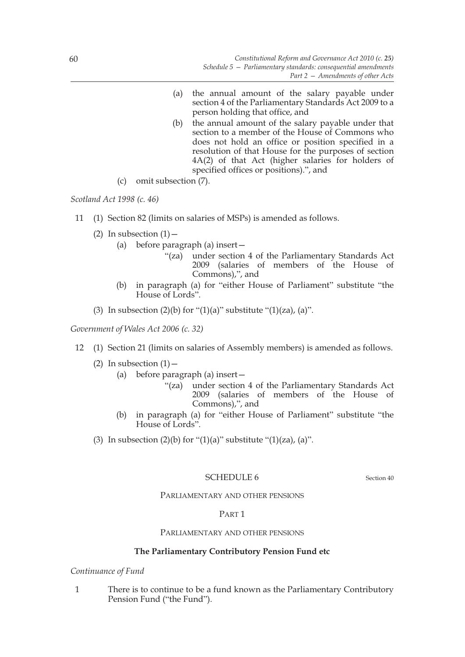- (a) the annual amount of the salary payable under section 4 of the Parliamentary Standards Act 2009 to a person holding that office, and
- (b) the annual amount of the salary payable under that section to a member of the House of Commons who does not hold an office or position specified in a resolution of that House for the purposes of section 4A(2) of that Act (higher salaries for holders of specified offices or positions).", and
- (c) omit subsection (7).

*Scotland Act 1998 (c. 46)*

- 11 (1) Section 82 (limits on salaries of MSPs) is amended as follows.
	- (2) In subsection  $(1)$ 
		- (a) before paragraph (a) insert—
			- "(za) under section 4 of the Parliamentary Standards Act 2009 (salaries of members of the House of Commons),", and
		- (b) in paragraph (a) for "either House of Parliament" substitute "the House of Lords".
	- (3) In subsection  $(2)(b)$  for " $(1)(a)$ " substitute " $(1)(za)$ ,  $(a)$ ".

*Government of Wales Act 2006 (c. 32)*

- 12 (1) Section 21 (limits on salaries of Assembly members) is amended as follows.
	- (2) In subsection  $(1)$  -
		- (a) before paragraph (a) insert—
			- "(za) under section 4 of the Parliamentary Standards Act 2009 (salaries of members of the House of Commons),", and
		- (b) in paragraph (a) for "either House of Parliament" substitute "the House of Lords".
	- (3) In subsection (2)(b) for "(1)(a)" substitute "(1)(za), (a)".

# SCHEDULE 6 Section 40

# PARLIAMENTARY AND OTHER PENSIONS

# PART 1

# PARLIAMENTARY AND OTHER PENSIONS

# **The Parliamentary Contributory Pension Fund etc**

# *Continuance of Fund*

1 There is to continue to be a fund known as the Parliamentary Contributory Pension Fund ("the Fund").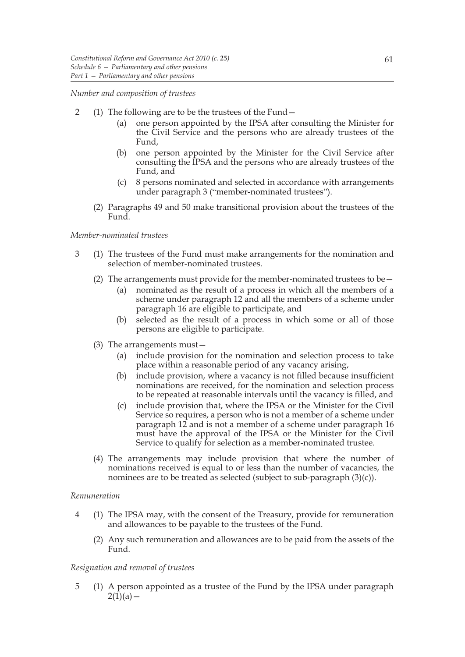### *Number and composition of trustees*

- 2 (1) The following are to be the trustees of the Fund—
	- (a) one person appointed by the IPSA after consulting the Minister for the Civil Service and the persons who are already trustees of the Fund,
	- (b) one person appointed by the Minister for the Civil Service after consulting the IPSA and the persons who are already trustees of the Fund, and
	- (c) 8 persons nominated and selected in accordance with arrangements under paragraph 3 ("member-nominated trustees").
	- (2) Paragraphs 49 and 50 make transitional provision about the trustees of the Fund.

## *Member-nominated trustees*

- 3 (1) The trustees of the Fund must make arrangements for the nomination and selection of member-nominated trustees.
	- (2) The arrangements must provide for the member-nominated trustees to be  $-$ 
		- (a) nominated as the result of a process in which all the members of a scheme under paragraph 12 and all the members of a scheme under paragraph 16 are eligible to participate, and
		- (b) selected as the result of a process in which some or all of those persons are eligible to participate.
	- (3) The arrangements must—
		- (a) include provision for the nomination and selection process to take place within a reasonable period of any vacancy arising,
		- (b) include provision, where a vacancy is not filled because insufficient nominations are received, for the nomination and selection process to be repeated at reasonable intervals until the vacancy is filled, and
		- (c) include provision that, where the IPSA or the Minister for the Civil Service so requires, a person who is not a member of a scheme under paragraph 12 and is not a member of a scheme under paragraph 16 must have the approval of the IPSA or the Minister for the Civil Service to qualify for selection as a member-nominated trustee.
	- (4) The arrangements may include provision that where the number of nominations received is equal to or less than the number of vacancies, the nominees are to be treated as selected (subject to sub-paragraph (3)(c)).

#### *Remuneration*

- 4 (1) The IPSA may, with the consent of the Treasury, provide for remuneration and allowances to be payable to the trustees of the Fund.
	- (2) Any such remuneration and allowances are to be paid from the assets of the Fund.

# *Resignation and removal of trustees*

5 (1) A person appointed as a trustee of the Fund by the IPSA under paragraph  $2(1)(a) -$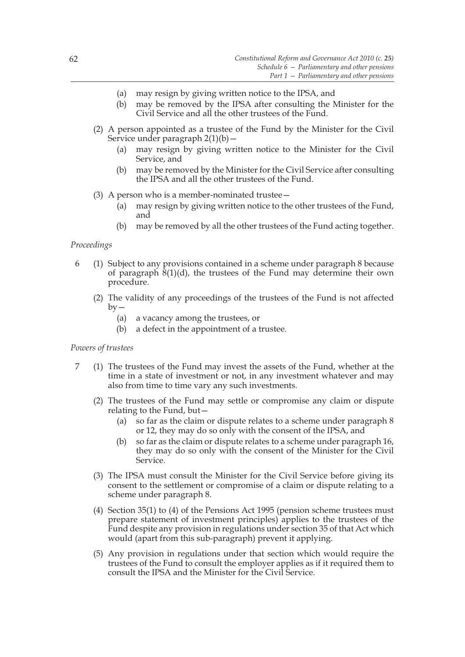- (a) may resign by giving written notice to the IPSA, and
- (b) may be removed by the IPSA after consulting the Minister for the Civil Service and all the other trustees of the Fund.
- (2) A person appointed as a trustee of the Fund by the Minister for the Civil Service under paragraph 2(1)(b)—
	- (a) may resign by giving written notice to the Minister for the Civil Service, and
	- (b) may be removed by the Minister for the Civil Service after consulting the IPSA and all the other trustees of the Fund.
- (3) A person who is a member-nominated trustee—
	- (a) may resign by giving written notice to the other trustees of the Fund, and
	- (b) may be removed by all the other trustees of the Fund acting together.

## *Proceedings*

- 6 (1) Subject to any provisions contained in a scheme under paragraph 8 because of paragraph  $\frac{8(1)}{d}$ , the trustees of the Fund may determine their own procedure.
	- (2) The validity of any proceedings of the trustees of the Fund is not affected  $bv -$ 
		- (a) a vacancy among the trustees, or
		- (b) a defect in the appointment of a trustee.

### *Powers of trustees*

- 7 (1) The trustees of the Fund may invest the assets of the Fund, whether at the time in a state of investment or not, in any investment whatever and may also from time to time vary any such investments.
	- (2) The trustees of the Fund may settle or compromise any claim or dispute relating to the Fund, but—
		- (a) so far as the claim or dispute relates to a scheme under paragraph 8 or 12, they may do so only with the consent of the IPSA, and
		- (b) so far as the claim or dispute relates to a scheme under paragraph 16, they may do so only with the consent of the Minister for the Civil Service.
	- (3) The IPSA must consult the Minister for the Civil Service before giving its consent to the settlement or compromise of a claim or dispute relating to a scheme under paragraph 8.
	- (4) Section 35(1) to (4) of the Pensions Act 1995 (pension scheme trustees must prepare statement of investment principles) applies to the trustees of the Fund despite any provision in regulations under section 35 of that Act which would (apart from this sub-paragraph) prevent it applying.
	- (5) Any provision in regulations under that section which would require the trustees of the Fund to consult the employer applies as if it required them to consult the IPSA and the Minister for the Civil Service.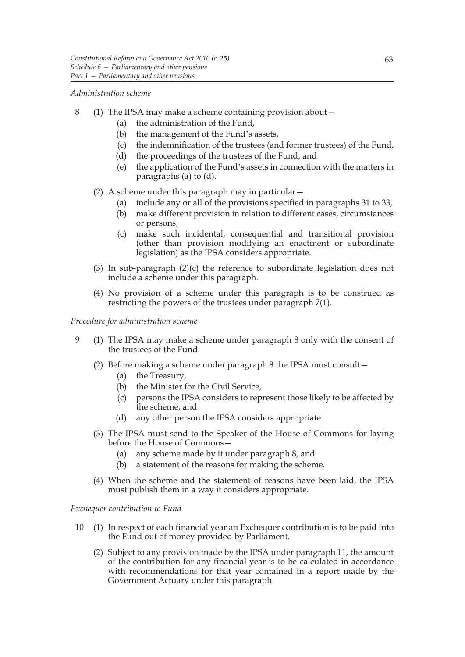### *Administration scheme*

- 8 (1) The IPSA may make a scheme containing provision about—
	- (a) the administration of the Fund,
	- (b) the management of the Fund's assets,
	- (c) the indemnification of the trustees (and former trustees) of the Fund,
	- (d) the proceedings of the trustees of the Fund, and
	- (e) the application of the Fund's assets in connection with the matters in paragraphs (a) to (d).
	- (2) A scheme under this paragraph may in particular—
		- (a) include any or all of the provisions specified in paragraphs 31 to 33,
		- (b) make different provision in relation to different cases, circumstances or persons,
		- (c) make such incidental, consequential and transitional provision (other than provision modifying an enactment or subordinate legislation) as the IPSA considers appropriate.
	- (3) In sub-paragraph (2)(c) the reference to subordinate legislation does not include a scheme under this paragraph.
	- (4) No provision of a scheme under this paragraph is to be construed as restricting the powers of the trustees under paragraph 7(1).

*Procedure for administration scheme*

- 9 (1) The IPSA may make a scheme under paragraph 8 only with the consent of the trustees of the Fund.
	- (2) Before making a scheme under paragraph 8 the IPSA must consult—
		- (a) the Treasury,
		- (b) the Minister for the Civil Service,
		- (c) persons the IPSA considers to represent those likely to be affected by the scheme, and
		- (d) any other person the IPSA considers appropriate.
	- (3) The IPSA must send to the Speaker of the House of Commons for laying before the House of Commons—
		- (a) any scheme made by it under paragraph 8, and
		- (b) a statement of the reasons for making the scheme.
	- (4) When the scheme and the statement of reasons have been laid, the IPSA must publish them in a way it considers appropriate.

## *Exchequer contribution to Fund*

- 10 (1) In respect of each financial year an Exchequer contribution is to be paid into the Fund out of money provided by Parliament.
	- (2) Subject to any provision made by the IPSA under paragraph 11, the amount of the contribution for any financial year is to be calculated in accordance with recommendations for that year contained in a report made by the Government Actuary under this paragraph.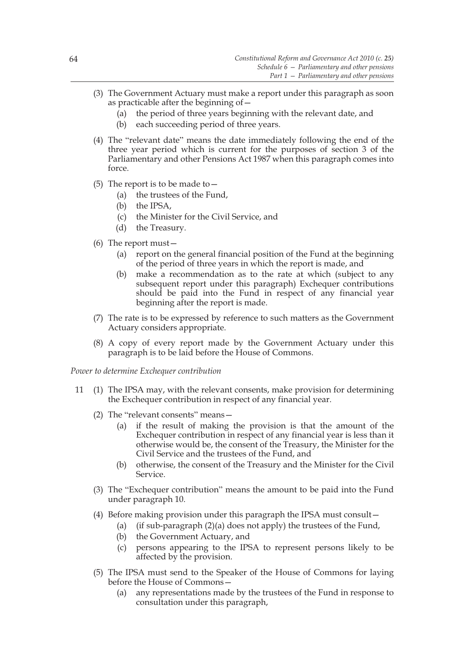- (3) The Government Actuary must make a report under this paragraph as soon as practicable after the beginning of—
	- (a) the period of three years beginning with the relevant date, and
	- (b) each succeeding period of three years.
- (4) The "relevant date" means the date immediately following the end of the three year period which is current for the purposes of section 3 of the Parliamentary and other Pensions Act 1987 when this paragraph comes into force.
- (5) The report is to be made to  $-$ 
	- (a) the trustees of the Fund,
	- (b) the IPSA,
	- (c) the Minister for the Civil Service, and
	- (d) the Treasury.
- (6) The report must—
	- (a) report on the general financial position of the Fund at the beginning of the period of three years in which the report is made, and
	- (b) make a recommendation as to the rate at which (subject to any subsequent report under this paragraph) Exchequer contributions should be paid into the Fund in respect of any financial year beginning after the report is made.
- (7) The rate is to be expressed by reference to such matters as the Government Actuary considers appropriate.
- (8) A copy of every report made by the Government Actuary under this paragraph is to be laid before the House of Commons.

*Power to determine Exchequer contribution*

- 11 (1) The IPSA may, with the relevant consents, make provision for determining the Exchequer contribution in respect of any financial year.
	- (2) The "relevant consents" means—
		- (a) if the result of making the provision is that the amount of the Exchequer contribution in respect of any financial year is less than it otherwise would be, the consent of the Treasury, the Minister for the Civil Service and the trustees of the Fund, and
		- (b) otherwise, the consent of the Treasury and the Minister for the Civil Service.
	- (3) The "Exchequer contribution" means the amount to be paid into the Fund under paragraph 10.
	- (4) Before making provision under this paragraph the IPSA must consult—
		- (a) (if sub-paragraph  $(2)(a)$  does not apply) the trustees of the Fund,
		- (b) the Government Actuary, and
		- (c) persons appearing to the IPSA to represent persons likely to be affected by the provision.
	- (5) The IPSA must send to the Speaker of the House of Commons for laying before the House of Commons—
		- (a) any representations made by the trustees of the Fund in response to consultation under this paragraph,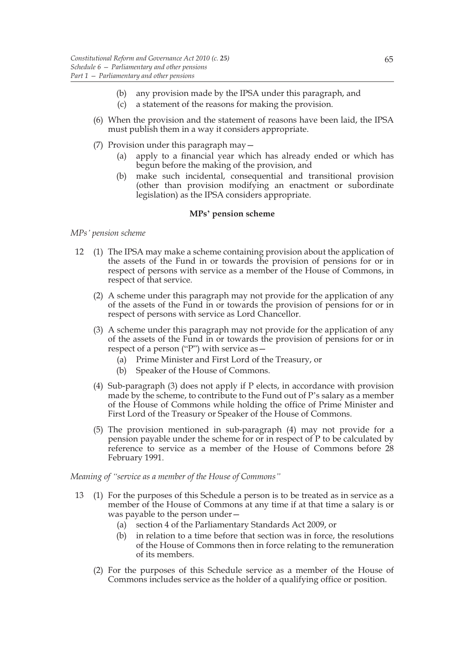- (b) any provision made by the IPSA under this paragraph, and
- (c) a statement of the reasons for making the provision.
- (6) When the provision and the statement of reasons have been laid, the IPSA must publish them in a way it considers appropriate.
- (7) Provision under this paragraph may—
	- (a) apply to a financial year which has already ended or which has begun before the making of the provision, and
	- (b) make such incidental, consequential and transitional provision (other than provision modifying an enactment or subordinate legislation) as the IPSA considers appropriate.

### **MPs' pension scheme**

## *MPs' pension scheme*

- 12 (1) The IPSA may make a scheme containing provision about the application of the assets of the Fund in or towards the provision of pensions for or in respect of persons with service as a member of the House of Commons, in respect of that service.
	- (2) A scheme under this paragraph may not provide for the application of any of the assets of the Fund in or towards the provision of pensions for or in respect of persons with service as Lord Chancellor.
	- (3) A scheme under this paragraph may not provide for the application of any of the assets of the Fund in or towards the provision of pensions for or in respect of a person ("P") with service as—
		- (a) Prime Minister and First Lord of the Treasury, or
		- (b) Speaker of the House of Commons.
	- (4) Sub-paragraph (3) does not apply if P elects, in accordance with provision made by the scheme, to contribute to the Fund out of P's salary as a member of the House of Commons while holding the office of Prime Minister and First Lord of the Treasury or Speaker of the House of Commons.
	- (5) The provision mentioned in sub-paragraph (4) may not provide for a pension payable under the scheme for or in respect of P to be calculated by reference to service as a member of the House of Commons before 28 February 1991.

*Meaning of "service as a member of the House of Commons"*

- 13 (1) For the purposes of this Schedule a person is to be treated as in service as a member of the House of Commons at any time if at that time a salary is or was payable to the person under—
	- (a) section 4 of the Parliamentary Standards Act 2009, or
	- (b) in relation to a time before that section was in force, the resolutions of the House of Commons then in force relating to the remuneration of its members.
	- (2) For the purposes of this Schedule service as a member of the House of Commons includes service as the holder of a qualifying office or position.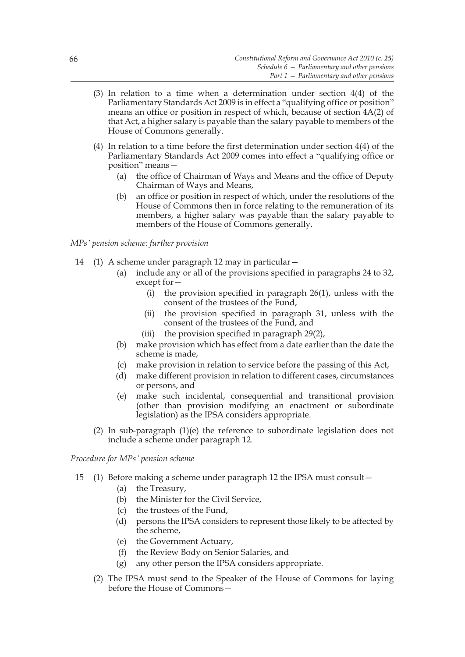- (3) In relation to a time when a determination under section 4(4) of the Parliamentary Standards Act 2009 is in effect a "qualifying office or position" means an office or position in respect of which, because of section 4A(2) of that Act, a higher salary is payable than the salary payable to members of the House of Commons generally.
- (4) In relation to a time before the first determination under section 4(4) of the Parliamentary Standards Act 2009 comes into effect a "qualifying office or position" means—
	- (a) the office of Chairman of Ways and Means and the office of Deputy Chairman of Ways and Means,
	- (b) an office or position in respect of which, under the resolutions of the House of Commons then in force relating to the remuneration of its members, a higher salary was payable than the salary payable to members of the House of Commons generally.

# *MPs' pension scheme: further provision*

- 14 (1) A scheme under paragraph 12 may in particular—
	- (a) include any or all of the provisions specified in paragraphs 24 to 32, except for—
		- (i) the provision specified in paragraph 26(1), unless with the consent of the trustees of the Fund,
		- (ii) the provision specified in paragraph 31, unless with the consent of the trustees of the Fund, and
		- (iii) the provision specified in paragraph 29(2),
	- (b) make provision which has effect from a date earlier than the date the scheme is made,
	- (c) make provision in relation to service before the passing of this Act,
	- (d) make different provision in relation to different cases, circumstances or persons, and
	- (e) make such incidental, consequential and transitional provision (other than provision modifying an enactment or subordinate legislation) as the IPSA considers appropriate.
	- (2) In sub-paragraph (1)(e) the reference to subordinate legislation does not include a scheme under paragraph 12.

*Procedure for MPs' pension scheme*

- 15 (1) Before making a scheme under paragraph 12 the IPSA must consult—
	- (a) the Treasury,
	- (b) the Minister for the Civil Service,
	- (c) the trustees of the Fund,
	- (d) persons the IPSA considers to represent those likely to be affected by the scheme,
	- (e) the Government Actuary,
	- (f) the Review Body on Senior Salaries, and
	- (g) any other person the IPSA considers appropriate.
	- (2) The IPSA must send to the Speaker of the House of Commons for laying before the House of Commons—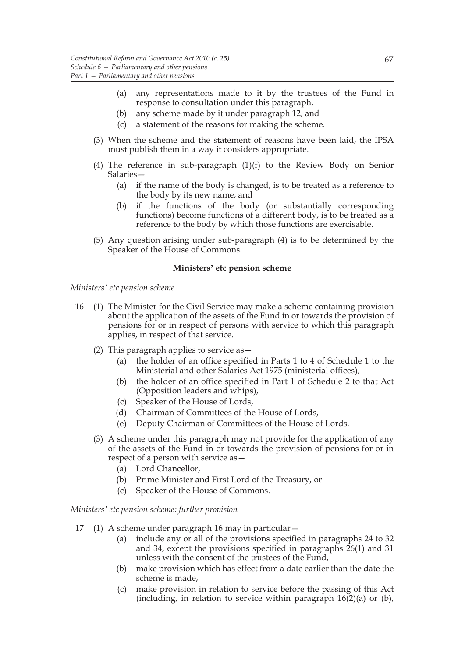- (a) any representations made to it by the trustees of the Fund in response to consultation under this paragraph,
- (b) any scheme made by it under paragraph 12, and
- (c) a statement of the reasons for making the scheme.
- (3) When the scheme and the statement of reasons have been laid, the IPSA must publish them in a way it considers appropriate.
- (4) The reference in sub-paragraph (1)(f) to the Review Body on Senior Salaries—
	- (a) if the name of the body is changed, is to be treated as a reference to the body by its new name, and
	- (b) if the functions of the body (or substantially corresponding functions) become functions of a different body, is to be treated as a reference to the body by which those functions are exercisable.
- (5) Any question arising under sub-paragraph (4) is to be determined by the Speaker of the House of Commons.

# **Ministers' etc pension scheme**

#### *Ministers' etc pension scheme*

- 16 (1) The Minister for the Civil Service may make a scheme containing provision about the application of the assets of the Fund in or towards the provision of pensions for or in respect of persons with service to which this paragraph applies, in respect of that service.
	- (2) This paragraph applies to service as—
		- (a) the holder of an office specified in Parts 1 to 4 of Schedule 1 to the Ministerial and other Salaries Act 1975 (ministerial offices),
		- (b) the holder of an office specified in Part 1 of Schedule 2 to that Act (Opposition leaders and whips),
		- (c) Speaker of the House of Lords,
		- (d) Chairman of Committees of the House of Lords,
		- (e) Deputy Chairman of Committees of the House of Lords.
	- (3) A scheme under this paragraph may not provide for the application of any of the assets of the Fund in or towards the provision of pensions for or in respect of a person with service as—
		- (a) Lord Chancellor,
		- (b) Prime Minister and First Lord of the Treasury, or
		- (c) Speaker of the House of Commons.

*Ministers' etc pension scheme: further provision*

- 17 (1) A scheme under paragraph 16 may in particular—
	- (a) include any or all of the provisions specified in paragraphs 24 to 32 and 34, except the provisions specified in paragraphs 26(1) and 31 unless with the consent of the trustees of the Fund,
	- (b) make provision which has effect from a date earlier than the date the scheme is made,
	- (c) make provision in relation to service before the passing of this Act (including, in relation to service within paragraph  $16(2)(a)$  or (b),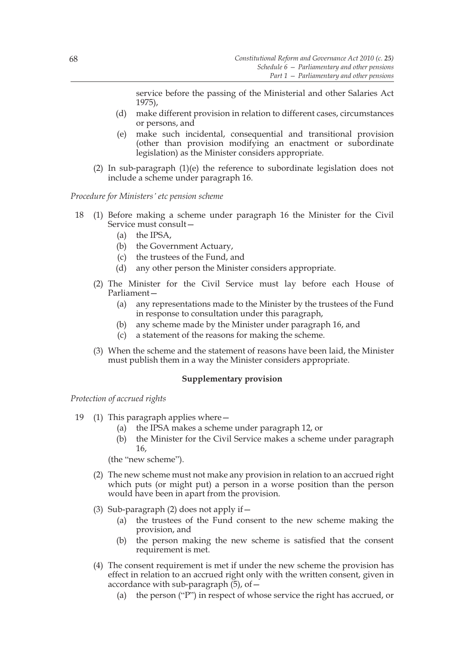service before the passing of the Ministerial and other Salaries Act 1975),

- (d) make different provision in relation to different cases, circumstances or persons, and
- (e) make such incidental, consequential and transitional provision (other than provision modifying an enactment or subordinate legislation) as the Minister considers appropriate.
- (2) In sub-paragraph (1)(e) the reference to subordinate legislation does not include a scheme under paragraph 16.

*Procedure for Ministers' etc pension scheme*

- 18 (1) Before making a scheme under paragraph 16 the Minister for the Civil Service must consult—
	- (a) the IPSA,
	- (b) the Government Actuary,
	- (c) the trustees of the Fund, and
	- (d) any other person the Minister considers appropriate.
	- (2) The Minister for the Civil Service must lay before each House of Parliament—
		- (a) any representations made to the Minister by the trustees of the Fund in response to consultation under this paragraph,
		- (b) any scheme made by the Minister under paragraph 16, and
		- (c) a statement of the reasons for making the scheme.
	- (3) When the scheme and the statement of reasons have been laid, the Minister must publish them in a way the Minister considers appropriate.

# **Supplementary provision**

*Protection of accrued rights*

- 19 (1) This paragraph applies where—
	- (a) the IPSA makes a scheme under paragraph 12, or
	- (b) the Minister for the Civil Service makes a scheme under paragraph 16,

(the "new scheme").

- (2) The new scheme must not make any provision in relation to an accrued right which puts (or might put) a person in a worse position than the person would have been in apart from the provision.
- (3) Sub-paragraph (2) does not apply if  $-$ 
	- (a) the trustees of the Fund consent to the new scheme making the provision, and
	- (b) the person making the new scheme is satisfied that the consent requirement is met.
- (4) The consent requirement is met if under the new scheme the provision has effect in relation to an accrued right only with the written consent, given in accordance with sub-paragraph  $(5)$ , of  $-$ 
	- (a) the person ("P") in respect of whose service the right has accrued, or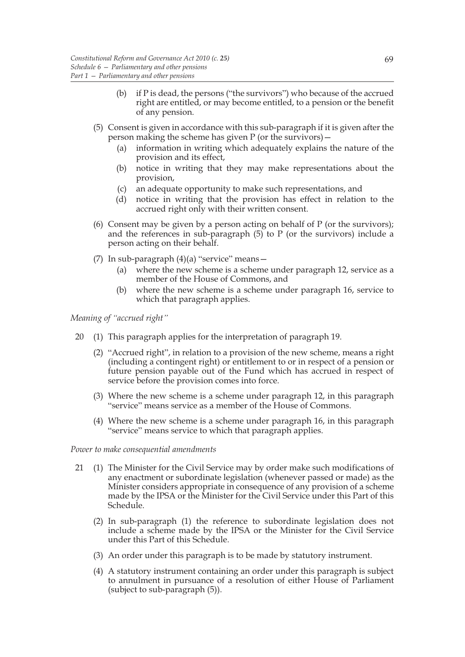- (b) if P is dead, the persons ("the survivors") who because of the accrued right are entitled, or may become entitled, to a pension or the benefit of any pension.
- (5) Consent is given in accordance with this sub-paragraph if it is given after the person making the scheme has given P (or the survivors)—
	- (a) information in writing which adequately explains the nature of the provision and its effect,
	- (b) notice in writing that they may make representations about the provision,
	- (c) an adequate opportunity to make such representations, and
	- (d) notice in writing that the provision has effect in relation to the accrued right only with their written consent.
- (6) Consent may be given by a person acting on behalf of P (or the survivors); and the references in sub-paragraph  $(5)$  to P (or the survivors) include a person acting on their behalf.
- (7) In sub-paragraph (4)(a) "service" means—
	- (a) where the new scheme is a scheme under paragraph 12, service as a member of the House of Commons, and
	- (b) where the new scheme is a scheme under paragraph 16, service to which that paragraph applies.

*Meaning of "accrued right"*

- 20 (1) This paragraph applies for the interpretation of paragraph 19.
	- (2) "Accrued right", in relation to a provision of the new scheme, means a right (including a contingent right) or entitlement to or in respect of a pension or future pension payable out of the Fund which has accrued in respect of service before the provision comes into force.
	- (3) Where the new scheme is a scheme under paragraph 12, in this paragraph "service" means service as a member of the House of Commons.
	- (4) Where the new scheme is a scheme under paragraph 16, in this paragraph "service" means service to which that paragraph applies.

### *Power to make consequential amendments*

- 21 (1) The Minister for the Civil Service may by order make such modifications of any enactment or subordinate legislation (whenever passed or made) as the Minister considers appropriate in consequence of any provision of a scheme made by the IPSA or the Minister for the Civil Service under this Part of this Schedule.
	- (2) In sub-paragraph (1) the reference to subordinate legislation does not include a scheme made by the IPSA or the Minister for the Civil Service under this Part of this Schedule.
	- (3) An order under this paragraph is to be made by statutory instrument.
	- (4) A statutory instrument containing an order under this paragraph is subject to annulment in pursuance of a resolution of either House of Parliament (subject to sub-paragraph (5)).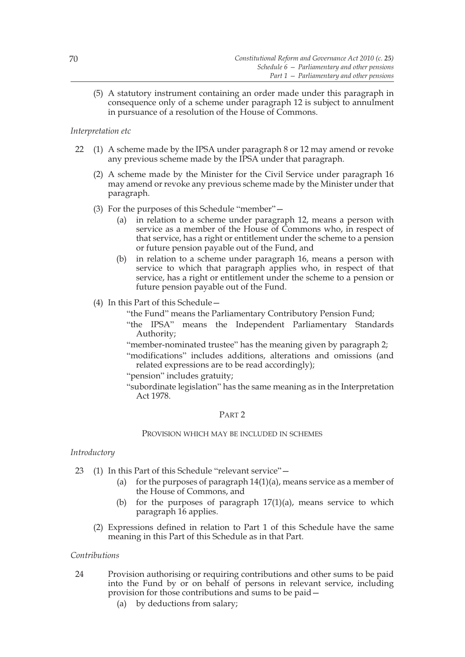(5) A statutory instrument containing an order made under this paragraph in consequence only of a scheme under paragraph 12 is subject to annulment in pursuance of a resolution of the House of Commons.

# *Interpretation etc*

- 22 (1) A scheme made by the IPSA under paragraph 8 or 12 may amend or revoke any previous scheme made by the IPSA under that paragraph.
	- (2) A scheme made by the Minister for the Civil Service under paragraph 16 may amend or revoke any previous scheme made by the Minister under that paragraph.
	- (3) For the purposes of this Schedule "member"—
		- (a) in relation to a scheme under paragraph 12, means a person with service as a member of the House of Commons who, in respect of that service, has a right or entitlement under the scheme to a pension or future pension payable out of the Fund, and
		- (b) in relation to a scheme under paragraph 16, means a person with service to which that paragraph applies who, in respect of that service, has a right or entitlement under the scheme to a pension or future pension payable out of the Fund.
	- (4) In this Part of this Schedule—
		- "the Fund" means the Parliamentary Contributory Pension Fund;
		- "the IPSA" means the Independent Parliamentary Standards Authority;
		- "member-nominated trustee" has the meaning given by paragraph 2;
		- "modifications" includes additions, alterations and omissions (and related expressions are to be read accordingly);
		- "pension" includes gratuity;
		- "subordinate legislation" has the same meaning as in the Interpretation Act 1978.

# PART 2

# PROVISION WHICH MAY BE INCLUDED IN SCHEMES

# *Introductory*

- 23 (1) In this Part of this Schedule "relevant service"—
	- (a) for the purposes of paragraph  $14(1)(a)$ , means service as a member of the House of Commons, and
	- (b) for the purposes of paragraph  $17(1)(a)$ , means service to which paragraph 16 applies.
	- (2) Expressions defined in relation to Part 1 of this Schedule have the same meaning in this Part of this Schedule as in that Part.

# *Contributions*

- 24 Provision authorising or requiring contributions and other sums to be paid into the Fund by or on behalf of persons in relevant service, including provision for those contributions and sums to be paid—
	- (a) by deductions from salary;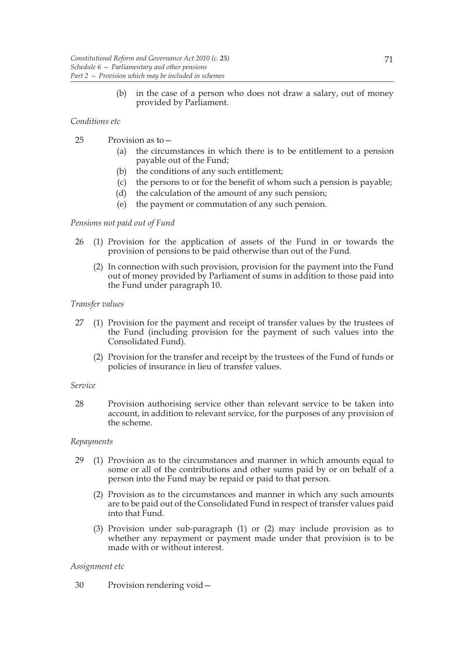(b) in the case of a person who does not draw a salary, out of money provided by Parliament.

# *Conditions etc*

- 25 Provision as to—
	- (a) the circumstances in which there is to be entitlement to a pension payable out of the Fund;
	- (b) the conditions of any such entitlement;
	- (c) the persons to or for the benefit of whom such a pension is payable;
	- (d) the calculation of the amount of any such pension;
	- (e) the payment or commutation of any such pension.

# *Pensions not paid out of Fund*

- 26 (1) Provision for the application of assets of the Fund in or towards the provision of pensions to be paid otherwise than out of the Fund.
	- (2) In connection with such provision, provision for the payment into the Fund out of money provided by Parliament of sums in addition to those paid into the Fund under paragraph 10.

### *Transfer values*

- 27 (1) Provision for the payment and receipt of transfer values by the trustees of the Fund (including provision for the payment of such values into the Consolidated Fund).
	- (2) Provision for the transfer and receipt by the trustees of the Fund of funds or policies of insurance in lieu of transfer values.

### *Service*

28 Provision authorising service other than relevant service to be taken into account, in addition to relevant service, for the purposes of any provision of the scheme.

# *Repayments*

- 29 (1) Provision as to the circumstances and manner in which amounts equal to some or all of the contributions and other sums paid by or on behalf of a person into the Fund may be repaid or paid to that person.
	- (2) Provision as to the circumstances and manner in which any such amounts are to be paid out of the Consolidated Fund in respect of transfer values paid into that Fund.
	- (3) Provision under sub-paragraph (1) or (2) may include provision as to whether any repayment or payment made under that provision is to be made with or without interest.

# *Assignment etc*

30 Provision rendering void—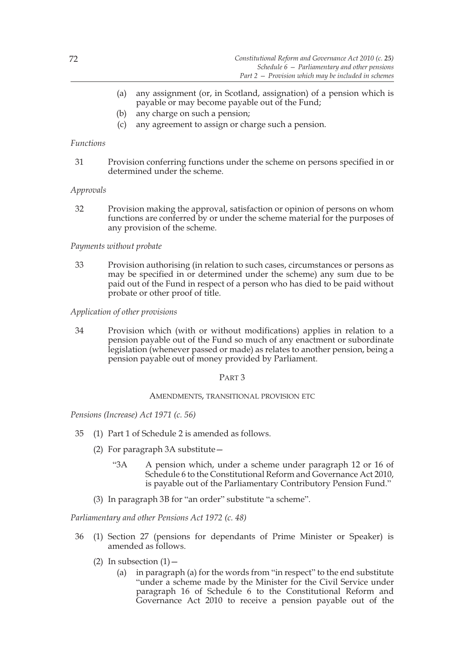- (a) any assignment (or, in Scotland, assignation) of a pension which is payable or may become payable out of the Fund;
- (b) any charge on such a pension;
- (c) any agreement to assign or charge such a pension.

### *Functions*

31 Provision conferring functions under the scheme on persons specified in or determined under the scheme.

### *Approvals*

32 Provision making the approval, satisfaction or opinion of persons on whom functions are conferred by or under the scheme material for the purposes of any provision of the scheme.

### *Payments without probate*

33 Provision authorising (in relation to such cases, circumstances or persons as may be specified in or determined under the scheme) any sum due to be paid out of the Fund in respect of a person who has died to be paid without probate or other proof of title.

### *Application of other provisions*

34 Provision which (with or without modifications) applies in relation to a pension payable out of the Fund so much of any enactment or subordinate legislation (whenever passed or made) as relates to another pension, being a pension payable out of money provided by Parliament.

### PART 3

### AMENDMENTS, TRANSITIONAL PROVISION ETC

*Pensions (Increase) Act 1971 (c. 56)*

- 35 (1) Part 1 of Schedule 2 is amended as follows.
	- (2) For paragraph 3A substitute—
		- "3A A pension which, under a scheme under paragraph 12 or 16 of Schedule 6 to the Constitutional Reform and Governance Act 2010, is payable out of the Parliamentary Contributory Pension Fund."
	- (3) In paragraph 3B for "an order" substitute "a scheme".

*Parliamentary and other Pensions Act 1972 (c. 48)*

- 36 (1) Section 27 (pensions for dependants of Prime Minister or Speaker) is amended as follows.
	- (2) In subsection  $(1)$  -
		- (a) in paragraph (a) for the words from "in respect" to the end substitute "under a scheme made by the Minister for the Civil Service under paragraph 16 of Schedule 6 to the Constitutional Reform and Governance Act 2010 to receive a pension payable out of the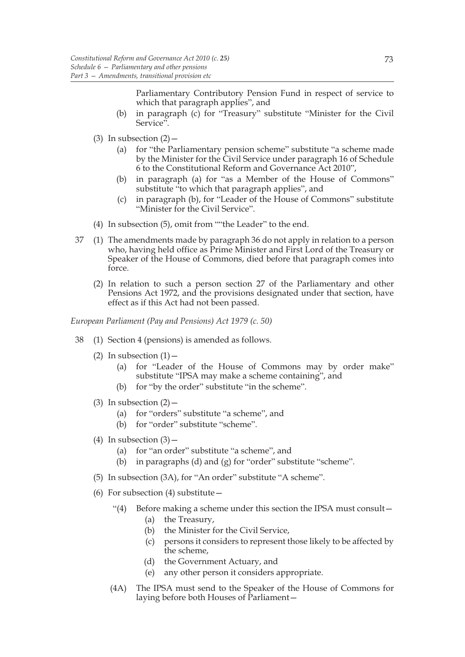Parliamentary Contributory Pension Fund in respect of service to which that paragraph applies", and

- (b) in paragraph (c) for "Treasury" substitute "Minister for the Civil Service".
- (3) In subsection  $(2)$ 
	- (a) for "the Parliamentary pension scheme" substitute "a scheme made by the Minister for the Civil Service under paragraph 16 of Schedule 6 to the Constitutional Reform and Governance Act 2010",
	- (b) in paragraph (a) for "as a Member of the House of Commons" substitute "to which that paragraph applies", and
	- (c) in paragraph (b), for "Leader of the House of Commons" substitute "Minister for the Civil Service".
- (4) In subsection (5), omit from ""the Leader" to the end.
- 37 (1) The amendments made by paragraph 36 do not apply in relation to a person who, having held office as Prime Minister and First Lord of the Treasury or Speaker of the House of Commons, died before that paragraph comes into force.
	- (2) In relation to such a person section 27 of the Parliamentary and other Pensions Act 1972, and the provisions designated under that section, have effect as if this Act had not been passed.

*European Parliament (Pay and Pensions) Act 1979 (c. 50)*

- 38 (1) Section 4 (pensions) is amended as follows.
	- (2) In subsection  $(1)$  -
		- (a) for "Leader of the House of Commons may by order make" substitute "IPSA may make a scheme containing", and
		- (b) for "by the order" substitute "in the scheme".
	- (3) In subsection  $(2)$ 
		- (a) for "orders" substitute "a scheme", and
		- (b) for "order" substitute "scheme".
	- (4) In subsection  $(3)$ 
		- (a) for "an order" substitute "a scheme", and
		- (b) in paragraphs (d) and (g) for "order" substitute "scheme".
	- (5) In subsection (3A), for "An order" substitute "A scheme".
	- (6) For subsection  $(4)$  substitute  $-$ 
		- "(4) Before making a scheme under this section the IPSA must consult—
			- (a) the Treasury,
			- (b) the Minister for the Civil Service,
			- (c) persons it considers to represent those likely to be affected by the scheme,
			- (d) the Government Actuary, and
			- (e) any other person it considers appropriate.
		- (4A) The IPSA must send to the Speaker of the House of Commons for laying before both Houses of Parliament—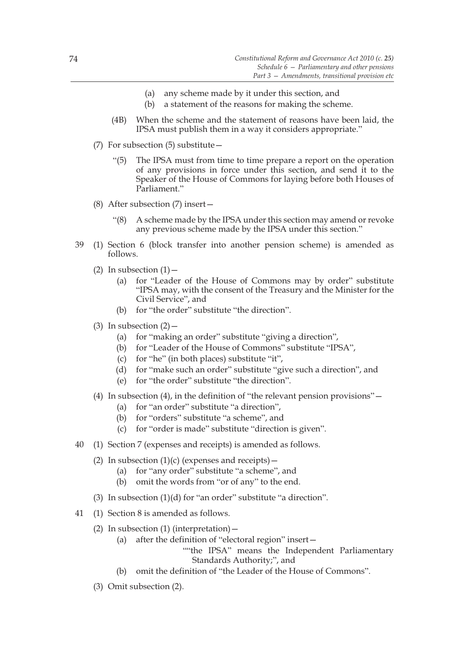- (a) any scheme made by it under this section, and
- (b) a statement of the reasons for making the scheme.
- (4B) When the scheme and the statement of reasons have been laid, the IPSA must publish them in a way it considers appropriate."
- (7) For subsection (5) substitute—
	- "(5) The IPSA must from time to time prepare a report on the operation of any provisions in force under this section, and send it to the Speaker of the House of Commons for laying before both Houses of Parliament."
- (8) After subsection (7) insert—
	- "(8) A scheme made by the IPSA under this section may amend or revoke any previous scheme made by the IPSA under this section."
- 39 (1) Section 6 (block transfer into another pension scheme) is amended as follows.
	- (2) In subsection  $(1)$  -
		- (a) for "Leader of the House of Commons may by order" substitute "IPSA may, with the consent of the Treasury and the Minister for the Civil Service", and
		- (b) for "the order" substitute "the direction".
	- (3) In subsection  $(2)$ 
		- (a) for "making an order" substitute "giving a direction",
		- (b) for "Leader of the House of Commons" substitute "IPSA",
		- (c) for "he" (in both places) substitute "it",
		- (d) for "make such an order" substitute "give such a direction", and
		- (e) for "the order" substitute "the direction".
	- (4) In subsection (4), in the definition of "the relevant pension provisions"—
		- (a) for "an order" substitute "a direction",
		- (b) for "orders" substitute "a scheme", and
		- (c) for "order is made" substitute "direction is given".
- 40 (1) Section 7 (expenses and receipts) is amended as follows.
	- (2) In subsection  $(1)(c)$  (expenses and receipts)
		- (a) for "any order" substitute "a scheme", and
		- (b) omit the words from "or of any" to the end.
	- (3) In subsection (1)(d) for "an order" substitute "a direction".
- 41 (1) Section 8 is amended as follows.
	- (2) In subsection  $(1)$  (interpretation)
		- (a) after the definition of "electoral region" insert—
			- ""the IPSA" means the Independent Parliamentary Standards Authority;", and
		- (b) omit the definition of "the Leader of the House of Commons".
	- (3) Omit subsection (2).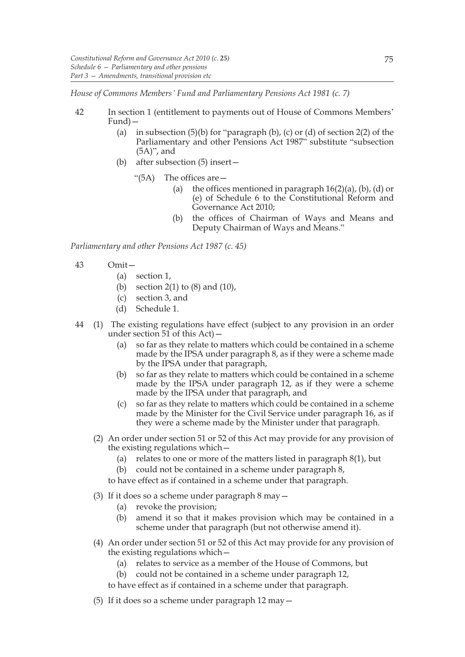*House of Commons Members' Fund and Parliamentary Pensions Act 1981 (c. 7)*

- 42 In section 1 (entitlement to payments out of House of Commons Members' Fund)—
	- (a) in subsection  $(5)(b)$  for "paragraph  $(b)$ ,  $(c)$  or  $(d)$  of section 2(2) of the Parliamentary and other Pensions Act 1987" substitute "subsection (5A)", and
	- (b) after subsection (5) insert—
		- "(5A) The offices are—
			- (a) the offices mentioned in paragraph  $16(2)(a)$ , (b), (d) or (e) of Schedule 6 to the Constitutional Reform and Governance Act 2010;
			- (b) the offices of Chairman of Ways and Means and Deputy Chairman of Ways and Means."

*Parliamentary and other Pensions Act 1987 (c. 45)*

- 43 Omit—
	- (a) section 1,
	- (b) section  $2(1)$  to  $(8)$  and  $(10)$ ,
	- (c) section 3, and
	- (d) Schedule 1.
- 44 (1) The existing regulations have effect (subject to any provision in an order under section  $51$  of this Act) -
	- (a) so far as they relate to matters which could be contained in a scheme made by the IPSA under paragraph 8, as if they were a scheme made by the IPSA under that paragraph,
	- (b) so far as they relate to matters which could be contained in a scheme made by the IPSA under paragraph 12, as if they were a scheme made by the IPSA under that paragraph, and
	- (c) so far as they relate to matters which could be contained in a scheme made by the Minister for the Civil Service under paragraph 16, as if they were a scheme made by the Minister under that paragraph.
	- (2) An order under section 51 or 52 of this Act may provide for any provision of the existing regulations which—
		- (a) relates to one or more of the matters listed in paragraph 8(1), but
		- (b) could not be contained in a scheme under paragraph 8,

to have effect as if contained in a scheme under that paragraph.

- (3) If it does so a scheme under paragraph 8 may—
	- (a) revoke the provision;
	- (b) amend it so that it makes provision which may be contained in a scheme under that paragraph (but not otherwise amend it).
- (4) An order under section 51 or 52 of this Act may provide for any provision of the existing regulations which—
	- (a) relates to service as a member of the House of Commons, but
	- (b) could not be contained in a scheme under paragraph 12,
	- to have effect as if contained in a scheme under that paragraph.
- (5) If it does so a scheme under paragraph 12 may—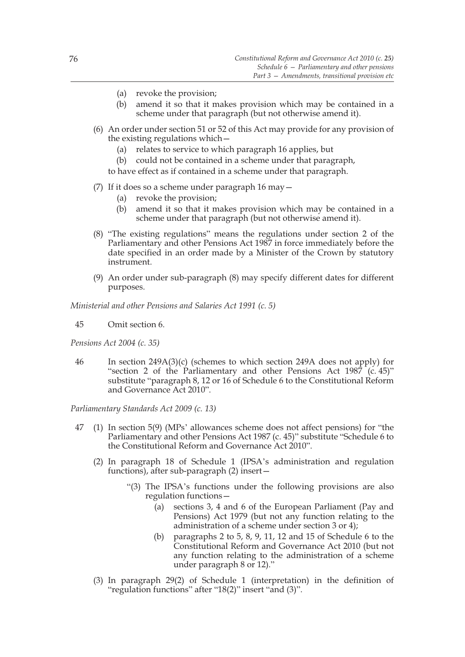- (a) revoke the provision;
- (b) amend it so that it makes provision which may be contained in a scheme under that paragraph (but not otherwise amend it).
- (6) An order under section 51 or 52 of this Act may provide for any provision of the existing regulations which—
	- (a) relates to service to which paragraph 16 applies, but
	- (b) could not be contained in a scheme under that paragraph, to have effect as if contained in a scheme under that paragraph.
- 
- (7) If it does so a scheme under paragraph 16 may—
	- (a) revoke the provision;
	- (b) amend it so that it makes provision which may be contained in a scheme under that paragraph (but not otherwise amend it).
- (8) "The existing regulations" means the regulations under section 2 of the Parliamentary and other Pensions Act 1987 in force immediately before the date specified in an order made by a Minister of the Crown by statutory instrument.
- (9) An order under sub-paragraph (8) may specify different dates for different purposes.

*Ministerial and other Pensions and Salaries Act 1991 (c. 5)*

45 Omit section 6.

*Pensions Act 2004 (c. 35)*

46 In section 249A(3)(c) (schemes to which section 249A does not apply) for "section 2 of the Parliamentary and other Pensions Act  $1987$  (c. 45)" substitute "paragraph 8, 12 or 16 of Schedule 6 to the Constitutional Reform and Governance Act 2010".

*Parliamentary Standards Act 2009 (c. 13)*

- 47 (1) In section 5(9) (MPs' allowances scheme does not affect pensions) for "the Parliamentary and other Pensions Act 1987 (c. 45)" substitute "Schedule 6 to the Constitutional Reform and Governance Act 2010".
	- (2) In paragraph 18 of Schedule 1 (IPSA's administration and regulation functions), after sub-paragraph (2) insert—
		- "(3) The IPSA's functions under the following provisions are also regulation functions—
			- (a) sections 3, 4 and 6 of the European Parliament (Pay and Pensions) Act 1979 (but not any function relating to the administration of a scheme under section 3 or 4);
			- (b) paragraphs 2 to 5, 8, 9, 11, 12 and 15 of Schedule 6 to the Constitutional Reform and Governance Act 2010 (but not any function relating to the administration of a scheme under paragraph 8 or 12)."
	- (3) In paragraph 29(2) of Schedule 1 (interpretation) in the definition of "regulation functions" after "18(2)" insert "and (3)".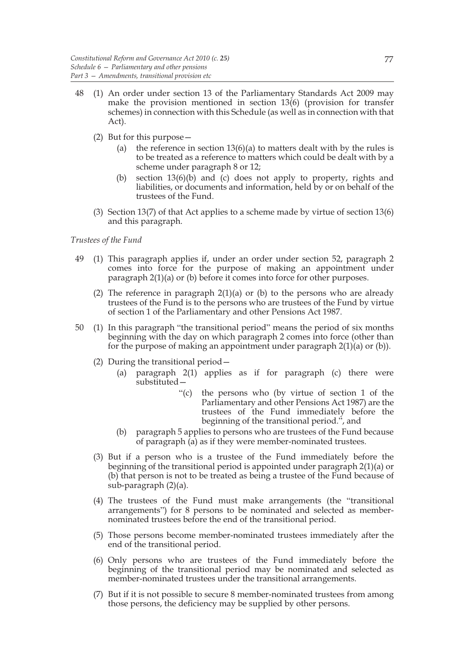- 48 (1) An order under section 13 of the Parliamentary Standards Act 2009 may make the provision mentioned in section 13(6) (provision for transfer schemes) in connection with this Schedule (as well as in connection with that Act).
	- (2) But for this purpose—
		- (a) the reference in section  $13(6)(a)$  to matters dealt with by the rules is to be treated as a reference to matters which could be dealt with by a scheme under paragraph 8 or 12;
		- (b) section 13(6)(b) and (c) does not apply to property, rights and liabilities, or documents and information, held by or on behalf of the trustees of the Fund.
	- (3) Section 13(7) of that Act applies to a scheme made by virtue of section 13(6) and this paragraph.

### *Trustees of the Fund*

- 49 (1) This paragraph applies if, under an order under section 52, paragraph 2 comes into force for the purpose of making an appointment under paragraph 2(1)(a) or (b) before it comes into force for other purposes.
	- (2) The reference in paragraph 2(1)(a) or (b) to the persons who are already trustees of the Fund is to the persons who are trustees of the Fund by virtue of section 1 of the Parliamentary and other Pensions Act 1987.
- 50 (1) In this paragraph "the transitional period" means the period of six months beginning with the day on which paragraph 2 comes into force (other than for the purpose of making an appointment under paragraph 2(1)(a) or (b)).
	- (2) During the transitional period—
		- (a) paragraph 2(1) applies as if for paragraph (c) there were substituted—
			- "(c) the persons who (by virtue of section 1 of the Parliamentary and other Pensions Act 1987) are the trustees of the Fund immediately before the beginning of the transitional period.", and
		- (b) paragraph 5 applies to persons who are trustees of the Fund because of paragraph  $\overline{a}$  as if they were member-nominated trustees.
	- (3) But if a person who is a trustee of the Fund immediately before the beginning of the transitional period is appointed under paragraph 2(1)(a) or (b) that person is not to be treated as being a trustee of the Fund because of sub-paragraph (2)(a).
	- (4) The trustees of the Fund must make arrangements (the "transitional arrangements") for 8 persons to be nominated and selected as membernominated trustees before the end of the transitional period.
	- (5) Those persons become member-nominated trustees immediately after the end of the transitional period.
	- (6) Only persons who are trustees of the Fund immediately before the beginning of the transitional period may be nominated and selected as member-nominated trustees under the transitional arrangements.
	- (7) But if it is not possible to secure 8 member-nominated trustees from among those persons, the deficiency may be supplied by other persons.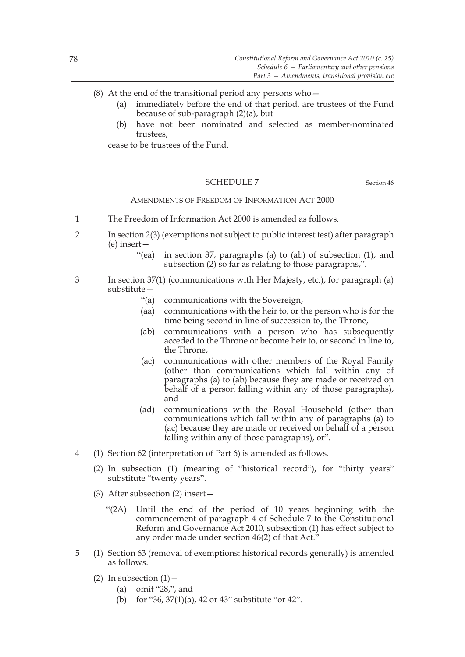- (8) At the end of the transitional period any persons who  $-$ 
	- (a) immediately before the end of that period, are trustees of the Fund because of sub-paragraph (2)(a), but
	- (b) have not been nominated and selected as member-nominated trustees,

cease to be trustees of the Fund.

### SCHEDULE 7 Section 46

# AMENDMENTS OF FREEDOM OF INFORMATION ACT 2000

- 1 The Freedom of Information Act 2000 is amended as follows.
- 2 In section 2(3) (exemptions not subject to public interest test) after paragraph (e) insert—
	- "(ea) in section 37, paragraphs (a) to (ab) of subsection (1), and subsection (2) so far as relating to those paragraphs,".
- 3 In section 37(1) (communications with Her Majesty, etc.), for paragraph (a) substitute—
	- "(a) communications with the Sovereign,
	- (aa) communications with the heir to, or the person who is for the time being second in line of succession to, the Throne,
	- (ab) communications with a person who has subsequently acceded to the Throne or become heir to, or second in line to, the Throne,
	- (ac) communications with other members of the Royal Family (other than communications which fall within any of paragraphs (a) to (ab) because they are made or received on behalf of a person falling within any of those paragraphs), and
	- (ad) communications with the Royal Household (other than communications which fall within any of paragraphs (a) to (ac) because they are made or received on behalf of a person falling within any of those paragraphs), or".
- 4 (1) Section 62 (interpretation of Part 6) is amended as follows.
	- (2) In subsection (1) (meaning of "historical record"), for "thirty years" substitute "twenty years".
	- (3) After subsection (2) insert—
		- "(2A) Until the end of the period of 10 years beginning with the commencement of paragraph 4 of Schedule 7 to the Constitutional Reform and Governance Act 2010, subsection (1) has effect subject to any order made under section 46(2) of that Act."
- 5 (1) Section 63 (removal of exemptions: historical records generally) is amended as follows.
	- (2) In subsection  $(1)$  -
		- (a) omit "28,", and
		- (b) for "36, 37(1)(a), 42 or 43" substitute "or 42".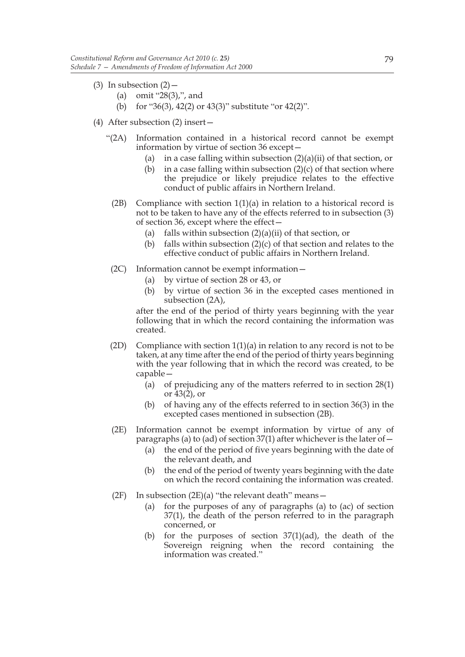- (3) In subsection  $(2)$ 
	- (a) omit "28(3),", and
	- (b) for "36(3), 42(2) or 43(3)" substitute "or 42(2)".
- (4) After subsection (2) insert—
	- "(2A) Information contained in a historical record cannot be exempt information by virtue of section 36 except—
		- (a) in a case falling within subsection  $(2)(a)(ii)$  of that section, or
		- (b) in a case falling within subsection  $(2)(c)$  of that section where the prejudice or likely prejudice relates to the effective conduct of public affairs in Northern Ireland.
		- (2B) Compliance with section  $1(1)(a)$  in relation to a historical record is not to be taken to have any of the effects referred to in subsection (3) of section 36, except where the effect—
			- (a) falls within subsection  $(2)(a)(ii)$  of that section, or
			- (b) falls within subsection  $(2)(c)$  of that section and relates to the effective conduct of public affairs in Northern Ireland.
	- (2C) Information cannot be exempt information—
		- (a) by virtue of section 28 or 43, or
		- (b) by virtue of section 36 in the excepted cases mentioned in subsection (2A),

after the end of the period of thirty years beginning with the year following that in which the record containing the information was created.

- (2D) Compliance with section  $1(1)(a)$  in relation to any record is not to be taken, at any time after the end of the period of thirty years beginning with the year following that in which the record was created, to be capable—
	- (a) of prejudicing any of the matters referred to in section 28(1) or 43(2), or
	- (b) of having any of the effects referred to in section 36(3) in the excepted cases mentioned in subsection (2B).
- (2E) Information cannot be exempt information by virtue of any of paragraphs (a) to (ad) of section  $37(1)$  after whichever is the later of  $-$ 
	- (a) the end of the period of five years beginning with the date of the relevant death, and
	- (b) the end of the period of twenty years beginning with the date on which the record containing the information was created.
- (2F) In subsection  $(2E)(a)$  "the relevant death" means -
	- (a) for the purposes of any of paragraphs (a) to (ac) of section 37(1), the death of the person referred to in the paragraph concerned, or
	- (b) for the purposes of section  $37(1)(ad)$ , the death of the Sovereign reigning when the record containing the information was created."